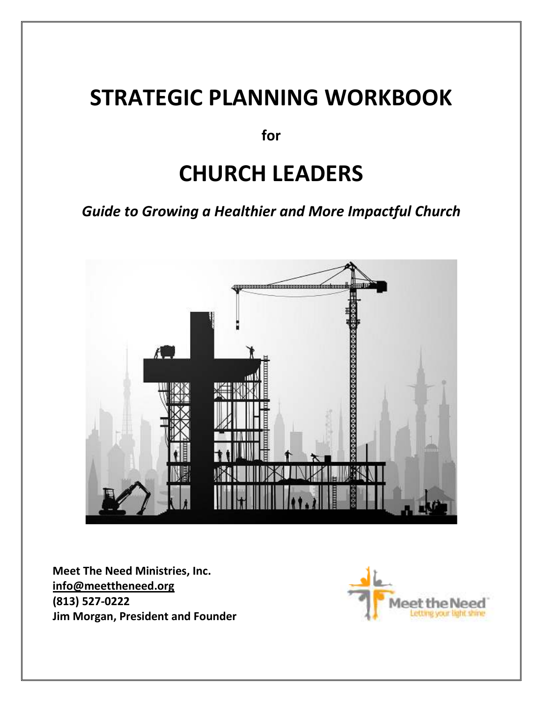# **STRATEGIC PLANNING WORKBOOK**

**for** 

# **CHURCH LEADERS**

*Guide to Growing a Healthier and More Impactful Church* 



**Meet The Need Ministries, Inc. info@meettheneed.org (813) 527-0222 Jim Morgan, President and Founder**

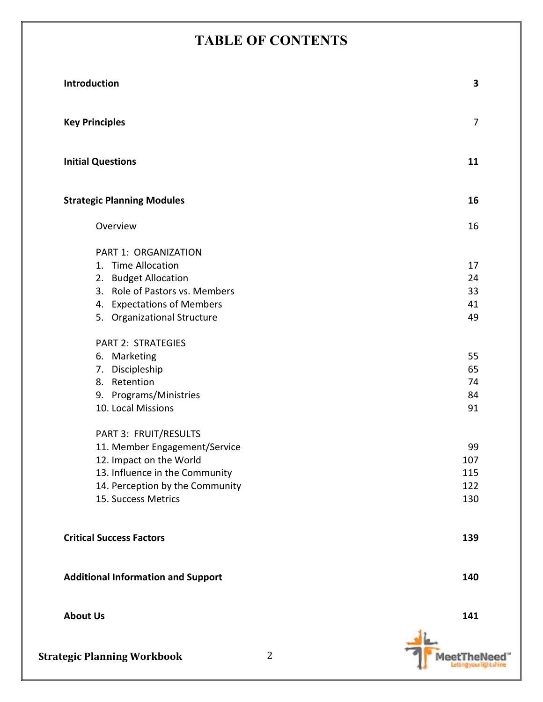# **TABLE OF CONTENTS**

| Introduction                              | 3              |
|-------------------------------------------|----------------|
| <b>Key Principles</b>                     | $\overline{7}$ |
| <b>Initial Questions</b>                  | 11             |
| <b>Strategic Planning Modules</b>         | 16             |
| Overview                                  | 16             |
| PART 1: ORGANIZATION                      |                |
| 1. Time Allocation                        | 17             |
| 2. Budget Allocation                      | 24             |
| 3. Role of Pastors vs. Members            | 33             |
| 4. Expectations of Members                | 41             |
| 5. Organizational Structure               | 49             |
| <b>PART 2: STRATEGIES</b>                 |                |
| 6. Marketing                              | 55             |
| 7. Discipleship                           | 65             |
| 8. Retention                              | 74             |
| 9. Programs/Ministries                    | 84             |
| 10. Local Missions                        | 91             |
| PART 3: FRUIT/RESULTS                     |                |
| 11. Member Engagement/Service             | 99             |
| 12. Impact on the World                   | 107            |
| 13. Influence in the Community            | 115            |
| 14. Perception by the Community           | 122            |
| 15. Success Metrics                       | 130            |
| <b>Critical Success Factors</b>           | 139            |
|                                           |                |
| <b>Additional Information and Support</b> | 140            |
| <b>About Us</b>                           | 141            |
|                                           |                |



MeetTheNeed"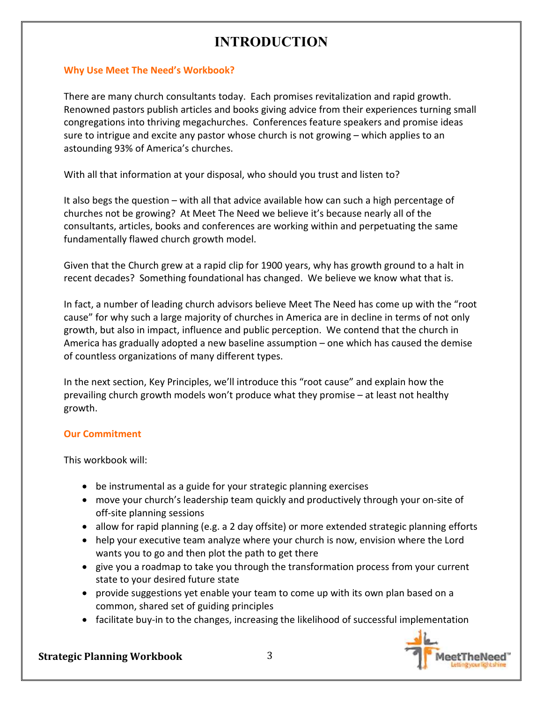### **Why Use Meet The Need's Workbook?**

There are many church consultants today. Each promises revitalization and rapid growth. Renowned pastors publish articles and books giving advice from their experiences turning small congregations into thriving megachurches. Conferences feature speakers and promise ideas sure to intrigue and excite any pastor whose church is not growing – which applies to an astounding 93% of America's churches.

With all that information at your disposal, who should you trust and listen to?

It also begs the question – with all that advice available how can such a high percentage of churches not be growing? At Meet The Need we believe it's because nearly all of the consultants, articles, books and conferences are working within and perpetuating the same fundamentally flawed church growth model.

Given that the Church grew at a rapid clip for 1900 years, why has growth ground to a halt in recent decades? Something foundational has changed. We believe we know what that is.

In fact, a number of leading church advisors believe Meet The Need has come up with the "root cause" for why such a large majority of churches in America are in decline in terms of not only growth, but also in impact, influence and public perception. We contend that the church in America has gradually adopted a new baseline assumption – one which has caused the demise of countless organizations of many different types.

In the next section, Key Principles, we'll introduce this "root cause" and explain how the prevailing church growth models won't produce what they promise – at least not healthy growth.

### **Our Commitment**

This workbook will:

- be instrumental as a guide for your strategic planning exercises
- move your church's leadership team quickly and productively through your on-site of off-site planning sessions
- allow for rapid planning (e.g. a 2 day offsite) or more extended strategic planning efforts
- help your executive team analyze where your church is now, envision where the Lord wants you to go and then plot the path to get there
- give you a roadmap to take you through the transformation process from your current state to your desired future state
- provide suggestions yet enable your team to come up with its own plan based on a common, shared set of guiding principles
- facilitate buy-in to the changes, increasing the likelihood of successful implementation

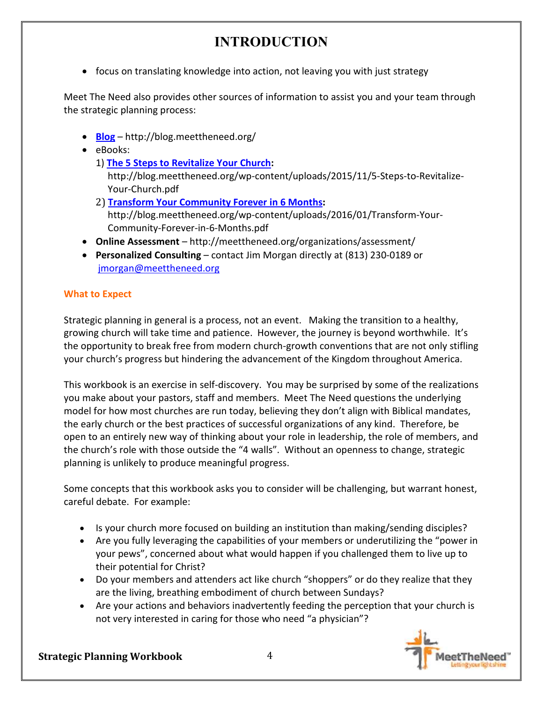• focus on translating knowledge into action, not leaving you with just strategy

Meet The Need also provides other sources of information to assist you and your team through the strategic planning process:

- **Blog** http://blog.meettheneed.org/
- eBooks:
	- 1) **The 5 Steps to Revitalize Your Church:**

http://blog.meettheneed.org/wp-content/uploads/2015/11/5-Steps-to-Revitalize-Your-Church.pdf

- 2) **Transform Your Community Forever in 6 Months:** http://blog.meettheneed.org/wp-content/uploads/2016/01/Transform-Your-Community-Forever-in-6-Months.pdf
- **Online Assessment**  http://meettheneed.org/organizations/assessment/
- **Personalized Consulting** contact Jim Morgan directly at (813) 230-0189 or jmorgan@meettheneed.org

### **What to Expect**

Strategic planning in general is a process, not an event. Making the transition to a healthy, growing church will take time and patience. However, the journey is beyond worthwhile. It's the opportunity to break free from modern church-growth conventions that are not only stifling your church's progress but hindering the advancement of the Kingdom throughout America.

This workbook is an exercise in self-discovery. You may be surprised by some of the realizations you make about your pastors, staff and members. Meet The Need questions the underlying model for how most churches are run today, believing they don't align with Biblical mandates, the early church or the best practices of successful organizations of any kind. Therefore, be open to an entirely new way of thinking about your role in leadership, the role of members, and the church's role with those outside the "4 walls". Without an openness to change, strategic planning is unlikely to produce meaningful progress.

Some concepts that this workbook asks you to consider will be challenging, but warrant honest, careful debate. For example:

- Is your church more focused on building an institution than making/sending disciples?
- Are you fully leveraging the capabilities of your members or underutilizing the "power in your pews", concerned about what would happen if you challenged them to live up to their potential for Christ?
- Do your members and attenders act like church "shoppers" or do they realize that they are the living, breathing embodiment of church between Sundays?
- Are your actions and behaviors inadvertently feeding the perception that your church is not very interested in caring for those who need "a physician"?

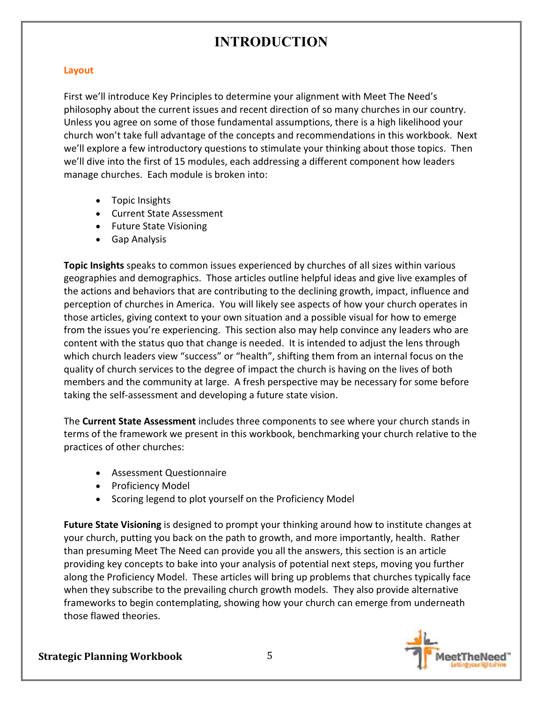### **Layout**

First we'll introduce Key Principles to determine your alignment with Meet The Need's philosophy about the current issues and recent direction of so many churches in our country. Unless you agree on some of those fundamental assumptions, there is a high likelihood your church won't take full advantage of the concepts and recommendations in this workbook. Next we'll explore a few introductory questions to stimulate your thinking about those topics. Then we'll dive into the first of 15 modules, each addressing a different component how leaders manage churches. Each module is broken into:

- Topic Insights
- Current State Assessment
- Future State Visioning
- Gap Analysis

**Topic Insights** speaks to common issues experienced by churches of all sizes within various geographies and demographics. Those articles outline helpful ideas and give live examples of the actions and behaviors that are contributing to the declining growth, impact, influence and perception of churches in America. You will likely see aspects of how your church operates in those articles, giving context to your own situation and a possible visual for how to emerge from the issues you're experiencing. This section also may help convince any leaders who are content with the status quo that change is needed. It is intended to adjust the lens through which church leaders view "success" or "health", shifting them from an internal focus on the quality of church services to the degree of impact the church is having on the lives of both members and the community at large. A fresh perspective may be necessary for some before taking the self-assessment and developing a future state vision.

The **Current State Assessment** includes three components to see where your church stands in terms of the framework we present in this workbook, benchmarking your church relative to the practices of other churches:

- Assessment Questionnaire
- Proficiency Model
- Scoring legend to plot yourself on the Proficiency Model

**Future State Visioning** is designed to prompt your thinking around how to institute changes at your church, putting you back on the path to growth, and more importantly, health. Rather than presuming Meet The Need can provide you all the answers, this section is an article providing key concepts to bake into your analysis of potential next steps, moving you further along the Proficiency Model. These articles will bring up problems that churches typically face when they subscribe to the prevailing church growth models. They also provide alternative frameworks to begin contemplating, showing how your church can emerge from underneath those flawed theories.

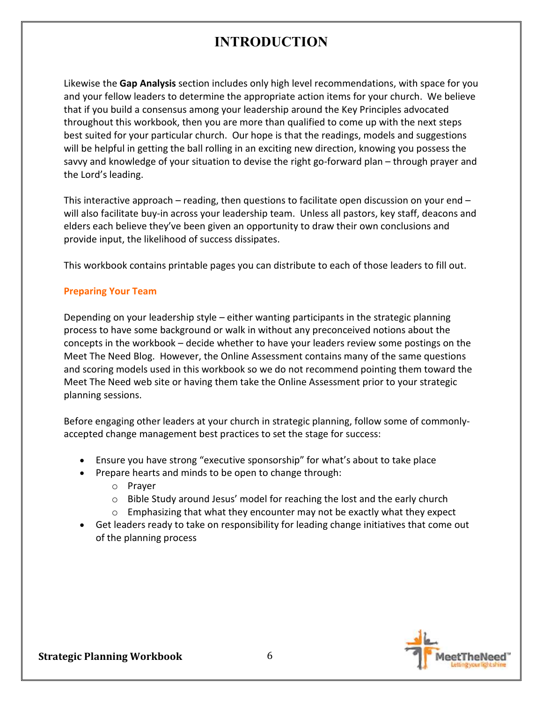Likewise the **Gap Analysis** section includes only high level recommendations, with space for you and your fellow leaders to determine the appropriate action items for your church. We believe that if you build a consensus among your leadership around the Key Principles advocated throughout this workbook, then you are more than qualified to come up with the next steps best suited for your particular church. Our hope is that the readings, models and suggestions will be helpful in getting the ball rolling in an exciting new direction, knowing you possess the savvy and knowledge of your situation to devise the right go-forward plan – through prayer and the Lord's leading.

This interactive approach – reading, then questions to facilitate open discussion on your end – will also facilitate buy-in across your leadership team. Unless all pastors, key staff, deacons and elders each believe they've been given an opportunity to draw their own conclusions and provide input, the likelihood of success dissipates.

This workbook contains printable pages you can distribute to each of those leaders to fill out.

### **Preparing Your Team**

Depending on your leadership style – either wanting participants in the strategic planning process to have some background or walk in without any preconceived notions about the concepts in the workbook – decide whether to have your leaders review some postings on the Meet The Need Blog. However, the Online Assessment contains many of the same questions and scoring models used in this workbook so we do not recommend pointing them toward the Meet The Need web site or having them take the Online Assessment prior to your strategic planning sessions.

Before engaging other leaders at your church in strategic planning, follow some of commonlyaccepted change management best practices to set the stage for success:

- Ensure you have strong "executive sponsorship" for what's about to take place
- Prepare hearts and minds to be open to change through:
	- o Prayer
	- $\circ$  Bible Study around Jesus' model for reaching the lost and the early church
	- $\circ$  Emphasizing that what they encounter may not be exactly what they expect
- Get leaders ready to take on responsibility for leading change initiatives that come out of the planning process

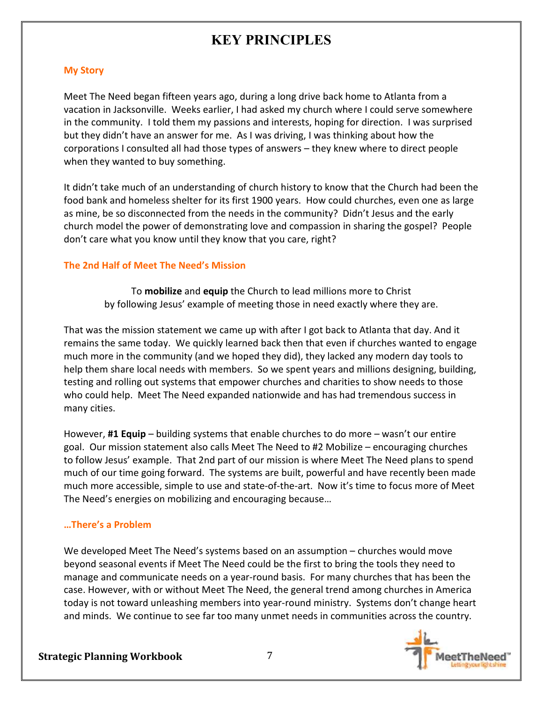### **My Story**

Meet The Need began fifteen years ago, during a long drive back home to Atlanta from a vacation in Jacksonville. Weeks earlier, I had asked my church where I could serve somewhere in the community. I told them my passions and interests, hoping for direction. I was surprised but they didn't have an answer for me. As I was driving, I was thinking about how the corporations I consulted all had those types of answers – they knew where to direct people when they wanted to buy something.

It didn't take much of an understanding of church history to know that the Church had been the food bank and homeless shelter for its first 1900 years. How could churches, even one as large as mine, be so disconnected from the needs in the community? Didn't Jesus and the early church model the power of demonstrating love and compassion in sharing the gospel? People don't care what you know until they know that you care, right?

### **The 2nd Half of Meet The Need's Mission**

To **mobilize** and **equip** the Church to lead millions more to Christ by following Jesus' example of meeting those in need exactly where they are.

That was the mission statement we came up with after I got back to Atlanta that day. And it remains the same today. We quickly learned back then that even if churches wanted to engage much more in the community (and we hoped they did), they lacked any modern day tools to help them share local needs with members. So we spent years and millions designing, building, testing and rolling out systems that empower churches and charities to show needs to those who could help. Meet The Need expanded nationwide and has had tremendous success in many cities.

However, **#1 Equip** – building systems that enable churches to do more – wasn't our entire goal. Our mission statement also calls Meet The Need to #2 Mobilize – encouraging churches to follow Jesus' example. That 2nd part of our mission is where Meet The Need plans to spend much of our time going forward. The systems are built, powerful and have recently been made much more accessible, simple to use and state-of-the-art. Now it's time to focus more of Meet The Need's energies on mobilizing and encouraging because…

### **…There's a Problem**

We developed Meet The Need's systems based on an assumption – churches would move beyond seasonal events if Meet The Need could be the first to bring the tools they need to manage and communicate needs on a year-round basis. For many churches that has been the case. However, with or without Meet The Need, the general trend among churches in America today is not toward unleashing members into year-round ministry. Systems don't change heart and minds. We continue to see far too many unmet needs in communities across the country.

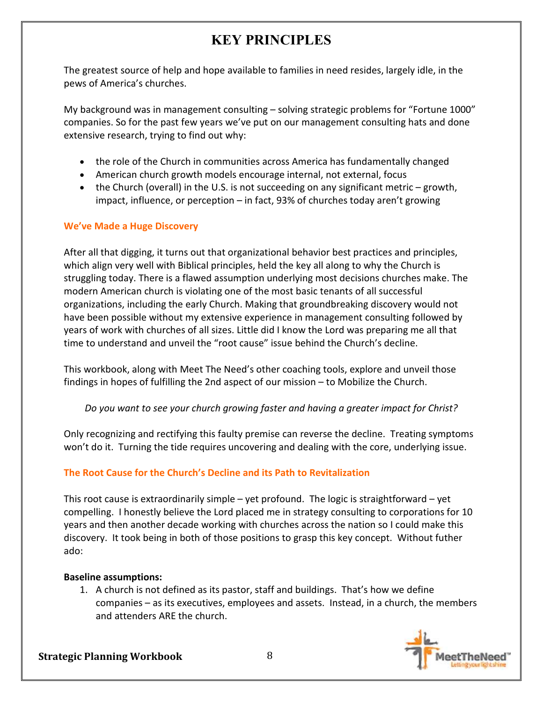The greatest source of help and hope available to families in need resides, largely idle, in the pews of America's churches.

My background was in management consulting – solving strategic problems for "Fortune 1000" companies. So for the past few years we've put on our management consulting hats and done extensive research, trying to find out why:

- the role of the Church in communities across America has fundamentally changed
- American church growth models encourage internal, not external, focus
- the Church (overall) in the U.S. is not succeeding on any significant metric growth, impact, influence, or perception – in fact, 93% of churches today aren't growing

### **We've Made a Huge Discovery**

After all that digging, it turns out that organizational behavior best practices and principles, which align very well with Biblical principles, held the key all along to why the Church is struggling today. There is a flawed assumption underlying most decisions churches make. The modern American church is violating one of the most basic tenants of all successful organizations, including the early Church. Making that groundbreaking discovery would not have been possible without my extensive experience in management consulting followed by years of work with churches of all sizes. Little did I know the Lord was preparing me all that time to understand and unveil the "root cause" issue behind the Church's decline.

This workbook, along with Meet The Need's other coaching tools, explore and unveil those findings in hopes of fulfilling the 2nd aspect of our mission – to Mobilize the Church.

*Do you want to see your church growing faster and having a greater impact for Christ?* 

Only recognizing and rectifying this faulty premise can reverse the decline. Treating symptoms won't do it. Turning the tide requires uncovering and dealing with the core, underlying issue.

### **The Root Cause for the Church's Decline and its Path to Revitalization**

This root cause is extraordinarily simple – yet profound. The logic is straightforward – yet compelling. I honestly believe the Lord placed me in strategy consulting to corporations for 10 years and then another decade working with churches across the nation so I could make this discovery. It took being in both of those positions to grasp this key concept. Without futher ado:

### **Baseline assumptions:**

1. A church is not defined as its pastor, staff and buildings. That's how we define companies – as its executives, employees and assets. Instead, in a church, the members and attenders ARE the church.

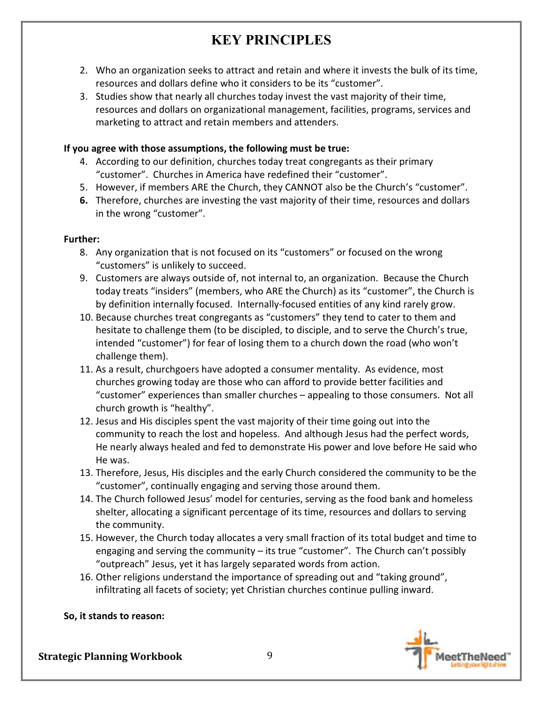- 2. Who an organization seeks to attract and retain and where it invests the bulk of its time, resources and dollars define who it considers to be its "customer".
- 3. Studies show that nearly all churches today invest the vast majority of their time, resources and dollars on organizational management, facilities, programs, services and marketing to attract and retain members and attenders.

### **If you agree with those assumptions, the following must be true:**

- 4. According to our definition, churches today treat congregants as their primary "customer". Churches in America have redefined their "customer".
- 5. However, if members ARE the Church, they CANNOT also be the Church's "customer".
- **6.** Therefore, churches are investing the vast majority of their time, resources and dollars in the wrong "customer".

### **Further:**

- 8. Any organization that is not focused on its "customers" or focused on the wrong "customers" is unlikely to succeed.
- 9. Customers are always outside of, not internal to, an organization. Because the Church today treats "insiders" (members, who ARE the Church) as its "customer", the Church is by definition internally focused. Internally-focused entities of any kind rarely grow.
- 10. Because churches treat congregants as "customers" they tend to cater to them and hesitate to challenge them (to be discipled, to disciple, and to serve the Church's true, intended "customer") for fear of losing them to a church down the road (who won't challenge them).
- 11. As a result, churchgoers have adopted a consumer mentality. As evidence, most churches growing today are those who can afford to provide better facilities and "customer" experiences than smaller churches – appealing to those consumers. Not all church growth is "healthy".
- 12. Jesus and His disciples spent the vast majority of their time going out into the community to reach the lost and hopeless. And although Jesus had the perfect words, He nearly always healed and fed to demonstrate His power and love before He said who He was.
- 13. Therefore, Jesus, His disciples and the early Church considered the community to be the "customer", continually engaging and serving those around them.
- 14. The Church followed Jesus' model for centuries, serving as the food bank and homeless shelter, allocating a significant percentage of its time, resources and dollars to serving the community.
- 15. However, the Church today allocates a very small fraction of its total budget and time to engaging and serving the community – its true "customer". The Church can't possibly "outpreach" Jesus, yet it has largely separated words from action.
- 16. Other religions understand the importance of spreading out and "taking ground", infiltrating all facets of society; yet Christian churches continue pulling inward.

### **So, it stands to reason:**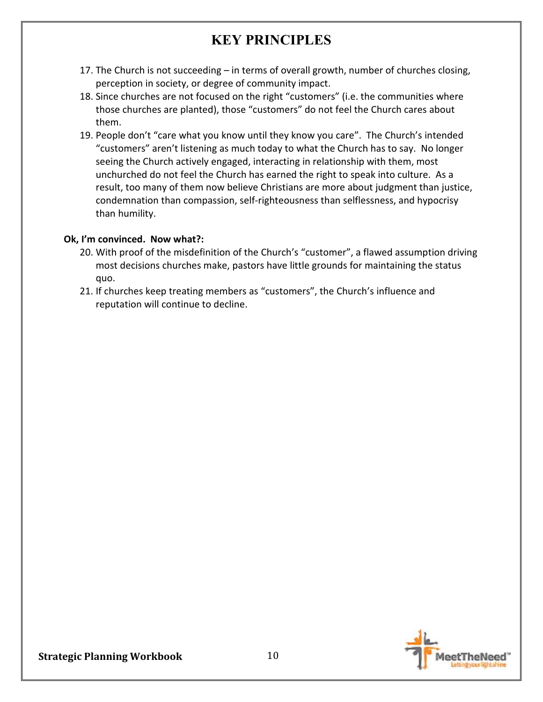- 17. The Church is not succeeding in terms of overall growth, number of churches closing, perception in society, or degree of community impact.
- 18. Since churches are not focused on the right "customers" (i.e. the communities where those churches are planted), those "customers" do not feel the Church cares about them.
- 19. People don't "care what you know until they know you care". The Church's intended "customers" aren't listening as much today to what the Church has to say. No longer seeing the Church actively engaged, interacting in relationship with them, most unchurched do not feel the Church has earned the right to speak into culture. As a result, too many of them now believe Christians are more about judgment than justice, condemnation than compassion, self-righteousness than selflessness, and hypocrisy than humility.

### **Ok, I'm convinced. Now what?:**

- 20. With proof of the misdefinition of the Church's "customer", a flawed assumption driving most decisions churches make, pastors have little grounds for maintaining the status quo.
- 21. If churches keep treating members as "customers", the Church's influence and reputation will continue to decline.

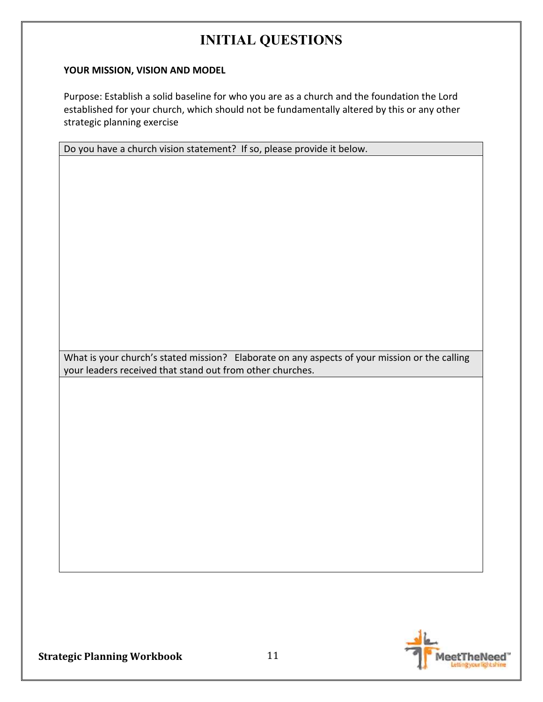### **YOUR MISSION, VISION AND MODEL**

Purpose: Establish a solid baseline for who you are as a church and the foundation the Lord established for your church, which should not be fundamentally altered by this or any other strategic planning exercise

Do you have a church vision statement? If so, please provide it below.

What is your church's stated mission? Elaborate on any aspects of your mission or the calling your leaders received that stand out from other churches.

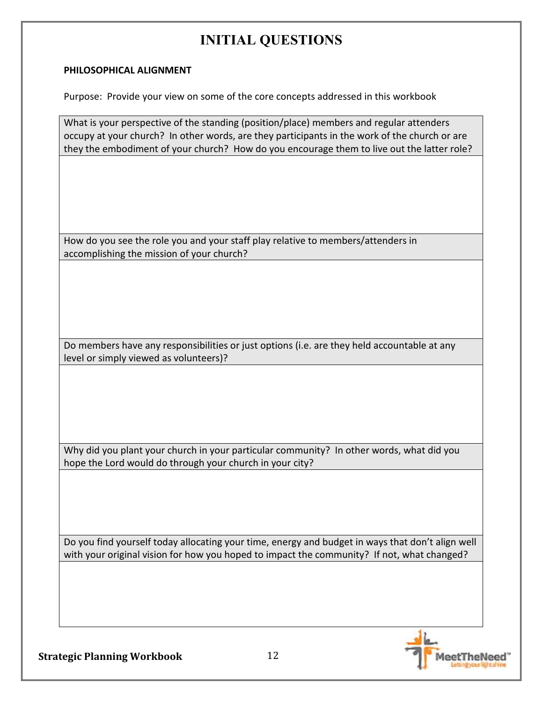### **PHILOSOPHICAL ALIGNMENT**

Purpose: Provide your view on some of the core concepts addressed in this workbook

What is your perspective of the standing (position/place) members and regular attenders occupy at your church? In other words, are they participants in the work of the church or are they the embodiment of your church? How do you encourage them to live out the latter role?

How do you see the role you and your staff play relative to members/attenders in accomplishing the mission of your church?

Do members have any responsibilities or just options (i.e. are they held accountable at any level or simply viewed as volunteers)?

Why did you plant your church in your particular community? In other words, what did you hope the Lord would do through your church in your city?

Do you find yourself today allocating your time, energy and budget in ways that don't align well with your original vision for how you hoped to impact the community? If not, what changed?

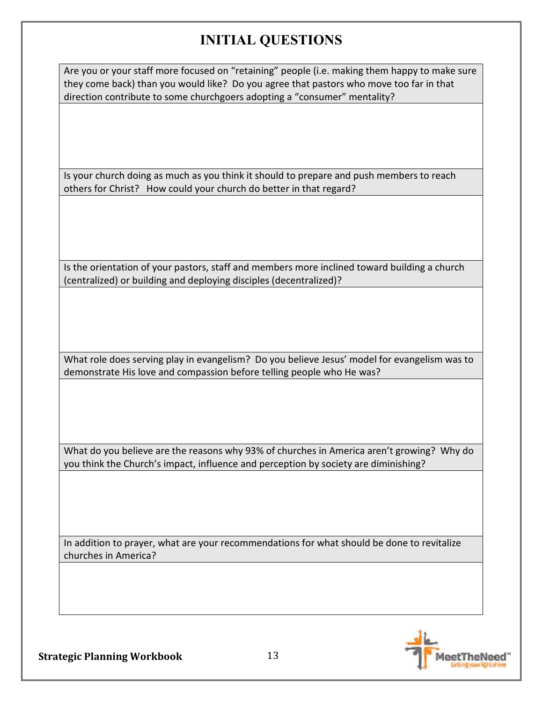Are you or your staff more focused on "retaining" people (i.e. making them happy to make sure they come back) than you would like? Do you agree that pastors who move too far in that direction contribute to some churchgoers adopting a "consumer" mentality?

Is your church doing as much as you think it should to prepare and push members to reach others for Christ? How could your church do better in that regard?

Is the orientation of your pastors, staff and members more inclined toward building a church (centralized) or building and deploying disciples (decentralized)?

What role does serving play in evangelism? Do you believe Jesus' model for evangelism was to demonstrate His love and compassion before telling people who He was?

What do you believe are the reasons why 93% of churches in America aren't growing? Why do you think the Church's impact, influence and perception by society are diminishing?

In addition to prayer, what are your recommendations for what should be done to revitalize churches in America?

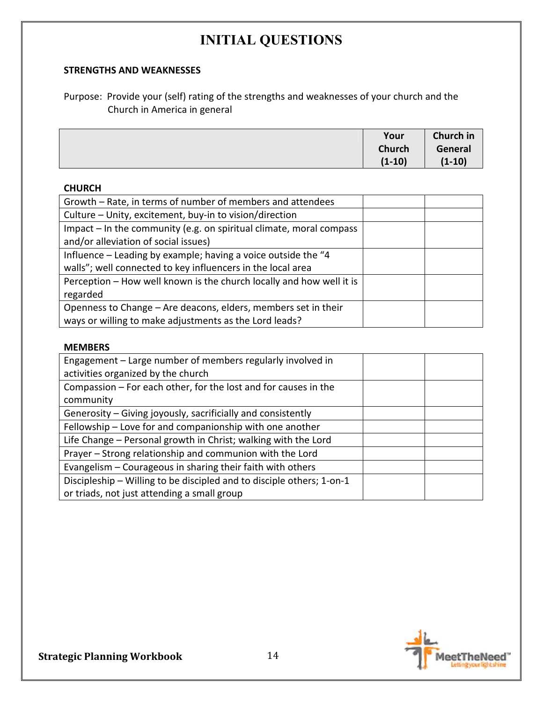### **STRENGTHS AND WEAKNESSES**

Purpose: Provide your (self) rating of the strengths and weaknesses of your church and the Church in America in general

| Your          | Church in |
|---------------|-----------|
| <b>Church</b> | General   |
| $(1-10)$      | $(1-10)$  |

#### **CHURCH**

| Growth – Rate, in terms of number of members and attendees           |  |
|----------------------------------------------------------------------|--|
| Culture - Unity, excitement, buy-in to vision/direction              |  |
| Impact - In the community (e.g. on spiritual climate, moral compass  |  |
| and/or alleviation of social issues)                                 |  |
| Influence – Leading by example; having a voice outside the "4        |  |
| walls"; well connected to key influencers in the local area          |  |
| Perception – How well known is the church locally and how well it is |  |
| regarded                                                             |  |
| Openness to Change – Are deacons, elders, members set in their       |  |
| ways or willing to make adjustments as the Lord leads?               |  |

#### **MEMBERS**

| Engagement – Large number of members regularly involved in            |  |
|-----------------------------------------------------------------------|--|
| activities organized by the church                                    |  |
| Compassion – For each other, for the lost and for causes in the       |  |
| community                                                             |  |
| Generosity – Giving joyously, sacrificially and consistently          |  |
| Fellowship - Love for and companionship with one another              |  |
| Life Change - Personal growth in Christ; walking with the Lord        |  |
| Prayer - Strong relationship and communion with the Lord              |  |
| Evangelism - Courageous in sharing their faith with others            |  |
| Discipleship – Willing to be discipled and to disciple others; 1-on-1 |  |
| or triads, not just attending a small group                           |  |

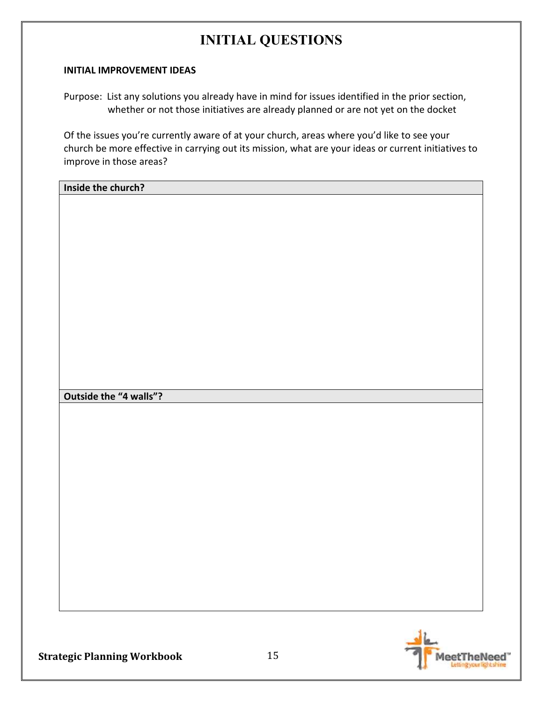#### **INITIAL IMPROVEMENT IDEAS**

Purpose: List any solutions you already have in mind for issues identified in the prior section, whether or not those initiatives are already planned or are not yet on the docket

Of the issues you're currently aware of at your church, areas where you'd like to see your church be more effective in carrying out its mission, what are your ideas or current initiatives to improve in those areas?

**Inside the church?** 

**Outside the "4 walls"?** 

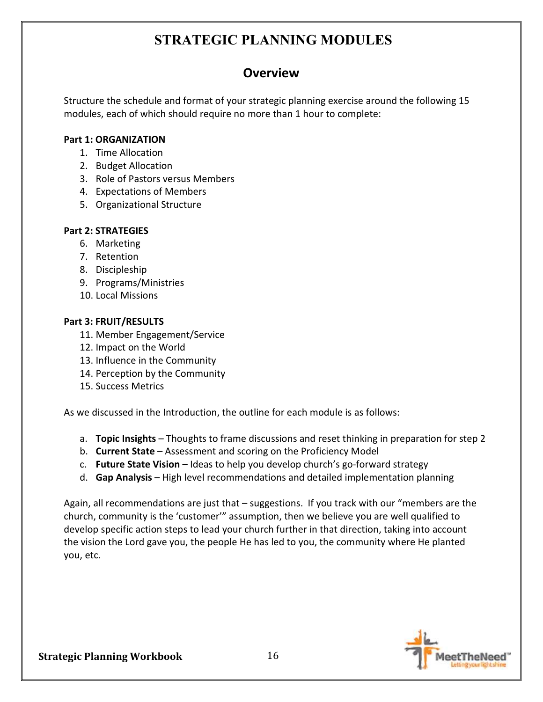# **STRATEGIC PLANNING MODULES**

## **Overview**

Structure the schedule and format of your strategic planning exercise around the following 15 modules, each of which should require no more than 1 hour to complete:

### **Part 1: ORGANIZATION**

- 1. Time Allocation
- 2. Budget Allocation
- 3. Role of Pastors versus Members
- 4. Expectations of Members
- 5. Organizational Structure

### **Part 2: STRATEGIES**

- 6. Marketing
- 7. Retention
- 8. Discipleship
- 9. Programs/Ministries
- 10. Local Missions

### **Part 3: FRUIT/RESULTS**

- 11. Member Engagement/Service
- 12. Impact on the World
- 13. Influence in the Community
- 14. Perception by the Community
- 15. Success Metrics

As we discussed in the Introduction, the outline for each module is as follows:

- a. **Topic Insights** Thoughts to frame discussions and reset thinking in preparation for step 2
- b. **Current State** Assessment and scoring on the Proficiency Model
- c. **Future State Vision** Ideas to help you develop church's go-forward strategy
- d. **Gap Analysis** High level recommendations and detailed implementation planning

Again, all recommendations are just that – suggestions. If you track with our "members are the church, community is the 'customer'" assumption, then we believe you are well qualified to develop specific action steps to lead your church further in that direction, taking into account the vision the Lord gave you, the people He has led to you, the community where He planted you, etc.

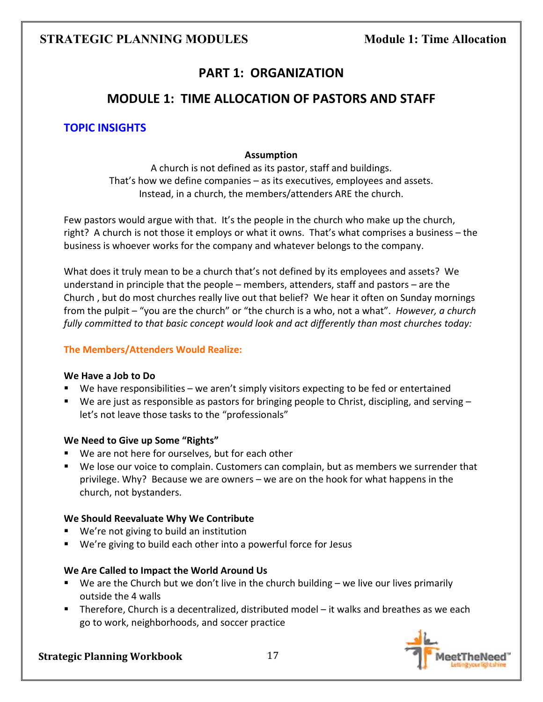## **PART 1: ORGANIZATION**

### **MODULE 1: TIME ALLOCATION OF PASTORS AND STAFF**

### **TOPIC INSIGHTS**

### **Assumption**

A church is not defined as its pastor, staff and buildings. That's how we define companies – as its executives, employees and assets. Instead, in a church, the members/attenders ARE the church.

Few pastors would argue with that. It's the people in the church who make up the church, right? A church is not those it employs or what it owns. That's what comprises a business – the business is whoever works for the company and whatever belongs to the company.

What does it truly mean to be a church that's not defined by its employees and assets? We understand in principle that the people – members, attenders, staff and pastors – are the Church , but do most churches really live out that belief? We hear it often on Sunday mornings from the pulpit – "you are the church" or "the church is a who, not a what". *However, a church fully committed to that basic concept would look and act differently than most churches today:* 

### **The Members/Attenders Would Realize:**

#### **We Have a Job to Do**

- We have responsibilities we aren't simply visitors expecting to be fed or entertained
- We are just as responsible as pastors for bringing people to Christ, discipling, and serving  $$ let's not leave those tasks to the "professionals"

### **We Need to Give up Some "Rights"**

- We are not here for ourselves, but for each other
- We lose our voice to complain. Customers can complain, but as members we surrender that privilege. Why? Because we are owners – we are on the hook for what happens in the church, not bystanders.

### **We Should Reevaluate Why We Contribute**

- We're not giving to build an institution
- We're giving to build each other into a powerful force for Jesus

### **We Are Called to Impact the World Around Us**

- $\blacksquare$  We are the Church but we don't live in the church building we live our lives primarily outside the 4 walls
- Therefore, Church is a decentralized, distributed model it walks and breathes as we each go to work, neighborhoods, and soccer practice

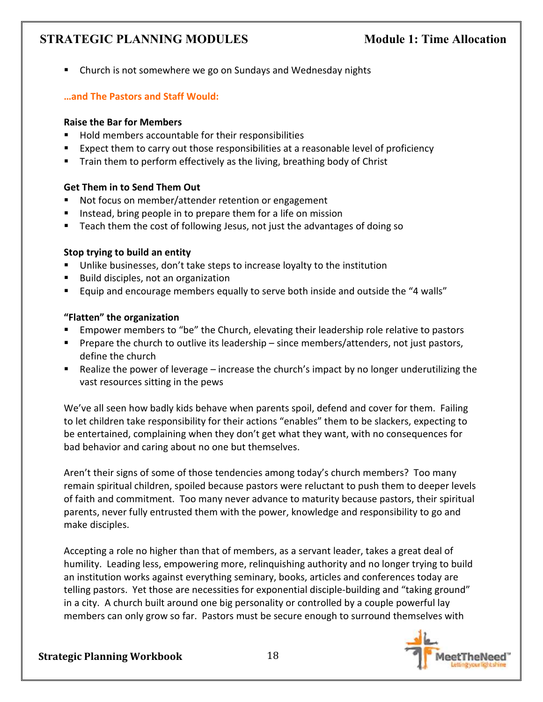■ Church is not somewhere we go on Sundays and Wednesday nights

### **…and The Pastors and Staff Would:**

### **Raise the Bar for Members**

- Hold members accountable for their responsibilities
- Expect them to carry out those responsibilities at a reasonable level of proficiency
- Train them to perform effectively as the living, breathing body of Christ

### **Get Them in to Send Them Out**

- Not focus on member/attender retention or engagement
- Instead, bring people in to prepare them for a life on mission
- Teach them the cost of following Jesus, not just the advantages of doing so

### **Stop trying to build an entity**

- Unlike businesses, don't take steps to increase loyalty to the institution
- Build disciples, not an organization
- Equip and encourage members equally to serve both inside and outside the "4 walls"

### **"Flatten" the organization**

- Empower members to "be" the Church, elevating their leadership role relative to pastors
- **Prepare the church to outlive its leadership since members/attenders, not just pastors,** define the church
- Realize the power of leverage increase the church's impact by no longer underutilizing the vast resources sitting in the pews

We've all seen how badly kids behave when parents spoil, defend and cover for them. Failing to let children take responsibility for their actions "enables" them to be slackers, expecting to be entertained, complaining when they don't get what they want, with no consequences for bad behavior and caring about no one but themselves.

Aren't their signs of some of those tendencies among today's church members? Too many remain spiritual children, spoiled because pastors were reluctant to push them to deeper levels of faith and commitment. Too many never advance to maturity because pastors, their spiritual parents, never fully entrusted them with the power, knowledge and responsibility to go and make disciples.

Accepting a role no higher than that of members, as a servant leader, takes a great deal of humility. Leading less, empowering more, relinquishing authority and no longer trying to build an institution works against everything seminary, books, articles and conferences today are telling pastors. Yet those are necessities for exponential disciple-building and "taking ground" in a city. A church built around one big personality or controlled by a couple powerful lay members can only grow so far. Pastors must be secure enough to surround themselves with

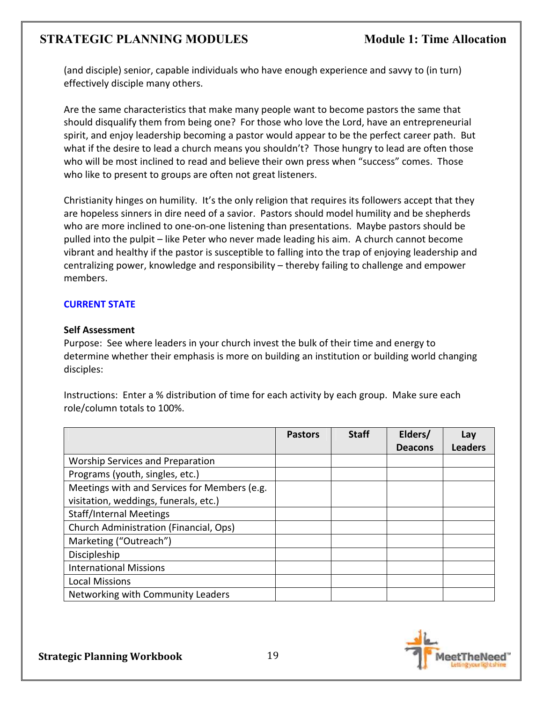(and disciple) senior, capable individuals who have enough experience and savvy to (in turn) effectively disciple many others.

Are the same characteristics that make many people want to become pastors the same that should disqualify them from being one? For those who love the Lord, have an entrepreneurial spirit, and enjoy leadership becoming a pastor would appear to be the perfect career path. But what if the desire to lead a church means you shouldn't? Those hungry to lead are often those who will be most inclined to read and believe their own press when "success" comes. Those who like to present to groups are often not great listeners.

Christianity hinges on humility. It's the only religion that requires its followers accept that they are hopeless sinners in dire need of a savior. Pastors should model humility and be shepherds who are more inclined to one-on-one listening than presentations. Maybe pastors should be pulled into the pulpit – like Peter who never made leading his aim. A church cannot become vibrant and healthy if the pastor is susceptible to falling into the trap of enjoying leadership and centralizing power, knowledge and responsibility – thereby failing to challenge and empower members.

### **CURRENT STATE**

### **Self Assessment**

Purpose: See where leaders in your church invest the bulk of their time and energy to determine whether their emphasis is more on building an institution or building world changing disciples:

Instructions: Enter a % distribution of time for each activity by each group. Make sure each role/column totals to 100%.

|                                              | <b>Pastors</b> | <b>Staff</b> | Elders/        | Lay            |
|----------------------------------------------|----------------|--------------|----------------|----------------|
|                                              |                |              | <b>Deacons</b> | <b>Leaders</b> |
| <b>Worship Services and Preparation</b>      |                |              |                |                |
| Programs (youth, singles, etc.)              |                |              |                |                |
| Meetings with and Services for Members (e.g. |                |              |                |                |
| visitation, weddings, funerals, etc.)        |                |              |                |                |
| <b>Staff/Internal Meetings</b>               |                |              |                |                |
| Church Administration (Financial, Ops)       |                |              |                |                |
| Marketing ("Outreach")                       |                |              |                |                |
| Discipleship                                 |                |              |                |                |
| <b>International Missions</b>                |                |              |                |                |
| <b>Local Missions</b>                        |                |              |                |                |
| Networking with Community Leaders            |                |              |                |                |

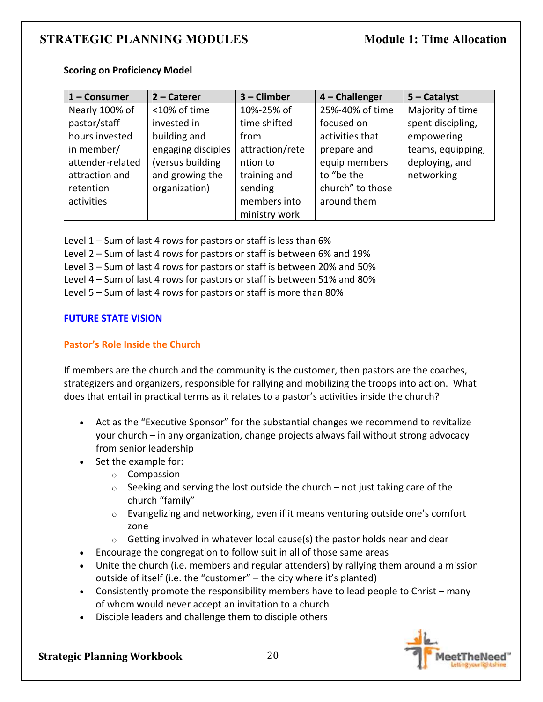| 1 - Consumer     | $2 -$ Caterer      | 3 - Climber     | $4$ – Challenger | $5 -$ Catalyst    |
|------------------|--------------------|-----------------|------------------|-------------------|
| Nearly 100% of   | <10% of time       | 10%-25% of      | 25%-40% of time  | Majority of time  |
| pastor/staff     | invested in        | time shifted    | focused on       | spent discipling, |
| hours invested   | building and       | from            | activities that  | empowering        |
| in member/       | engaging disciples | attraction/rete | prepare and      | teams, equipping, |
| attender-related | (versus building   | ntion to        | equip members    | deploying, and    |
| attraction and   | and growing the    | training and    | to "be the       | networking        |
| retention        | organization)      | sending         | church" to those |                   |
| activities       |                    | members into    | around them      |                   |
|                  |                    | ministry work   |                  |                   |

### **Scoring on Proficiency Model**

Level 1 – Sum of last 4 rows for pastors or staff is less than 6%

Level 2 – Sum of last 4 rows for pastors or staff is between 6% and 19%

Level 3 – Sum of last 4 rows for pastors or staff is between 20% and 50%

Level 4 – Sum of last 4 rows for pastors or staff is between 51% and 80%

Level 5 – Sum of last 4 rows for pastors or staff is more than 80%

### **FUTURE STATE VISION**

### **Pastor's Role Inside the Church**

If members are the church and the community is the customer, then pastors are the coaches, strategizers and organizers, responsible for rallying and mobilizing the troops into action. What does that entail in practical terms as it relates to a pastor's activities inside the church?

- Act as the "Executive Sponsor" for the substantial changes we recommend to revitalize your church – in any organization, change projects always fail without strong advocacy from senior leadership
- Set the example for:
	- o Compassion
	- $\circ$  Seeking and serving the lost outside the church not just taking care of the church "family"
	- o Evangelizing and networking, even if it means venturing outside one's comfort zone
	- $\circ$  Getting involved in whatever local cause(s) the pastor holds near and dear
- Encourage the congregation to follow suit in all of those same areas
- Unite the church (i.e. members and regular attenders) by rallying them around a mission outside of itself (i.e. the "customer" – the city where it's planted)
- Consistently promote the responsibility members have to lead people to Christ many of whom would never accept an invitation to a church
- Disciple leaders and challenge them to disciple others

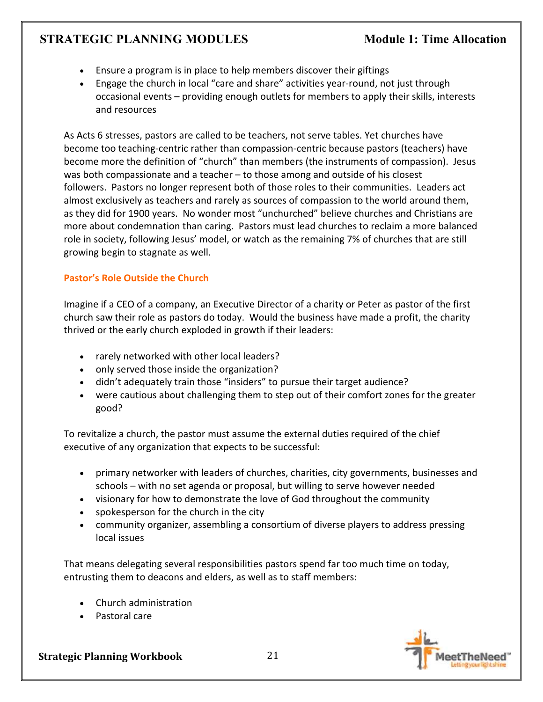- Ensure a program is in place to help members discover their giftings
- Engage the church in local "care and share" activities year-round, not just through occasional events – providing enough outlets for members to apply their skills, interests and resources

As Acts 6 stresses, pastors are called to be teachers, not serve tables. Yet churches have become too teaching-centric rather than compassion-centric because pastors (teachers) have become more the definition of "church" than members (the instruments of compassion). Jesus was both compassionate and a teacher – to those among and outside of his closest followers. Pastors no longer represent both of those roles to their communities.Leaders act almost exclusively as teachers and rarely as sources of compassion to the world around them, as they did for 1900 years. No wonder most "unchurched" believe churches and Christians are more about condemnation than caring. Pastors must lead churches to reclaim a more balanced role in society, following Jesus' model, or watch as the remaining 7% of churches that are still growing begin to stagnate as well.

### **Pastor's Role Outside the Church**

Imagine if a CEO of a company, an Executive Director of a charity or Peter as pastor of the first church saw their role as pastors do today. Would the business have made a profit, the charity thrived or the early church exploded in growth if their leaders:

- rarely networked with other local leaders?
- only served those inside the organization?
- didn't adequately train those "insiders" to pursue their target audience?
- were cautious about challenging them to step out of their comfort zones for the greater good?

To revitalize a church, the pastor must assume the external duties required of the chief executive of any organization that expects to be successful:

- primary networker with leaders of churches, charities, city governments, businesses and schools – with no set agenda or proposal, but willing to serve however needed
- visionary for how to demonstrate the love of God throughout the community
- spokesperson for the church in the city
- community organizer, assembling a consortium of diverse players to address pressing local issues

That means delegating several responsibilities pastors spend far too much time on today, entrusting them to deacons and elders, as well as to staff members:

- Church administration
- Pastoral care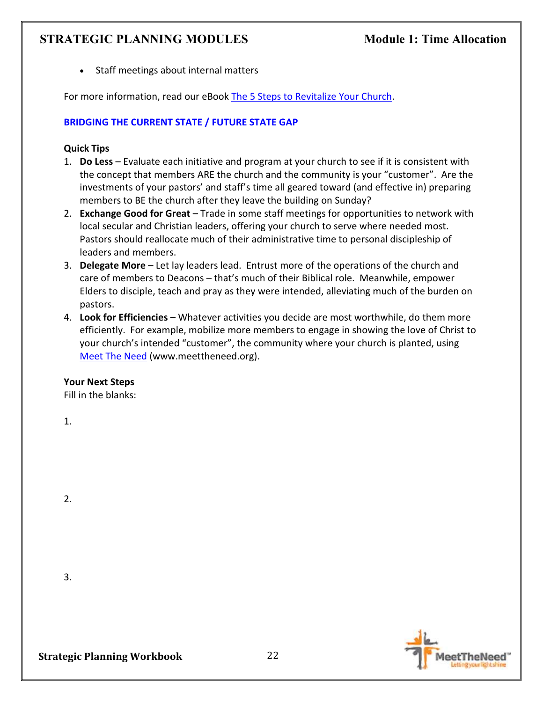• Staff meetings about internal matters

For more information, read our eBook The 5 Steps to Revitalize Your Church.

### **BRIDGING THE CURRENT STATE / FUTURE STATE GAP**

### **Quick Tips**

- 1. **Do Less** Evaluate each initiative and program at your church to see if it is consistent with the concept that members ARE the church and the community is your "customer". Are the investments of your pastors' and staff's time all geared toward (and effective in) preparing members to BE the church after they leave the building on Sunday?
- 2. **Exchange Good for Great** Trade in some staff meetings for opportunities to network with local secular and Christian leaders, offering your church to serve where needed most. Pastors should reallocate much of their administrative time to personal discipleship of leaders and members.
- 3. **Delegate More** Let lay leaders lead. Entrust more of the operations of the church and care of members to Deacons – that's much of their Biblical role. Meanwhile, empower Elders to disciple, teach and pray as they were intended, alleviating much of the burden on pastors.
- 4. **Look for Efficiencies** Whatever activities you decide are most worthwhile, do them more efficiently. For example, mobilize more members to engage in showing the love of Christ to your church's intended "customer", the community where your church is planted, using Meet The Need (www.meettheneed.org).

### **Your Next Steps**

Fill in the blanks:

1.

2.

3.

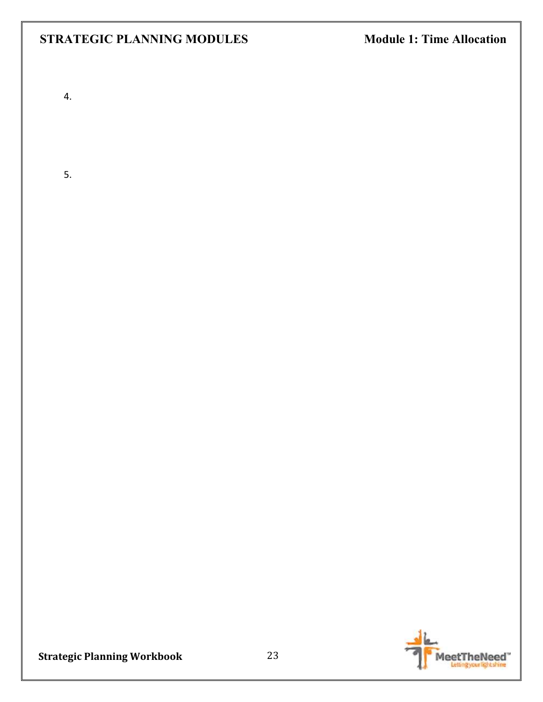4.

5.

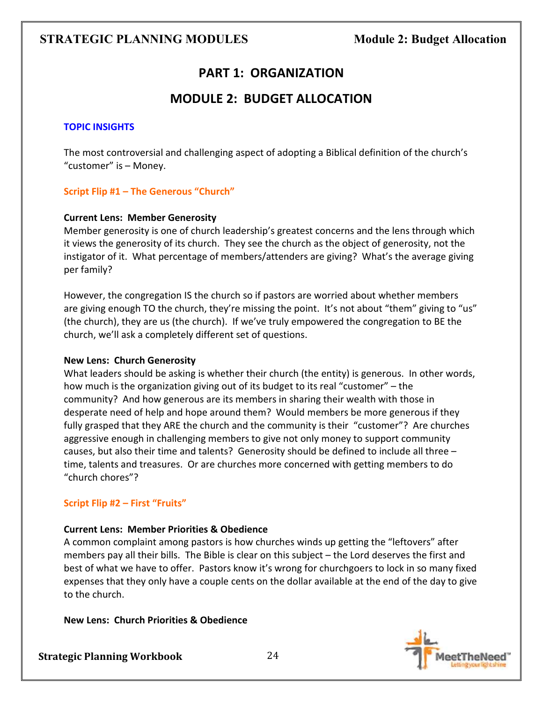## **PART 1: ORGANIZATION**

### **MODULE 2: BUDGET ALLOCATION**

### **TOPIC INSIGHTS**

The most controversial and challenging aspect of adopting a Biblical definition of the church's "customer" is – Money.

### **Script Flip #1 – The Generous "Church"**

### **Current Lens: Member Generosity**

Member generosity is one of church leadership's greatest concerns and the lens through which it views the generosity of its church. They see the church as the object of generosity, not the instigator of it. What percentage of members/attenders are giving? What's the average giving per family?

However, the congregation IS the church so if pastors are worried about whether members are giving enough TO the church, they're missing the point. It's not about "them" giving to "us" (the church), they are us (the church). If we've truly empowered the congregation to BE the church, we'll ask a completely different set of questions.

### **New Lens: Church Generosity**

What leaders should be asking is whether their church (the entity) is generous. In other words, how much is the organization giving out of its budget to its real "customer" – the community? And how generous are its members in sharing their wealth with those in desperate need of help and hope around them? Would members be more generous if they fully grasped that they ARE the church and the community is their "customer"? Are churches aggressive enough in challenging members to give not only money to support community causes, but also their time and talents? Generosity should be defined to include all three – time, talents and treasures. Or are churches more concerned with getting members to do "church chores"?

### **Script Flip #2 – First "Fruits"**

### **Current Lens: Member Priorities & Obedience**

A common complaint among pastors is how churches winds up getting the "leftovers" after members pay all their bills. The Bible is clear on this subject – the Lord deserves the first and best of what we have to offer. Pastors know it's wrong for churchgoers to lock in so many fixed expenses that they only have a couple cents on the dollar available at the end of the day to give to the church.

### **New Lens: Church Priorities & Obedience**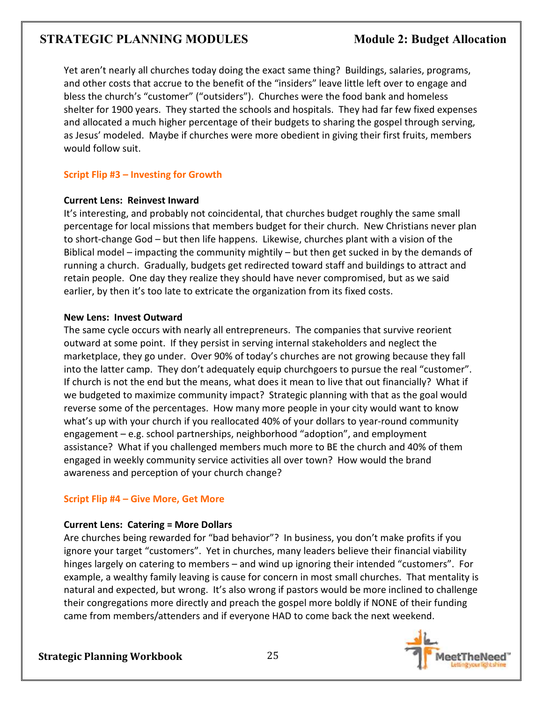Yet aren't nearly all churches today doing the exact same thing? Buildings, salaries, programs, and other costs that accrue to the benefit of the "insiders" leave little left over to engage and bless the church's "customer" ("outsiders"). Churches were the food bank and homeless shelter for 1900 years. They started the schools and hospitals. They had far few fixed expenses and allocated a much higher percentage of their budgets to sharing the gospel through serving, as Jesus' modeled. Maybe if churches were more obedient in giving their first fruits, members would follow suit.

### **Script Flip #3 – Investing for Growth**

### **Current Lens: Reinvest Inward**

It's interesting, and probably not coincidental, that churches budget roughly the same small percentage for local missions that members budget for their church. New Christians never plan to short-change God – but then life happens. Likewise, churches plant with a vision of the Biblical model – impacting the community mightily – but then get sucked in by the demands of running a church. Gradually, budgets get redirected toward staff and buildings to attract and retain people. One day they realize they should have never compromised, but as we said earlier, by then it's too late to extricate the organization from its fixed costs.

### **New Lens: Invest Outward**

The same cycle occurs with nearly all entrepreneurs. The companies that survive reorient outward at some point. If they persist in serving internal stakeholders and neglect the marketplace, they go under. Over 90% of today's churches are not growing because they fall into the latter camp. They don't adequately equip churchgoers to pursue the real "customer". If church is not the end but the means, what does it mean to live that out financially? What if we budgeted to maximize community impact? Strategic planning with that as the goal would reverse some of the percentages. How many more people in your city would want to know what's up with your church if you reallocated 40% of your dollars to year-round community engagement – e.g. school partnerships, neighborhood "adoption", and employment assistance? What if you challenged members much more to BE the church and 40% of them engaged in weekly community service activities all over town? How would the brand awareness and perception of your church change?

### **Script Flip #4 – Give More, Get More**

### **Current Lens: Catering = More Dollars**

Are churches being rewarded for "bad behavior"? In business, you don't make profits if you ignore your target "customers". Yet in churches, many leaders believe their financial viability hinges largely on catering to members – and wind up ignoring their intended "customers". For example, a wealthy family leaving is cause for concern in most small churches. That mentality is natural and expected, but wrong. It's also wrong if pastors would be more inclined to challenge their congregations more directly and preach the gospel more boldly if NONE of their funding came from members/attenders and if everyone HAD to come back the next weekend.

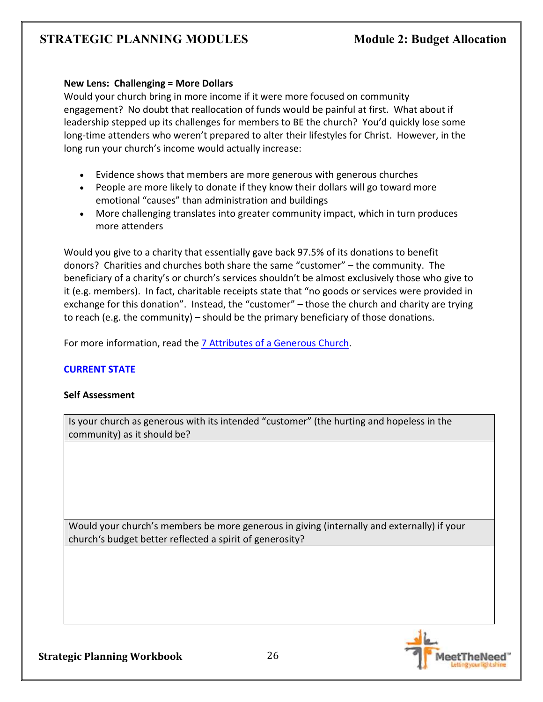### **New Lens: Challenging = More Dollars**

Would your church bring in more income if it were more focused on community engagement? No doubt that reallocation of funds would be painful at first. What about if leadership stepped up its challenges for members to BE the church? You'd quickly lose some long-time attenders who weren't prepared to alter their lifestyles for Christ. However, in the long run your church's income would actually increase:

- Evidence shows that members are more generous with generous churches
- People are more likely to donate if they know their dollars will go toward more emotional "causes" than administration and buildings
- More challenging translates into greater community impact, which in turn produces more attenders

Would you give to a charity that essentially gave back 97.5% of its donations to benefit donors? Charities and churches both share the same "customer" – the community. The beneficiary of a charity's or church's services shouldn't be almost exclusively those who give to it (e.g. members). In fact, charitable receipts state that "no goods or services were provided in exchange for this donation". Instead, the "customer" – those the church and charity are trying to reach (e.g. the community) – should be the primary beneficiary of those donations.

For more information, read the 7 Attributes of a Generous Church.

### **CURRENT STATE**

### **Self Assessment**

Is your church as generous with its intended "customer" (the hurting and hopeless in the community) as it should be?

Would your church's members be more generous in giving (internally and externally) if your church's budget better reflected a spirit of generosity?

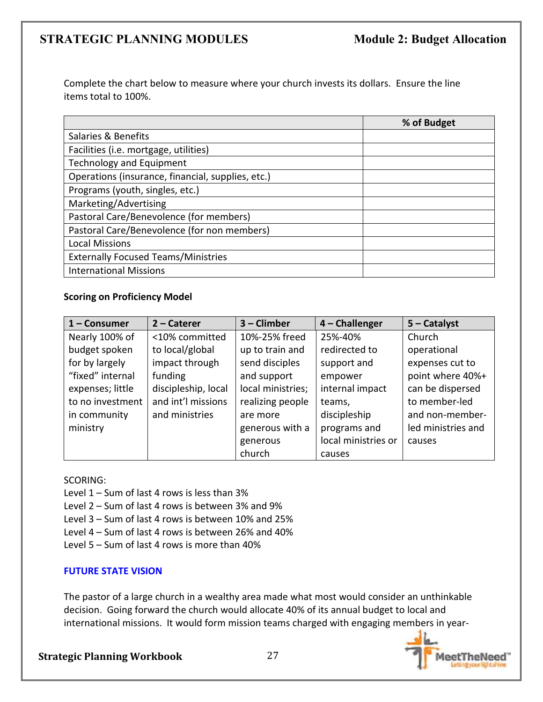Complete the chart below to measure where your church invests its dollars. Ensure the line items total to 100%.

|                                                   | % of Budget |
|---------------------------------------------------|-------------|
| Salaries & Benefits                               |             |
| Facilities (i.e. mortgage, utilities)             |             |
| <b>Technology and Equipment</b>                   |             |
| Operations (insurance, financial, supplies, etc.) |             |
| Programs (youth, singles, etc.)                   |             |
| Marketing/Advertising                             |             |
| Pastoral Care/Benevolence (for members)           |             |
| Pastoral Care/Benevolence (for non members)       |             |
| <b>Local Missions</b>                             |             |
| <b>Externally Focused Teams/Ministries</b>        |             |
| <b>International Missions</b>                     |             |

### **Scoring on Proficiency Model**

| $1 -$ Consumer   | $2$ – Caterer       | $3$ – Climber     | 4 - Challenger      | $5 -$ Catalyst     |
|------------------|---------------------|-------------------|---------------------|--------------------|
| Nearly 100% of   | <10% committed      | 10%-25% freed     | 25%-40%             | Church             |
| budget spoken    | to local/global     | up to train and   | redirected to       | operational        |
| for by largely   | impact through      | send disciples    | support and         | expenses cut to    |
| "fixed" internal | funding             | and support       | empower             | point where 40%+   |
| expenses; little | discipleship, local | local ministries; | internal impact     | can be dispersed   |
| to no investment | and int'l missions  | realizing people  | teams,              | to member-led      |
| in community     | and ministries      | are more          | discipleship        | and non-member-    |
| ministry         |                     | generous with a   | programs and        | led ministries and |
|                  |                     | generous          | local ministries or | causes             |
|                  |                     | church            | causes              |                    |

### SCORING:

Level 1 – Sum of last 4 rows is less than 3% Level 2 – Sum of last 4 rows is between 3% and 9% Level 3 – Sum of last 4 rows is between 10% and 25% Level 4 – Sum of last 4 rows is between 26% and 40% Level 5 – Sum of last 4 rows is more than 40%

### **FUTURE STATE VISION**

The pastor of a large church in a wealthy area made what most would consider an unthinkable decision. Going forward the church would allocate 40% of its annual budget to local and international missions. It would form mission teams charged with engaging members in year-

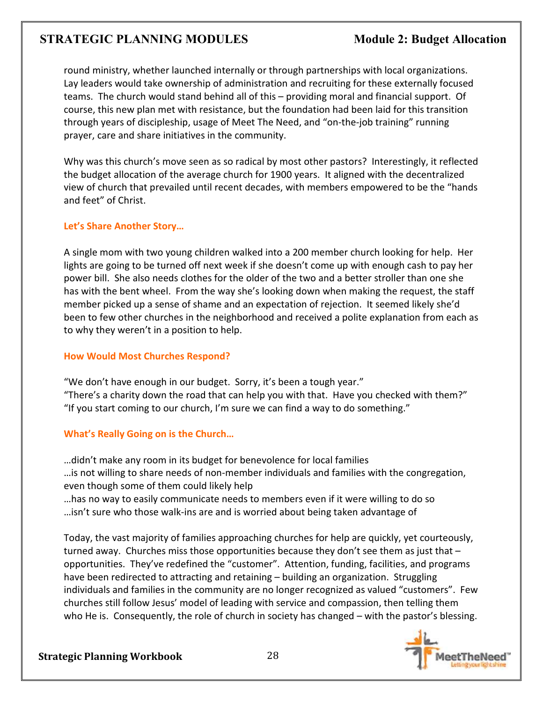round ministry, whether launched internally or through partnerships with local organizations. Lay leaders would take ownership of administration and recruiting for these externally focused teams. The church would stand behind all of this – providing moral and financial support. Of course, this new plan met with resistance, but the foundation had been laid for this transition through years of discipleship, usage of Meet The Need, and "on-the-job training" running prayer, care and share initiatives in the community.

Why was this church's move seen as so radical by most other pastors? Interestingly, it reflected the budget allocation of the average church for 1900 years. It aligned with the decentralized view of church that prevailed until recent decades, with members empowered to be the "hands and feet" of Christ.

### **Let's Share Another Story…**

A single mom with two young children walked into a 200 member church looking for help. Her lights are going to be turned off next week if she doesn't come up with enough cash to pay her power bill. She also needs clothes for the older of the two and a better stroller than one she has with the bent wheel. From the way she's looking down when making the request, the staff member picked up a sense of shame and an expectation of rejection. It seemed likely she'd been to few other churches in the neighborhood and received a polite explanation from each as to why they weren't in a position to help.

### **How Would Most Churches Respond?**

"We don't have enough in our budget. Sorry, it's been a tough year." "There's a charity down the road that can help you with that. Have you checked with them?" "If you start coming to our church, I'm sure we can find a way to do something."

### **What's Really Going on is the Church…**

…didn't make any room in its budget for benevolence for local families …is not willing to share needs of non-member individuals and families with the congregation, even though some of them could likely help

…has no way to easily communicate needs to members even if it were willing to do so …isn't sure who those walk-ins are and is worried about being taken advantage of

Today, the vast majority of families approaching churches for help are quickly, yet courteously, turned away. Churches miss those opportunities because they don't see them as just that – opportunities. They've redefined the "customer". Attention, funding, facilities, and programs have been redirected to attracting and retaining – building an organization. Struggling individuals and families in the community are no longer recognized as valued "customers". Few churches still follow Jesus' model of leading with service and compassion, then telling them who He is. Consequently, the role of church in society has changed – with the pastor's blessing.

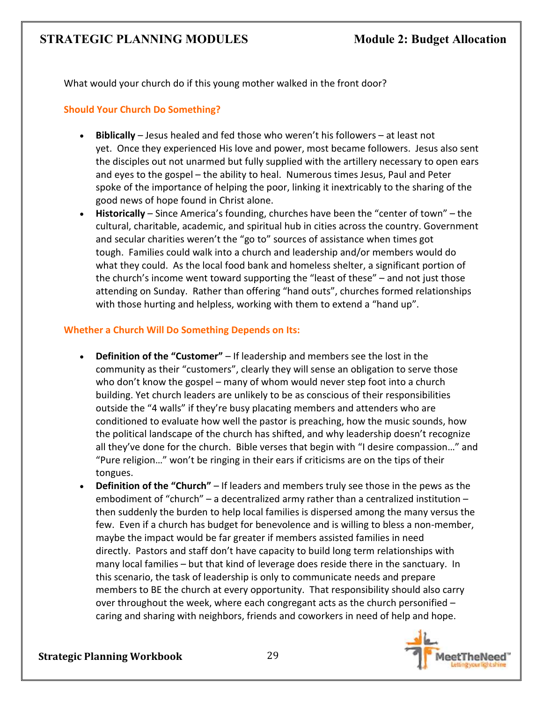What would your church do if this young mother walked in the front door?

### **Should Your Church Do Something?**

- **Biblically** Jesus healed and fed those who weren't his followers at least not yet. Once they experienced His love and power, most became followers. Jesus also sent the disciples out not unarmed but fully supplied with the artillery necessary to open ears and eyes to the gospel – the ability to heal. Numerous times Jesus, Paul and Peter spoke of the importance of helping the poor, linking it inextricably to the sharing of the good news of hope found in Christ alone.
- **Historically** Since America's founding, churches have been the "center of town" the cultural, charitable, academic, and spiritual hub in cities across the country. Government and secular charities weren't the "go to" sources of assistance when times got tough. Families could walk into a church and leadership and/or members would do what they could. As the local food bank and homeless shelter, a significant portion of the church's income went toward supporting the "least of these" – and not just those attending on Sunday. Rather than offering "hand outs", churches formed relationships with those hurting and helpless, working with them to extend a "hand up".

### **Whether a Church Will Do Something Depends on Its:**

- **Definition of the "Customer"** If leadership and members see the lost in the community as their "customers", clearly they will sense an obligation to serve those who don't know the gospel – many of whom would never step foot into a church building. Yet church leaders are unlikely to be as conscious of their responsibilities outside the "4 walls" if they're busy placating members and attenders who are conditioned to evaluate how well the pastor is preaching, how the music sounds, how the political landscape of the church has shifted, and why leadership doesn't recognize all they've done for the church. Bible verses that begin with "I desire compassion…" and "Pure religion…" won't be ringing in their ears if criticisms are on the tips of their tongues.
- **Definition of the "Church"** If leaders and members truly see those in the pews as the embodiment of "church" – a decentralized army rather than a centralized institution – then suddenly the burden to help local families is dispersed among the many versus the few. Even if a church has budget for benevolence and is willing to bless a non-member, maybe the impact would be far greater if members assisted families in need directly. Pastors and staff don't have capacity to build long term relationships with many local families – but that kind of leverage does reside there in the sanctuary. In this scenario, the task of leadership is only to communicate needs and prepare members to BE the church at every opportunity. That responsibility should also carry over throughout the week, where each congregant acts as the church personified – caring and sharing with neighbors, friends and coworkers in need of help and hope.

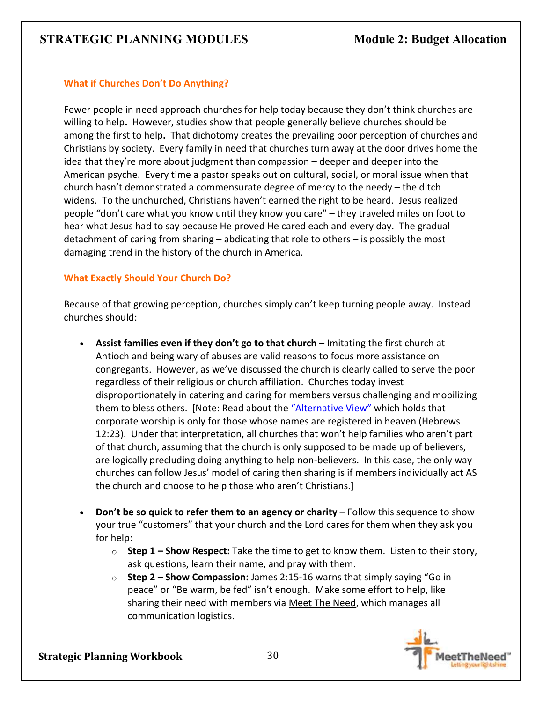### **What if Churches Don't Do Anything?**

Fewer people in need approach churches for help today because they don't think churches are willing to help**.** However, studies show that people generally believe churches should be among the first to help**.** That dichotomy creates the prevailing poor perception of churches and Christians by society. Every family in need that churches turn away at the door drives home the idea that they're more about judgment than compassion – deeper and deeper into the American psyche. Every time a pastor speaks out on cultural, social, or moral issue when that church hasn't demonstrated a commensurate degree of mercy to the needy – the ditch widens. To the unchurched, Christians haven't earned the right to be heard. Jesus realized people "don't care what you know until they know you care" – they traveled miles on foot to hear what Jesus had to say because He proved He cared each and every day. The gradual detachment of caring from sharing – abdicating that role to others – is possibly the most damaging trend in the history of the church in America.

### **What Exactly Should Your Church Do?**

Because of that growing perception, churches simply can't keep turning people away. Instead churches should:

- **Assist families even if they don't go to that church** Imitating the first church at Antioch and being wary of abuses are valid reasons to focus more assistance on congregants. However, as we've discussed the church is clearly called to serve the poor regardless of their religious or church affiliation. Churches today invest disproportionately in catering and caring for members versus challenging and mobilizing them to bless others. [Note: Read about the "Alternative View" which holds that corporate worship is only for those whose names are registered in heaven (Hebrews 12:23). Under that interpretation, all churches that won't help families who aren't part of that church, assuming that the church is only supposed to be made up of believers, are logically precluding doing anything to help non-believers. In this case, the only way churches can follow Jesus' model of caring then sharing is if members individually act AS the church and choose to help those who aren't Christians.]
- **Don't be so quick to refer them to an agency or charity** Follow this sequence to show your true "customers" that your church and the Lord cares for them when they ask you for help:
	- o **Step 1 Show Respect:** Take the time to get to know them. Listen to their story, ask questions, learn their name, and pray with them.
	- o **Step 2 Show Compassion:** James 2:15-16 warns that simply saying "Go in peace" or "Be warm, be fed" isn't enough. Make some effort to help, like sharing their need with members via Meet The Need, which manages all communication logistics.

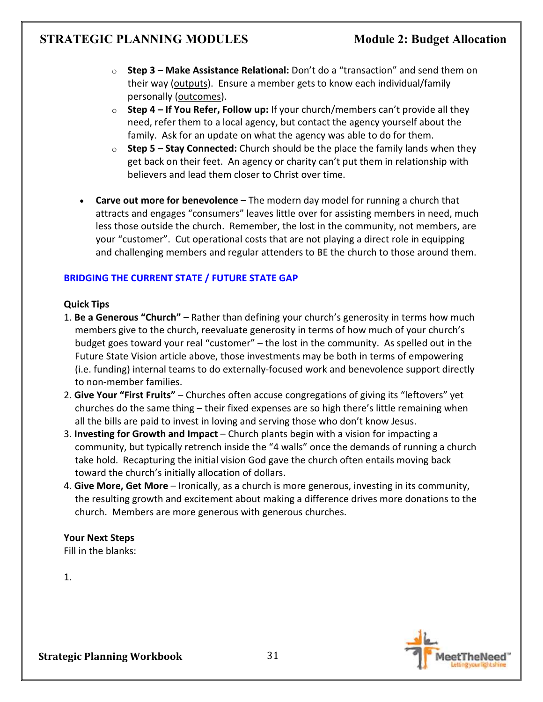- o **Step 3 Make Assistance Relational:** Don't do a "transaction" and send them on their way (outputs). Ensure a member gets to know each individual/family personally (outcomes).
- o **Step 4 If You Refer, Follow up:** If your church/members can't provide all they need, refer them to a local agency, but contact the agency yourself about the family. Ask for an update on what the agency was able to do for them.
- o **Step 5 Stay Connected:** Church should be the place the family lands when they get back on their feet. An agency or charity can't put them in relationship with believers and lead them closer to Christ over time.
- **Carve out more for benevolence** The modern day model for running a church that attracts and engages "consumers" leaves little over for assisting members in need, much less those outside the church. Remember, the lost in the community, not members, are your "customer". Cut operational costs that are not playing a direct role in equipping and challenging members and regular attenders to BE the church to those around them.

### **BRIDGING THE CURRENT STATE / FUTURE STATE GAP**

### **Quick Tips**

- 1. **Be a Generous "Church"** Rather than defining your church's generosity in terms how much members give to the church, reevaluate generosity in terms of how much of your church's budget goes toward your real "customer" – the lost in the community. As spelled out in the Future State Vision article above, those investments may be both in terms of empowering (i.e. funding) internal teams to do externally-focused work and benevolence support directly to non-member families.
- 2. **Give Your "First Fruits"**  Churches often accuse congregations of giving its "leftovers" yet churches do the same thing – their fixed expenses are so high there's little remaining when all the bills are paid to invest in loving and serving those who don't know Jesus.
- 3. **Investing for Growth and Impact** Church plants begin with a vision for impacting a community, but typically retrench inside the "4 walls" once the demands of running a church take hold. Recapturing the initial vision God gave the church often entails moving back toward the church's initially allocation of dollars.
- 4. **Give More, Get More** Ironically, as a church is more generous, investing in its community, the resulting growth and excitement about making a difference drives more donations to the church. Members are more generous with generous churches.

### **Your Next Steps**

Fill in the blanks:

1.

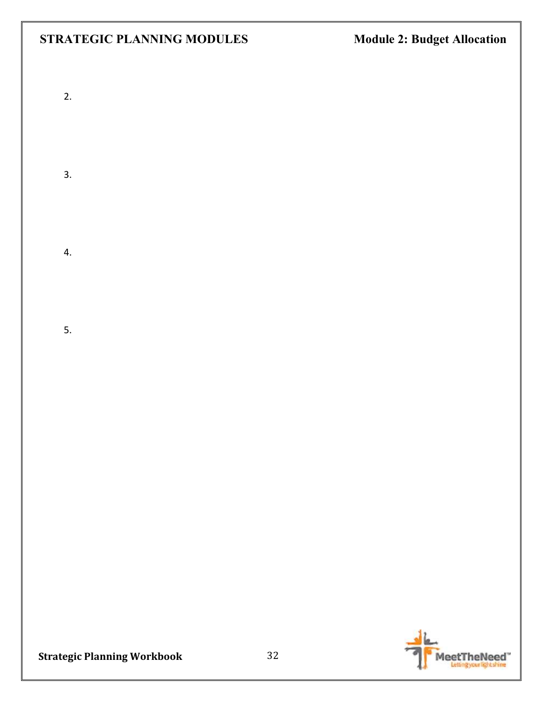- 2.
- 
- 3.
- - 4.
	- 5.

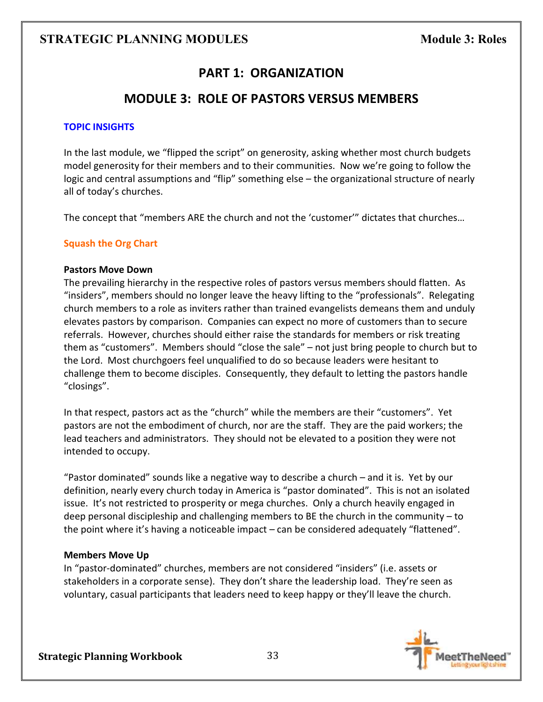## **PART 1: ORGANIZATION**

### **MODULE 3: ROLE OF PASTORS VERSUS MEMBERS**

### **TOPIC INSIGHTS**

In the last module, we "flipped the script" on generosity, asking whether most church budgets model generosity for their members and to their communities. Now we're going to follow the logic and central assumptions and "flip" something else – the organizational structure of nearly all of today's churches.

The concept that "members ARE the church and not the 'customer'" dictates that churches…

### **Squash the Org Chart**

#### **Pastors Move Down**

The prevailing hierarchy in the respective roles of pastors versus members should flatten. As "insiders", members should no longer leave the heavy lifting to the "professionals". Relegating church members to a role as inviters rather than trained evangelists demeans them and unduly elevates pastors by comparison.Companies can expect no more of customers than to secure referrals. However, churches should either raise the standards for members or risk treating them as "customers". Members should "close the sale" – not just bring people to church but to the Lord. Most churchgoers feel unqualified to do so because leaders were hesitant to challenge them to become disciples. Consequently, they default to letting the pastors handle "closings".

In that respect, pastors act as the "church" while the members are their "customers". Yet pastors are not the embodiment of church, nor are the staff. They are the paid workers; the lead teachers and administrators. They should not be elevated to a position they were not intended to occupy.

"Pastor dominated" sounds like a negative way to describe a church – and it is. Yet by our definition, nearly every church today in America is "pastor dominated". This is not an isolated issue. It's not restricted to prosperity or mega churches.Only a church heavily engaged in deep personal discipleship and challenging members to BE the church in the community – to the point where it's having a noticeable impact – can be considered adequately "flattened".

### **Members Move Up**

In "pastor-dominated" churches, members are not considered "insiders" (i.e. assets or stakeholders in a corporate sense). They don't share the leadership load. They're seen as voluntary, casual participants that leaders need to keep happy or they'll leave the church.

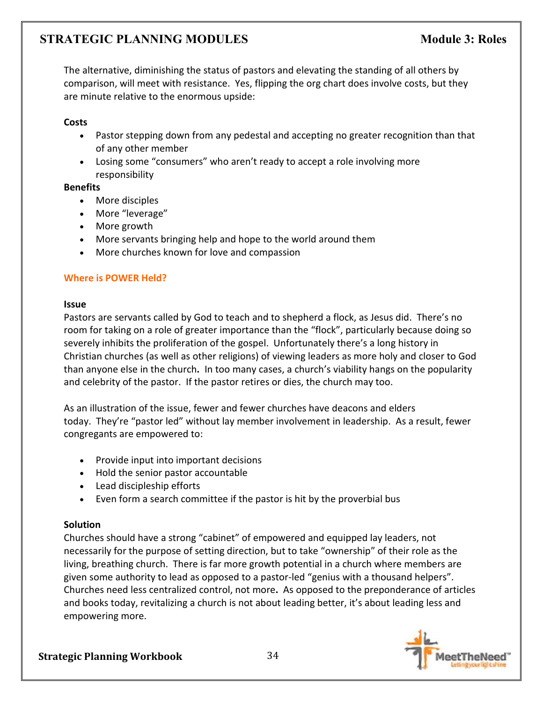The alternative, diminishing the status of pastors and elevating the standing of all others by comparison, will meet with resistance. Yes, flipping the org chart does involve costs, but they are minute relative to the enormous upside:

### **Costs**

- Pastor stepping down from any pedestal and accepting no greater recognition than that of any other member
- Losing some "consumers" who aren't ready to accept a role involving more responsibility

### **Benefits**

- More disciples
- More "leverage"
- More growth
- More servants bringing help and hope to the world around them
- More churches known for love and compassion

### **Where is POWER Held?**

### **Issue**

Pastors are servants called by God to teach and to shepherd a flock, as Jesus did. There's no room for taking on a role of greater importance than the "flock", particularly because doing so severely inhibits the proliferation of the gospel. Unfortunately there's a long history in Christian churches (as well as other religions) of viewing leaders as more holy and closer to God than anyone else in the church**.** In too many cases, a church's viability hangs on the popularity and celebrity of the pastor. If the pastor retires or dies, the church may too.

As an illustration of the issue, fewer and fewer churches have deacons and elders today. They're "pastor led" without lay member involvement in leadership. As a result, fewer congregants are empowered to:

- Provide input into important decisions
- Hold the senior pastor accountable
- Lead discipleship efforts
- Even form a search committee if the pastor is hit by the proverbial bus

### **Solution**

Churches should have a strong "cabinet" of empowered and equipped lay leaders, not necessarily for the purpose of setting direction, but to take "ownership" of their role as the living, breathing church. There is far more growth potential in a church where members are given some authority to lead as opposed to a pastor-led "genius with a thousand helpers". Churches need less centralized control, not more**.** As opposed to the preponderance of articles and books today, revitalizing a church is not about leading better, it's about leading less and empowering more.

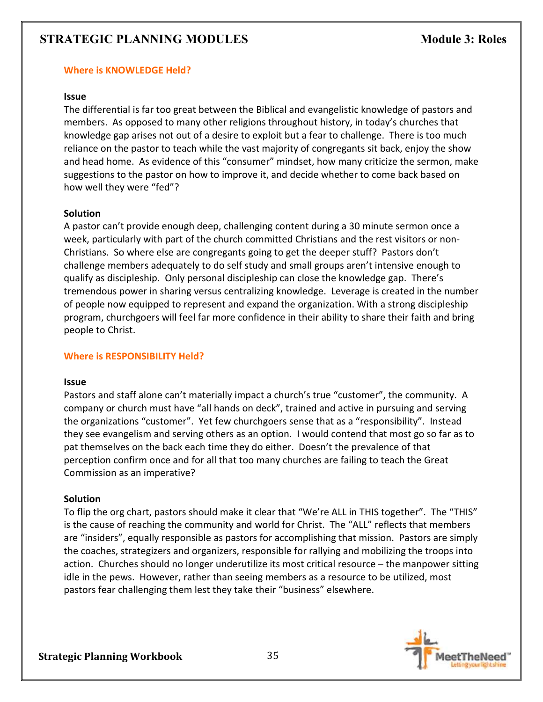### **Where is KNOWLEDGE Held?**

#### **Issue**

The differential is far too great between the Biblical and evangelistic knowledge of pastors and members. As opposed to many other religions throughout history, in today's churches that knowledge gap arises not out of a desire to exploit but a fear to challenge. There is too much reliance on the pastor to teach while the vast majority of congregants sit back, enjoy the show and head home. As evidence of this "consumer" mindset, how many criticize the sermon, make suggestions to the pastor on how to improve it, and decide whether to come back based on how well they were "fed"?

### **Solution**

A pastor can't provide enough deep, challenging content during a 30 minute sermon once a week, particularly with part of the church committed Christians and the rest visitors or non-Christians. So where else are congregants going to get the deeper stuff? Pastors don't challenge members adequately to do self study and small groups aren't intensive enough to qualify as discipleship. Only personal discipleship can close the knowledge gap. There's tremendous power in sharing versus centralizing knowledge. Leverage is created in the number of people now equipped to represent and expand the organization. With a strong discipleship program, churchgoers will feel far more confidence in their ability to share their faith and bring people to Christ.

### **Where is RESPONSIBILITY Held?**

#### **Issue**

Pastors and staff alone can't materially impact a church's true "customer", the community. A company or church must have "all hands on deck", trained and active in pursuing and serving the organizations "customer". Yet few churchgoers sense that as a "responsibility". Instead they see evangelism and serving others as an option. I would contend that most go so far as to pat themselves on the back each time they do either. Doesn't the prevalence of that perception confirm once and for all that too many churches are failing to teach the Great Commission as an imperative?

### **Solution**

To flip the org chart, pastors should make it clear that "We're ALL in THIS together". The "THIS" is the cause of reaching the community and world for Christ. The "ALL" reflects that members are "insiders", equally responsible as pastors for accomplishing that mission. Pastors are simply the coaches, strategizers and organizers, responsible for rallying and mobilizing the troops into action.Churches should no longer underutilize its most critical resource – the manpower sitting idle in the pews. However, rather than seeing members as a resource to be utilized, most pastors fear challenging them lest they take their "business" elsewhere.

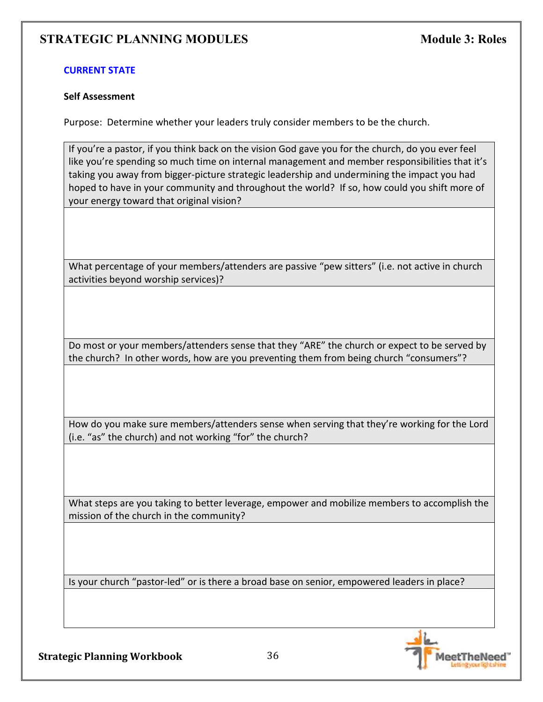### **CURRENT STATE**

#### **Self Assessment**

Purpose: Determine whether your leaders truly consider members to be the church.

If you're a pastor, if you think back on the vision God gave you for the church, do you ever feel like you're spending so much time on internal management and member responsibilities that it's taking you away from bigger-picture strategic leadership and undermining the impact you had hoped to have in your community and throughout the world? If so, how could you shift more of your energy toward that original vision?

What percentage of your members/attenders are passive "pew sitters" (i.e. not active in church activities beyond worship services)?

Do most or your members/attenders sense that they "ARE" the church or expect to be served by the church? In other words, how are you preventing them from being church "consumers"?

How do you make sure members/attenders sense when serving that they're working for the Lord (i.e. "as" the church) and not working "for" the church?

What steps are you taking to better leverage, empower and mobilize members to accomplish the mission of the church in the community?

Is your church "pastor-led" or is there a broad base on senior, empowered leaders in place?

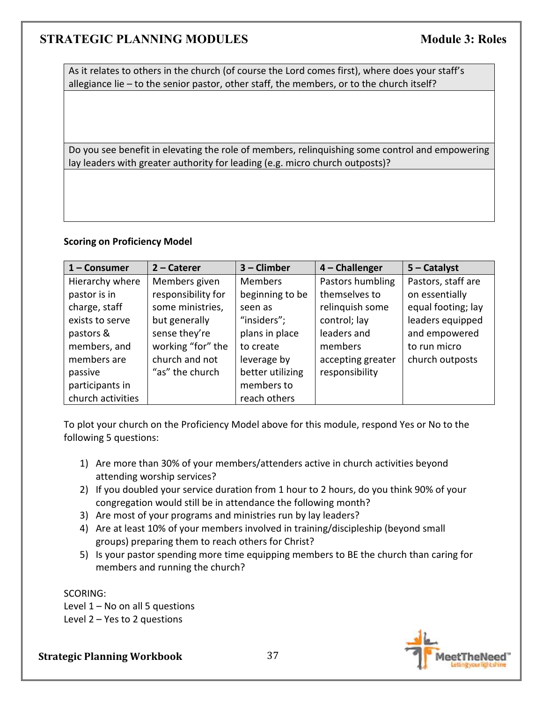As it relates to others in the church (of course the Lord comes first), where does your staff's allegiance lie – to the senior pastor, other staff, the members, or to the church itself?

Do you see benefit in elevating the role of members, relinquishing some control and empowering lay leaders with greater authority for leading (e.g. micro church outposts)?

#### **Scoring on Proficiency Model**

| $1 -$ Consumer    | $2$ – Caterer      | $3$ – Climber    | $4$ – Challenger  | $5 -$ Catalyst     |
|-------------------|--------------------|------------------|-------------------|--------------------|
| Hierarchy where   | Members given      | <b>Members</b>   | Pastors humbling  | Pastors, staff are |
| pastor is in      | responsibility for | beginning to be  | themselves to     | on essentially     |
| charge, staff     | some ministries,   | seen as          | relinquish some   | equal footing; lay |
| exists to serve   | but generally      | "insiders";      | control; lay      | leaders equipped   |
| pastors &         | sense they're      | plans in place   | leaders and       | and empowered      |
| members, and      | working "for" the  | to create        | members           | to run micro       |
| members are       | church and not     | leverage by      | accepting greater | church outposts    |
| passive           | "as" the church    | better utilizing | responsibility    |                    |
| participants in   |                    | members to       |                   |                    |
| church activities |                    | reach others     |                   |                    |

To plot your church on the Proficiency Model above for this module, respond Yes or No to the following 5 questions:

- 1) Are more than 30% of your members/attenders active in church activities beyond attending worship services?
- 2) If you doubled your service duration from 1 hour to 2 hours, do you think 90% of your congregation would still be in attendance the following month?
- 3) Are most of your programs and ministries run by lay leaders?
- 4) Are at least 10% of your members involved in training/discipleship (beyond small groups) preparing them to reach others for Christ?
- 5) Is your pastor spending more time equipping members to BE the church than caring for members and running the church?

SCORING:

Level  $1 - No$  on all 5 questions Level 2 – Yes to 2 questions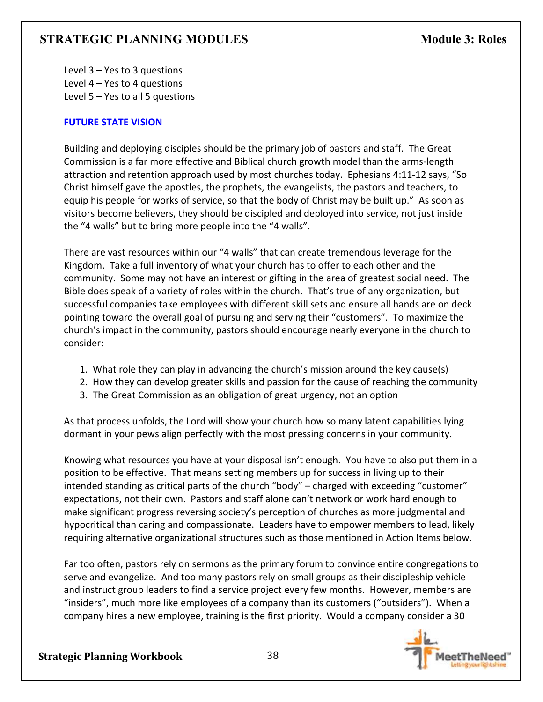Level 3 – Yes to 3 questions Level 4 – Yes to 4 questions Level 5 – Yes to all 5 questions

## **FUTURE STATE VISION**

Building and deploying disciples should be the primary job of pastors and staff. The Great Commission is a far more effective and Biblical church growth model than the arms-length attraction and retention approach used by most churches today. Ephesians 4:11-12 says, "So Christ himself gave the apostles, the prophets, the evangelists, the pastors and teachers, to equip his people for works of service, so that the body of Christ may be built up." As soon as visitors become believers, they should be discipled and deployed into service, not just inside the "4 walls" but to bring more people into the "4 walls".

There are vast resources within our "4 walls" that can create tremendous leverage for the Kingdom. Take a full inventory of what your church has to offer to each other and the community. Some may not have an interest or gifting in the area of greatest social need. The Bible does speak of a variety of roles within the church. That's true of any organization, but successful companies take employees with different skill sets and ensure all hands are on deck pointing toward the overall goal of pursuing and serving their "customers". To maximize the church's impact in the community, pastors should encourage nearly everyone in the church to consider:

- 1. What role they can play in advancing the church's mission around the key cause(s)
- 2. How they can develop greater skills and passion for the cause of reaching the community
- 3. The Great Commission as an obligation of great urgency, not an option

As that process unfolds, the Lord will show your church how so many latent capabilities lying dormant in your pews align perfectly with the most pressing concerns in your community.

Knowing what resources you have at your disposal isn't enough. You have to also put them in a position to be effective. That means setting members up for success in living up to their intended standing as critical parts of the church "body" – charged with exceeding "customer" expectations, not their own. Pastors and staff alone can't network or work hard enough to make significant progress reversing society's perception of churches as more judgmental and hypocritical than caring and compassionate. Leaders have to empower members to lead, likely requiring alternative organizational structures such as those mentioned in Action Items below.

Far too often, pastors rely on sermons as the primary forum to convince entire congregations to serve and evangelize. And too many pastors rely on small groups as their discipleship vehicle and instruct group leaders to find a service project every few months. However, members are "insiders", much more like employees of a company than its customers ("outsiders"). When a company hires a new employee, training is the first priority. Would a company consider a 30

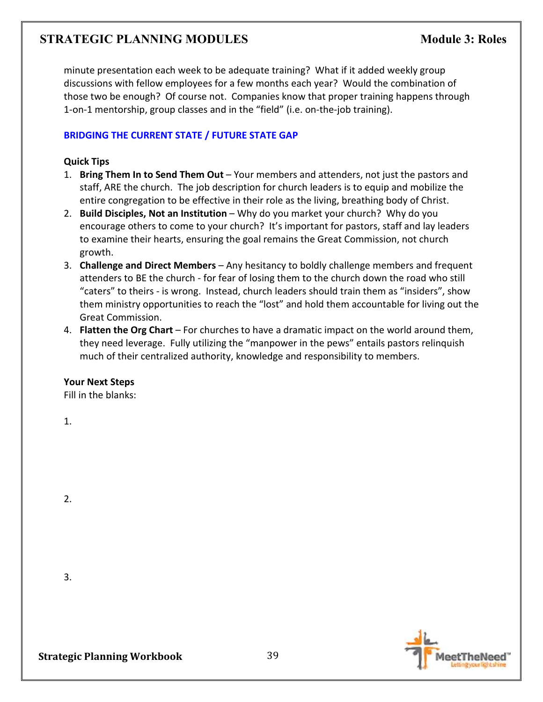minute presentation each week to be adequate training? What if it added weekly group discussions with fellow employees for a few months each year? Would the combination of those two be enough? Of course not. Companies know that proper training happens through 1-on-1 mentorship, group classes and in the "field" (i.e. on-the-job training).

#### **BRIDGING THE CURRENT STATE / FUTURE STATE GAP**

#### **Quick Tips**

- 1. **Bring Them In to Send Them Out** Your members and attenders, not just the pastors and staff, ARE the church. The job description for church leaders is to equip and mobilize the entire congregation to be effective in their role as the living, breathing body of Christ.
- 2. **Build Disciples, Not an Institution** Why do you market your church? Why do you encourage others to come to your church? It's important for pastors, staff and lay leaders to examine their hearts, ensuring the goal remains the Great Commission, not church growth.
- 3. **Challenge and Direct Members**  Any hesitancy to boldly challenge members and frequent attenders to BE the church - for fear of losing them to the church down the road who still "caters" to theirs - is wrong. Instead, church leaders should train them as "insiders", show them ministry opportunities to reach the "lost" and hold them accountable for living out the Great Commission.
- 4. **Flatten the Org Chart** For churches to have a dramatic impact on the world around them, they need leverage. Fully utilizing the "manpower in the pews" entails pastors relinquish much of their centralized authority, knowledge and responsibility to members.

## **Your Next Steps**

Fill in the blanks:

1.

2.

3.

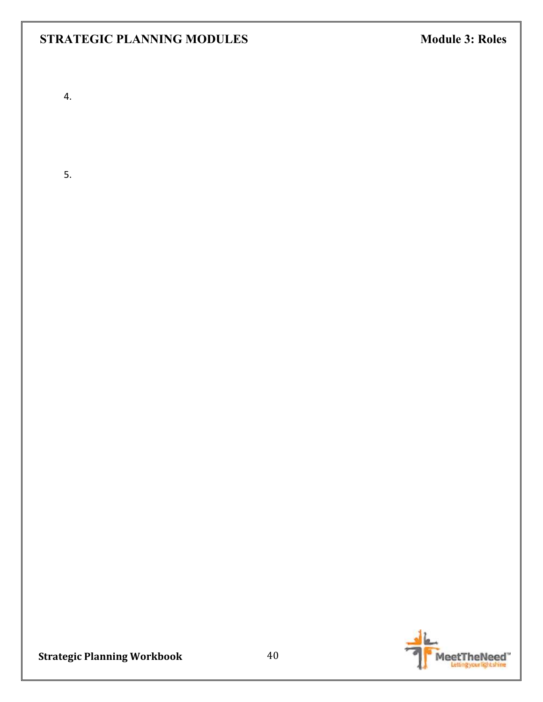4.

5.

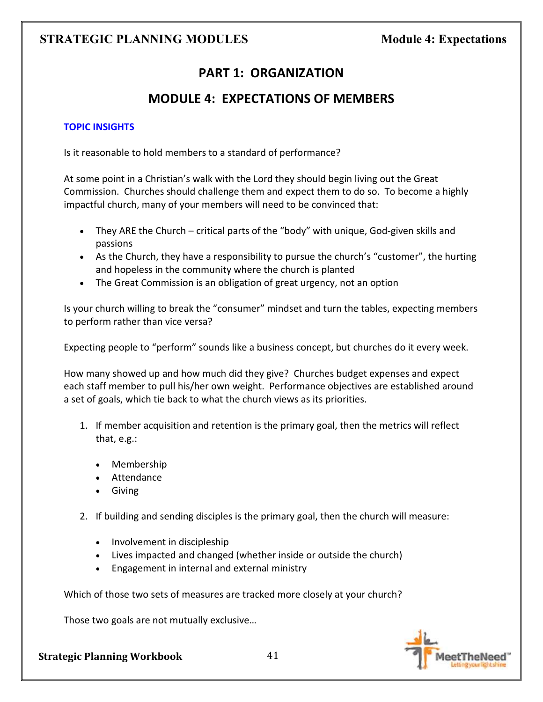# **PART 1: ORGANIZATION**

# **MODULE 4: EXPECTATIONS OF MEMBERS**

## **TOPIC INSIGHTS**

Is it reasonable to hold members to a standard of performance?

At some point in a Christian's walk with the Lord they should begin living out the Great Commission. Churches should challenge them and expect them to do so. To become a highly impactful church, many of your members will need to be convinced that:

- They ARE the Church critical parts of the "body" with unique, God-given skills and passions
- As the Church, they have a responsibility to pursue the church's "customer", the hurting and hopeless in the community where the church is planted
- The Great Commission is an obligation of great urgency, not an option

Is your church willing to break the "consumer" mindset and turn the tables, expecting members to perform rather than vice versa?

Expecting people to "perform" sounds like a business concept, but churches do it every week.

How many showed up and how much did they give? Churches budget expenses and expect each staff member to pull his/her own weight. Performance objectives are established around a set of goals, which tie back to what the church views as its priorities.

- 1. If member acquisition and retention is the primary goal, then the metrics will reflect that, e.g.:
	- Membership
	- Attendance
	- Giving
- 2. If building and sending disciples is the primary goal, then the church will measure:
	- Involvement in discipleship
	- Lives impacted and changed (whether inside or outside the church)
	- Engagement in internal and external ministry

Which of those two sets of measures are tracked more closely at your church?

Those two goals are not mutually exclusive…

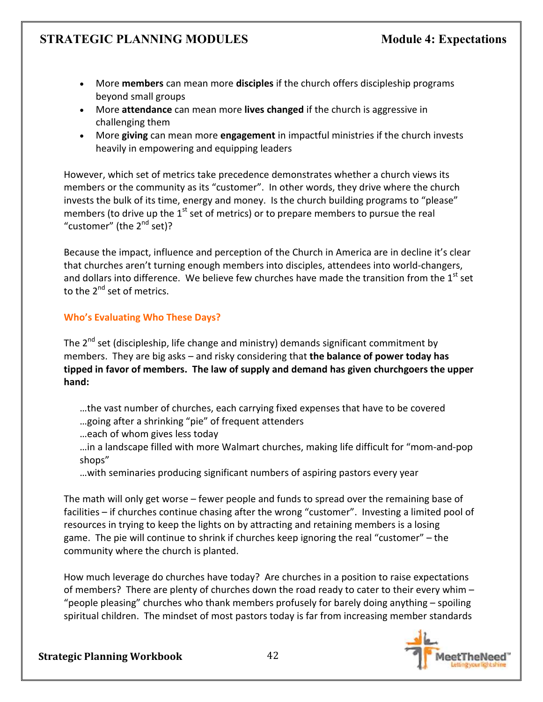- More **members** can mean more **disciples** if the church offers discipleship programs beyond small groups
- More **attendance** can mean more **lives changed** if the church is aggressive in challenging them
- More **giving** can mean more **engagement** in impactful ministries if the church invests heavily in empowering and equipping leaders

However, which set of metrics take precedence demonstrates whether a church views its members or the community as its "customer". In other words, they drive where the church invests the bulk of its time, energy and money. Is the church building programs to "please" members (to drive up the  $1<sup>st</sup>$  set of metrics) or to prepare members to pursue the real "customer" (the  $2^{nd}$  set)?

Because the impact, influence and perception of the Church in America are in decline it's clear that churches aren't turning enough members into disciples, attendees into world-changers, and dollars into difference. We believe few churches have made the transition from the  $1<sup>st</sup>$  set to the 2<sup>nd</sup> set of metrics.

# **Who's Evaluating Who These Days?**

The  $2^{nd}$  set (discipleship, life change and ministry) demands significant commitment by members. They are big asks – and risky considering that **the balance of power today has tipped in favor of members. The law of supply and demand has given churchgoers the upper hand:** 

- …the vast number of churches, each carrying fixed expenses that have to be covered
- …going after a shrinking "pie" of frequent attenders
- …each of whom gives less today

…in a landscape filled with more Walmart churches, making life difficult for "mom-and-pop shops"

…with seminaries producing significant numbers of aspiring pastors every year

The math will only get worse – fewer people and funds to spread over the remaining base of facilities – if churches continue chasing after the wrong "customer". Investing a limited pool of resources in trying to keep the lights on by attracting and retaining members is a losing game. The pie will continue to shrink if churches keep ignoring the real "customer" – the community where the church is planted.

How much leverage do churches have today? Are churches in a position to raise expectations of members? There are plenty of churches down the road ready to cater to their every whim – "people pleasing" churches who thank members profusely for barely doing anything – spoiling spiritual children. The mindset of most pastors today is far from increasing member standards

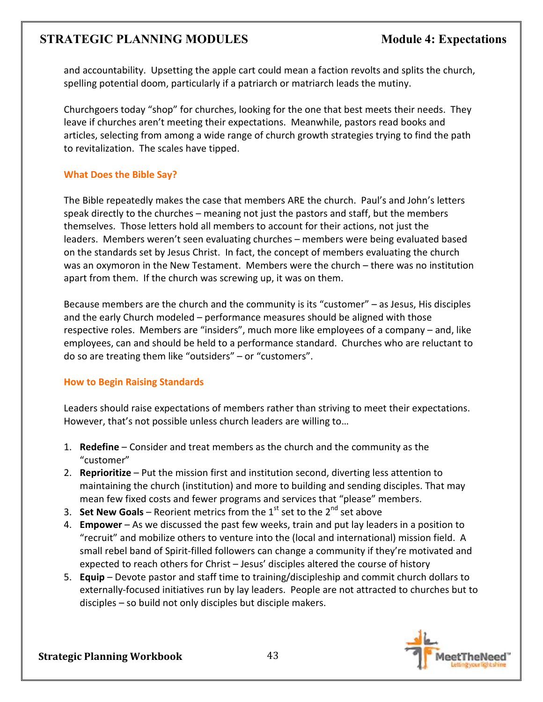and accountability. Upsetting the apple cart could mean a faction revolts and splits the church, spelling potential doom, particularly if a patriarch or matriarch leads the mutiny.

Churchgoers today "shop" for churches, looking for the one that best meets their needs. They leave if churches aren't meeting their expectations. Meanwhile, pastors read books and articles, selecting from among a wide range of church growth strategies trying to find the path to revitalization. The scales have tipped.

## **What Does the Bible Say?**

The Bible repeatedly makes the case that members ARE the church. Paul's and John's letters speak directly to the churches – meaning not just the pastors and staff, but the members themselves. Those letters hold all members to account for their actions, not just the leaders. Members weren't seen evaluating churches – members were being evaluated based on the standards set by Jesus Christ. In fact, the concept of members evaluating the church was an oxymoron in the New Testament. Members were the church – there was no institution apart from them. If the church was screwing up, it was on them.

Because members are the church and the community is its "customer" – as Jesus, His disciples and the early Church modeled – performance measures should be aligned with those respective roles. Members are "insiders", much more like employees of a company – and, like employees, can and should be held to a performance standard. Churches who are reluctant to do so are treating them like "outsiders" – or "customers".

# **How to Begin Raising Standards**

Leaders should raise expectations of members rather than striving to meet their expectations. However, that's not possible unless church leaders are willing to…

- 1. **Redefine** Consider and treat members as the church and the community as the "customer"
- 2. **Reprioritize** Put the mission first and institution second, diverting less attention to maintaining the church (institution) and more to building and sending disciples. That may mean few fixed costs and fewer programs and services that "please" members.
- 3. **Set New Goals** Reorient metrics from the  $1<sup>st</sup>$  set to the  $2<sup>nd</sup>$  set above
- 4. **Empower** As we discussed the past few weeks, train and put lay leaders in a position to "recruit" and mobilize others to venture into the (local and international) mission field. A small rebel band of Spirit-filled followers can change a community if they're motivated and expected to reach others for Christ – Jesus' disciples altered the course of history
- 5. **Equip** Devote pastor and staff time to training/discipleship and commit church dollars to externally-focused initiatives run by lay leaders. People are not attracted to churches but to disciples – so build not only disciples but disciple makers.

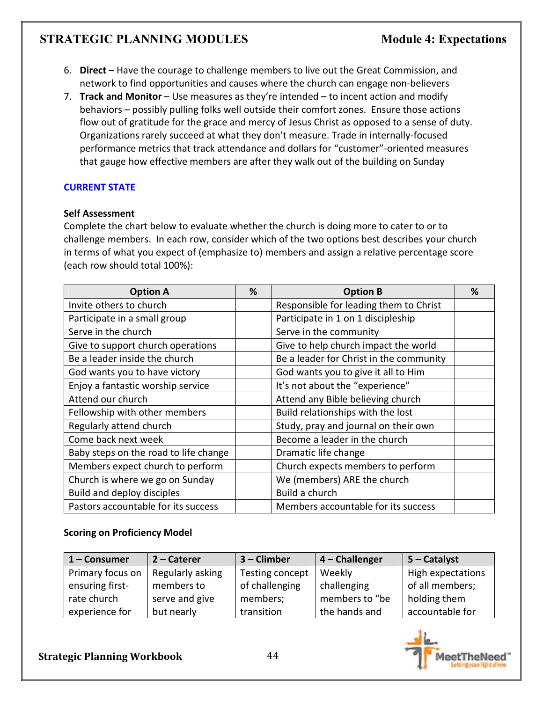- 6. **Direct** Have the courage to challenge members to live out the Great Commission, and network to find opportunities and causes where the church can engage non-believers
- 7. **Track and Monitor** Use measures as they're intended to incent action and modify behaviors – possibly pulling folks well outside their comfort zones. Ensure those actions flow out of gratitude for the grace and mercy of Jesus Christ as opposed to a sense of duty. Organizations rarely succeed at what they don't measure. Trade in internally-focused performance metrics that track attendance and dollars for "customer"-oriented measures that gauge how effective members are after they walk out of the building on Sunday

## **CURRENT STATE**

## **Self Assessment**

Complete the chart below to evaluate whether the church is doing more to cater to or to challenge members. In each row, consider which of the two options best describes your church in terms of what you expect of (emphasize to) members and assign a relative percentage score (each row should total 100%):

| <b>Option A</b>                       | % | <b>Option B</b>                         | % |
|---------------------------------------|---|-----------------------------------------|---|
| Invite others to church               |   | Responsible for leading them to Christ  |   |
| Participate in a small group          |   | Participate in 1 on 1 discipleship      |   |
| Serve in the church                   |   | Serve in the community                  |   |
| Give to support church operations     |   | Give to help church impact the world    |   |
| Be a leader inside the church         |   | Be a leader for Christ in the community |   |
| God wants you to have victory         |   | God wants you to give it all to Him     |   |
| Enjoy a fantastic worship service     |   | It's not about the "experience"         |   |
| Attend our church                     |   | Attend any Bible believing church       |   |
| Fellowship with other members         |   | Build relationships with the lost       |   |
| Regularly attend church               |   | Study, pray and journal on their own    |   |
| Come back next week                   |   | Become a leader in the church           |   |
| Baby steps on the road to life change |   | Dramatic life change                    |   |
| Members expect church to perform      |   | Church expects members to perform       |   |
| Church is where we go on Sunday       |   | We (members) ARE the church             |   |
| Build and deploy disciples            |   | Build a church                          |   |
| Pastors accountable for its success   |   | Members accountable for its success     |   |

## **Scoring on Proficiency Model**

| $1 -$ Consumer   | $2$ – Caterer    | $3$ – Climber   | 4 - Challenger | $5 -$ Catalyst    |
|------------------|------------------|-----------------|----------------|-------------------|
| Primary focus on | Regularly asking | Testing concept | Weekly         | High expectations |
| ensuring first-  | members to       | of challenging  | challenging    | of all members;   |
| rate church      | serve and give   | members;        | members to "be | holding them      |
| experience for   | but nearly       | transition      | the hands and  | accountable for   |

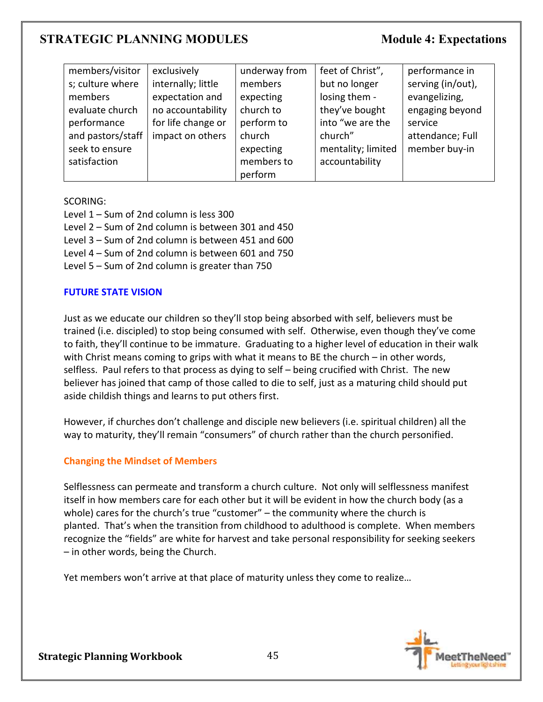| members/visitor   | exclusively        | underway from | feet of Christ",   | performance in    |
|-------------------|--------------------|---------------|--------------------|-------------------|
| s; culture where  | internally; little | members       | but no longer      | serving (in/out), |
| members           | expectation and    | expecting     | losing them -      | evangelizing,     |
| evaluate church   | no accountability  | church to     | they've bought     | engaging beyond   |
| performance       | for life change or | perform to    | into "we are the   | service           |
| and pastors/staff | impact on others   | church        | church"            | attendance; Full  |
| seek to ensure    |                    | expecting     | mentality; limited | member buy-in     |
| satisfaction      |                    | members to    | accountability     |                   |
|                   |                    | perform       |                    |                   |

#### SCORING:

- Level 1 Sum of 2nd column is less 300
- Level 2 Sum of 2nd column is between 301 and 450
- Level 3 Sum of 2nd column is between 451 and 600
- Level 4 Sum of 2nd column is between 601 and 750
- Level 5 Sum of 2nd column is greater than 750

#### **FUTURE STATE VISION**

Just as we educate our children so they'll stop being absorbed with self, believers must be trained (i.e. discipled) to stop being consumed with self. Otherwise, even though they've come to faith, they'll continue to be immature. Graduating to a higher level of education in their walk with Christ means coming to grips with what it means to BE the church – in other words, selfless. Paul refers to that process as dying to self – being crucified with Christ. The new believer has joined that camp of those called to die to self, just as a maturing child should put aside childish things and learns to put others first.

However, if churches don't challenge and disciple new believers (i.e. spiritual children) all the way to maturity, they'll remain "consumers" of church rather than the church personified.

## **Changing the Mindset of Members**

Selflessness can permeate and transform a church culture. Not only will selflessness manifest itself in how members care for each other but it will be evident in how the church body (as a whole) cares for the church's true "customer" – the community where the church is planted. That's when the transition from childhood to adulthood is complete. When members recognize the "fields" are white for harvest and take personal responsibility for seeking seekers – in other words, being the Church.

Yet members won't arrive at that place of maturity unless they come to realize…

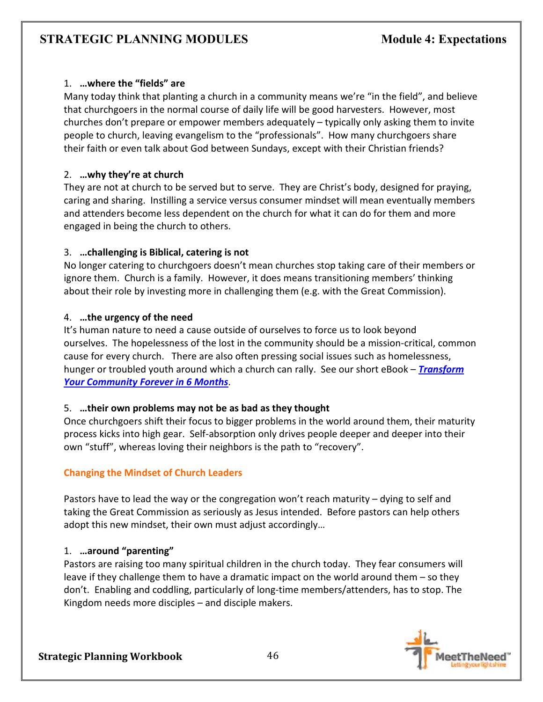## 1. **…where the "fields" are**

Many today think that planting a church in a community means we're "in the field", and believe that churchgoers in the normal course of daily life will be good harvesters. However, most churches don't prepare or empower members adequately – typically only asking them to invite people to church, leaving evangelism to the "professionals". How many churchgoers share their faith or even talk about God between Sundays, except with their Christian friends?

# 2. **…why they're at church**

They are not at church to be served but to serve. They are Christ's body, designed for praying, caring and sharing. Instilling a service versus consumer mindset will mean eventually members and attenders become less dependent on the church for what it can do for them and more engaged in being the church to others.

## 3. **…challenging is Biblical, catering is not**

No longer catering to churchgoers doesn't mean churches stop taking care of their members or ignore them. Church is a family. However, it does means transitioning members' thinking about their role by investing more in challenging them (e.g. with the Great Commission).

## 4. **…the urgency of the need**

It's human nature to need a cause outside of ourselves to force us to look beyond ourselves. The hopelessness of the lost in the community should be a mission-critical, common cause for every church. There are also often pressing social issues such as homelessness, hunger or troubled youth around which a church can rally. See our short eBook – *Transform Your Community Forever in 6 Months*.

## 5. **…their own problems may not be as bad as they thought**

Once churchgoers shift their focus to bigger problems in the world around them, their maturity process kicks into high gear. Self-absorption only drives people deeper and deeper into their own "stuff", whereas loving their neighbors is the path to "recovery".

# **Changing the Mindset of Church Leaders**

Pastors have to lead the way or the congregation won't reach maturity – dying to self and taking the Great Commission as seriously as Jesus intended. Before pastors can help others adopt this new mindset, their own must adjust accordingly…

# 1. **…around "parenting"**

Pastors are raising too many spiritual children in the church today. They fear consumers will leave if they challenge them to have a dramatic impact on the world around them – so they don't. Enabling and coddling, particularly of long-time members/attenders, has to stop. The Kingdom needs more disciples – and disciple makers.

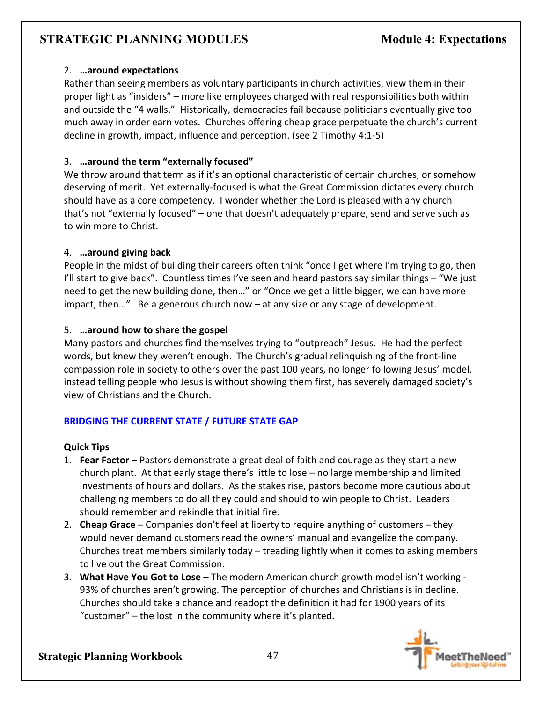## 2. **…around expectations**

Rather than seeing members as voluntary participants in church activities, view them in their proper light as "insiders" – more like employees charged with real responsibilities both within and outside the "4 walls." Historically, democracies fail because politicians eventually give too much away in order earn votes. Churches offering cheap grace perpetuate the church's current decline in growth, impact, influence and perception. (see 2 Timothy 4:1-5)

# 3. **…around the term "externally focused"**

We throw around that term as if it's an optional characteristic of certain churches, or somehow deserving of merit. Yet externally-focused is what the Great Commission dictates every church should have as a core competency. I wonder whether the Lord is pleased with any church that's not "externally focused" – one that doesn't adequately prepare, send and serve such as to win more to Christ.

## 4. **…around giving back**

People in the midst of building their careers often think "once I get where I'm trying to go, then I'll start to give back". Countless times I've seen and heard pastors say similar things – "We just need to get the new building done, then…" or "Once we get a little bigger, we can have more impact, then…". Be a generous church now – at any size or any stage of development.

## 5. **…around how to share the gospel**

Many pastors and churches find themselves trying to "outpreach" Jesus. He had the perfect words, but knew they weren't enough. The Church's gradual relinquishing of the front-line compassion role in society to others over the past 100 years, no longer following Jesus' model, instead telling people who Jesus is without showing them first, has severely damaged society's view of Christians and the Church.

# **BRIDGING THE CURRENT STATE / FUTURE STATE GAP**

## **Quick Tips**

- 1. **Fear Factor** Pastors demonstrate a great deal of faith and courage as they start a new church plant. At that early stage there's little to lose – no large membership and limited investments of hours and dollars. As the stakes rise, pastors become more cautious about challenging members to do all they could and should to win people to Christ. Leaders should remember and rekindle that initial fire.
- 2. **Cheap Grace** Companies don't feel at liberty to require anything of customers they would never demand customers read the owners' manual and evangelize the company. Churches treat members similarly today – treading lightly when it comes to asking members to live out the Great Commission.
- 3. **What Have You Got to Lose** The modern American church growth model isn't working 93% of churches aren't growing. The perception of churches and Christians is in decline. Churches should take a chance and readopt the definition it had for 1900 years of its "customer" – the lost in the community where it's planted.

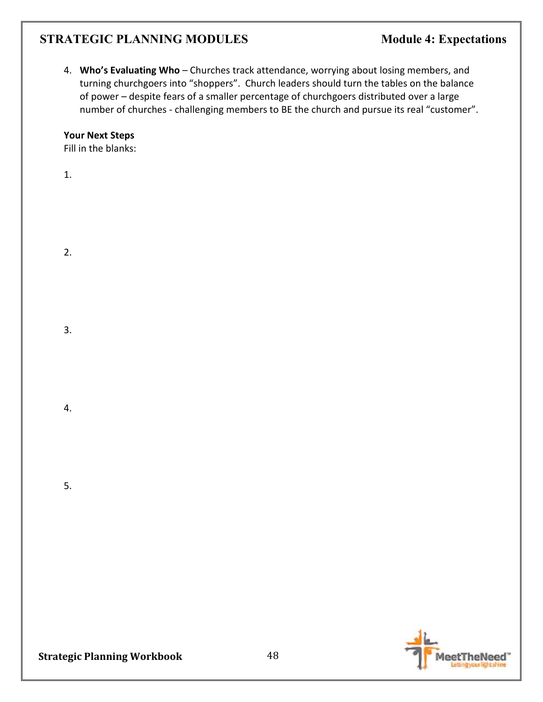4. **Who's Evaluating Who** – Churches track attendance, worrying about losing members, and turning churchgoers into "shoppers". Church leaders should turn the tables on the balance of power – despite fears of a smaller percentage of churchgoers distributed over a large number of churches - challenging members to BE the church and pursue its real "customer".

#### **Your Next Steps**

Fill in the blanks:

1.

2.

3.

4.

5.

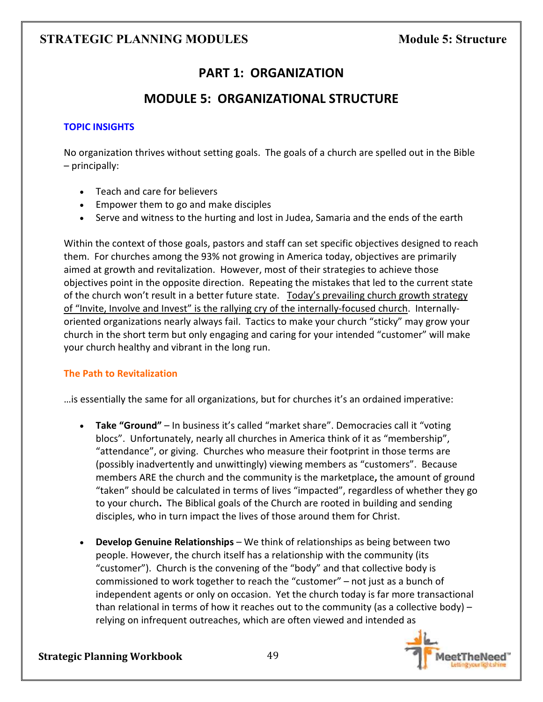# **PART 1: ORGANIZATION**

# **MODULE 5: ORGANIZATIONAL STRUCTURE**

## **TOPIC INSIGHTS**

No organization thrives without setting goals. The goals of a church are spelled out in the Bible – principally:

- Teach and care for believers
- Empower them to go and make disciples
- Serve and witness to the hurting and lost in Judea, Samaria and the ends of the earth

Within the context of those goals, pastors and staff can set specific objectives designed to reach them. For churches among the 93% not growing in America today, objectives are primarily aimed at growth and revitalization. However, most of their strategies to achieve those objectives point in the opposite direction. Repeating the mistakes that led to the current state of the church won't result in a better future state. Today's prevailing church growth strategy of "Invite, Involve and Invest" is the rallying cry of the internally-focused church. Internallyoriented organizations nearly always fail. Tactics to make your church "sticky" may grow your church in the short term but only engaging and caring for your intended "customer" will make your church healthy and vibrant in the long run.

#### **The Path to Revitalization**

…is essentially the same for all organizations, but for churches it's an ordained imperative:

- **Take "Ground"** In business it's called "market share". Democracies call it "voting blocs". Unfortunately, nearly all churches in America think of it as "membership", "attendance", or giving. Churches who measure their footprint in those terms are (possibly inadvertently and unwittingly) viewing members as "customers". Because members ARE the church and the community is the marketplace**,** the amount of ground "taken" should be calculated in terms of lives "impacted", regardless of whether they go to your church**.** The Biblical goals of the Church are rooted in building and sending disciples, who in turn impact the lives of those around them for Christ.
- **Develop Genuine Relationships** We think of relationships as being between two people. However, the church itself has a relationship with the community (its "customer"). Church is the convening of the "body" and that collective body is commissioned to work together to reach the "customer" – not just as a bunch of independent agents or only on occasion. Yet the church today is far more transactional than relational in terms of how it reaches out to the community (as a collective body)  $$ relying on infrequent outreaches, which are often viewed and intended as

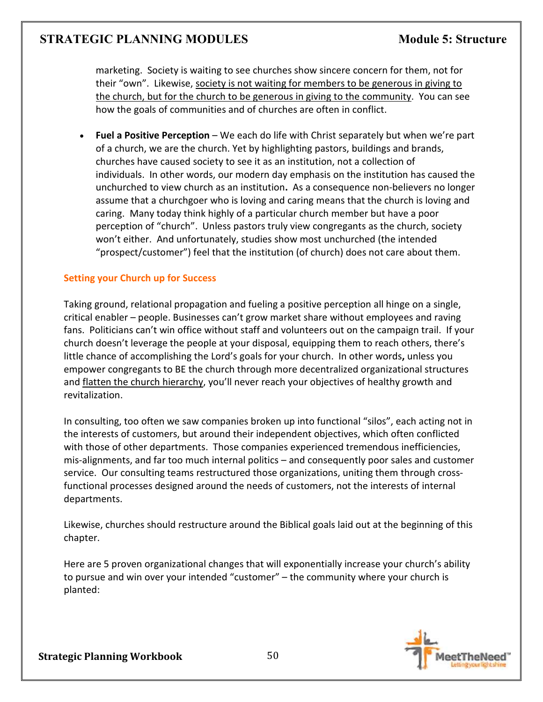marketing. Society is waiting to see churches show sincere concern for them, not for their "own". Likewise, society is not waiting for members to be generous in giving to the church, but for the church to be generous in giving to the community. You can see how the goals of communities and of churches are often in conflict.

• **Fuel a Positive Perception** – We each do life with Christ separately but when we're part of a church, we are the church. Yet by highlighting pastors, buildings and brands, churches have caused society to see it as an institution, not a collection of individuals. In other words, our modern day emphasis on the institution has caused the unchurched to view church as an institution**.** As a consequence non-believers no longer assume that a churchgoer who is loving and caring means that the church is loving and caring. Many today think highly of a particular church member but have a poor perception of "church". Unless pastors truly view congregants as the church, society won't either.And unfortunately, studies show most unchurched (the intended "prospect/customer") feel that the institution (of church) does not care about them.

## **Setting your Church up for Success**

Taking ground, relational propagation and fueling a positive perception all hinge on a single, critical enabler – people. Businesses can't grow market share without employees and raving fans. Politicians can't win office without staff and volunteers out on the campaign trail. If your church doesn't leverage the people at your disposal, equipping them to reach others, there's little chance of accomplishing the Lord's goals for your church. In other words**,** unless you empower congregants to BE the church through more decentralized organizational structures and flatten the church hierarchy, you'll never reach your objectives of healthy growth and revitalization.

In consulting, too often we saw companies broken up into functional "silos", each acting not in the interests of customers, but around their independent objectives, which often conflicted with those of other departments. Those companies experienced tremendous inefficiencies, mis-alignments, and far too much internal politics – and consequently poor sales and customer service. Our consulting teams restructured those organizations, uniting them through crossfunctional processes designed around the needs of customers, not the interests of internal departments.

Likewise, churches should restructure around the Biblical goals laid out at the beginning of this chapter.

Here are 5 proven organizational changes that will exponentially increase your church's ability to pursue and win over your intended "customer" – the community where your church is planted:

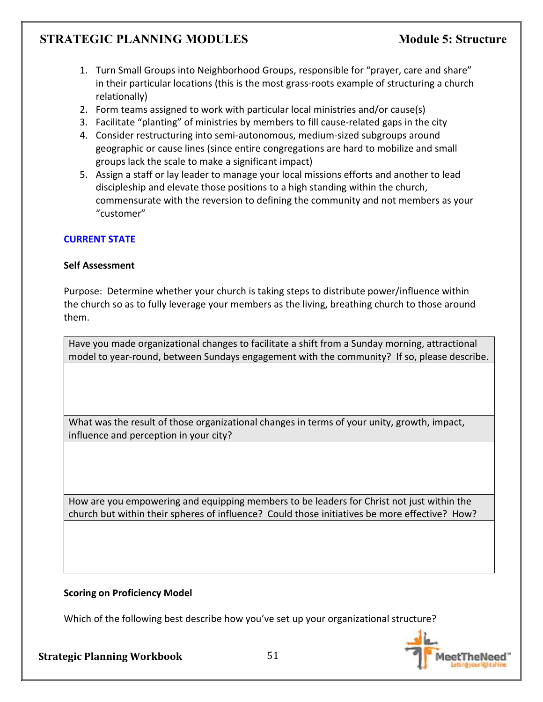- 1. Turn Small Groups into Neighborhood Groups, responsible for "prayer, care and share" in their particular locations (this is the most grass-roots example of structuring a church relationally)
- 2. Form teams assigned to work with particular local ministries and/or cause(s)
- 3. Facilitate "planting" of ministries by members to fill cause-related gaps in the city
- 4. Consider restructuring into semi-autonomous, medium-sized subgroups around geographic or cause lines (since entire congregations are hard to mobilize and small groups lack the scale to make a significant impact)
- 5. Assign a staff or lay leader to manage your local missions efforts and another to lead discipleship and elevate those positions to a high standing within the church, commensurate with the reversion to defining the community and not members as your "customer"

## **CURRENT STATE**

## **Self Assessment**

Purpose: Determine whether your church is taking steps to distribute power/influence within the church so as to fully leverage your members as the living, breathing church to those around them.

Have you made organizational changes to facilitate a shift from a Sunday morning, attractional model to year-round, between Sundays engagement with the community? If so, please describe.

What was the result of those organizational changes in terms of your unity, growth, impact, influence and perception in your city?

How are you empowering and equipping members to be leaders for Christ not just within the church but within their spheres of influence? Could those initiatives be more effective? How?

## **Scoring on Proficiency Model**

Which of the following best describe how you've set up your organizational structure?

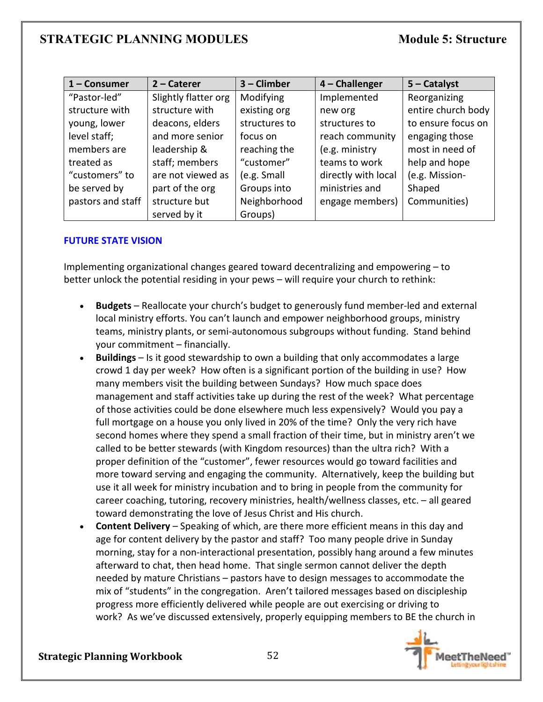| $1 -$ Consumer    | $2$ – Caterer        | 3 - Climber   | 4 - Challenger      | $5 -$ Catalyst     |
|-------------------|----------------------|---------------|---------------------|--------------------|
| "Pastor-led"      | Slightly flatter org | Modifying     | Implemented         | Reorganizing       |
| structure with    | structure with       | existing org  | new org             | entire church body |
| young, lower      | deacons, elders      | structures to | structures to       | to ensure focus on |
| level staff;      | and more senior      | focus on      | reach community     | engaging those     |
| members are       | leadership &         | reaching the  | (e.g. ministry      | most in need of    |
| treated as        | staff; members       | "customer"    | teams to work       | help and hope      |
| "customers" to    | are not viewed as    | (e.g. Small   | directly with local | (e.g. Mission-     |
| be served by      | part of the org      | Groups into   | ministries and      | Shaped             |
| pastors and staff | structure but        | Neighborhood  | engage members)     | Communities)       |
|                   | served by it         | Groups)       |                     |                    |

## **FUTURE STATE VISION**

Implementing organizational changes geared toward decentralizing and empowering – to better unlock the potential residing in your pews – will require your church to rethink:

- **Budgets** Reallocate your church's budget to generously fund member-led and external local ministry efforts. You can't launch and empower neighborhood groups, ministry teams, ministry plants, or semi-autonomous subgroups without funding. Stand behind your commitment – financially.
- **Buildings** Is it good stewardship to own a building that only accommodates a large crowd 1 day per week? How often is a significant portion of the building in use? How many members visit the building between Sundays? How much space does management and staff activities take up during the rest of the week? What percentage of those activities could be done elsewhere much less expensively? Would you pay a full mortgage on a house you only lived in 20% of the time? Only the very rich have second homes where they spend a small fraction of their time, but in ministry aren't we called to be better stewards (with Kingdom resources) than the ultra rich? With a proper definition of the "customer", fewer resources would go toward facilities and more toward serving and engaging the community. Alternatively, keep the building but use it all week for ministry incubation and to bring in people from the community for career coaching, tutoring, recovery ministries, health/wellness classes, etc. – all geared toward demonstrating the love of Jesus Christ and His church.
- **Content Delivery** Speaking of which, are there more efficient means in this day and age for content delivery by the pastor and staff? Too many people drive in Sunday morning, stay for a non-interactional presentation, possibly hang around a few minutes afterward to chat, then head home. That single sermon cannot deliver the depth needed by mature Christians – pastors have to design messages to accommodate the mix of "students" in the congregation. Aren't tailored messages based on discipleship progress more efficiently delivered while people are out exercising or driving to work? As we've discussed extensively, properly equipping members to BE the church in

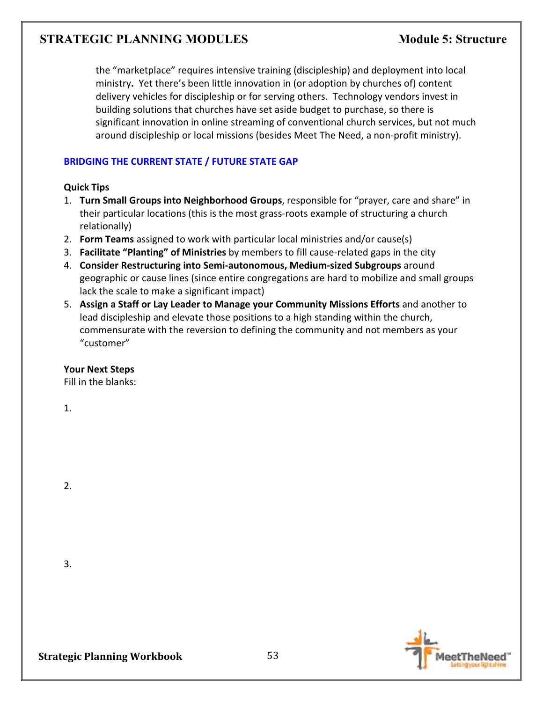the "marketplace" requires intensive training (discipleship) and deployment into local ministry**.** Yet there's been little innovation in (or adoption by churches of) content delivery vehicles for discipleship or for serving others. Technology vendors invest in building solutions that churches have set aside budget to purchase, so there is significant innovation in online streaming of conventional church services, but not much around discipleship or local missions (besides Meet The Need, a non-profit ministry).

### **BRIDGING THE CURRENT STATE / FUTURE STATE GAP**

#### **Quick Tips**

- 1. **Turn Small Groups into Neighborhood Groups**, responsible for "prayer, care and share" in their particular locations (this is the most grass-roots example of structuring a church relationally)
- 2. **Form Teams** assigned to work with particular local ministries and/or cause(s)
- 3. **Facilitate "Planting" of Ministries** by members to fill cause-related gaps in the city
- 4. **Consider Restructuring into Semi-autonomous, Medium-sized Subgroups** around geographic or cause lines (since entire congregations are hard to mobilize and small groups lack the scale to make a significant impact)
- 5. **Assign a Staff or Lay Leader to Manage your Community Missions Efforts** and another to lead discipleship and elevate those positions to a high standing within the church, commensurate with the reversion to defining the community and not members as your "customer"

#### **Your Next Steps**

Fill in the blanks:

1.

2.

3.

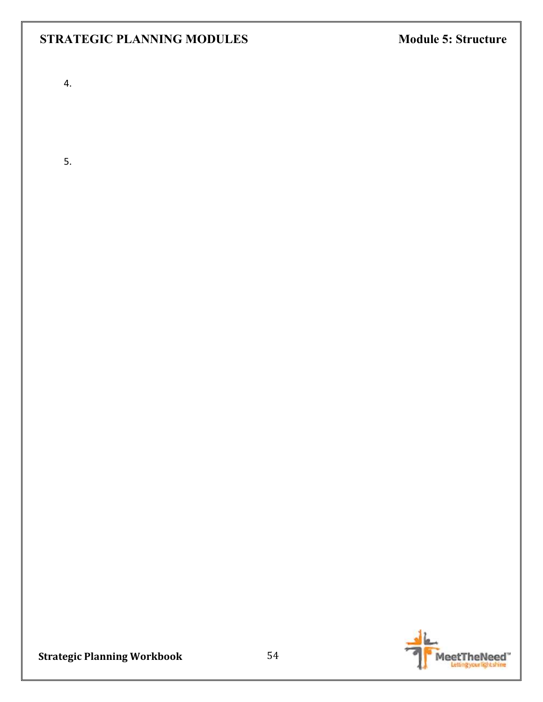4.

5.

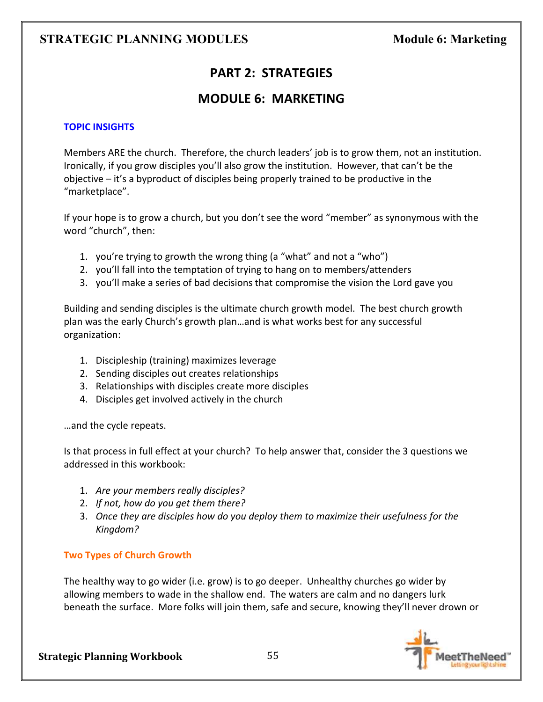# **PART 2: STRATEGIES**

# **MODULE 6: MARKETING**

## **TOPIC INSIGHTS**

Members ARE the church. Therefore, the church leaders' job is to grow them, not an institution. Ironically, if you grow disciples you'll also grow the institution. However, that can't be the objective – it's a byproduct of disciples being properly trained to be productive in the "marketplace".

If your hope is to grow a church, but you don't see the word "member" as synonymous with the word "church", then:

- 1. you're trying to growth the wrong thing (a "what" and not a "who")
- 2. you'll fall into the temptation of trying to hang on to members/attenders
- 3. you'll make a series of bad decisions that compromise the vision the Lord gave you

Building and sending disciples is the ultimate church growth model. The best church growth plan was the early Church's growth plan…and is what works best for any successful organization:

- 1. Discipleship (training) maximizes leverage
- 2. Sending disciples out creates relationships
- 3. Relationships with disciples create more disciples
- 4. Disciples get involved actively in the church

…and the cycle repeats.

Is that process in full effect at your church? To help answer that, consider the 3 questions we addressed in this workbook:

- 1. *Are your members really disciples?*
- 2. *If not, how do you get them there?*
- 3. *Once they are disciples how do you deploy them to maximize their usefulness for the Kingdom?*

#### **Two Types of Church Growth**

The healthy way to go wider (i.e. grow) is to go deeper. Unhealthy churches go wider by allowing members to wade in the shallow end. The waters are calm and no dangers lurk beneath the surface. More folks will join them, safe and secure, knowing they'll never drown or

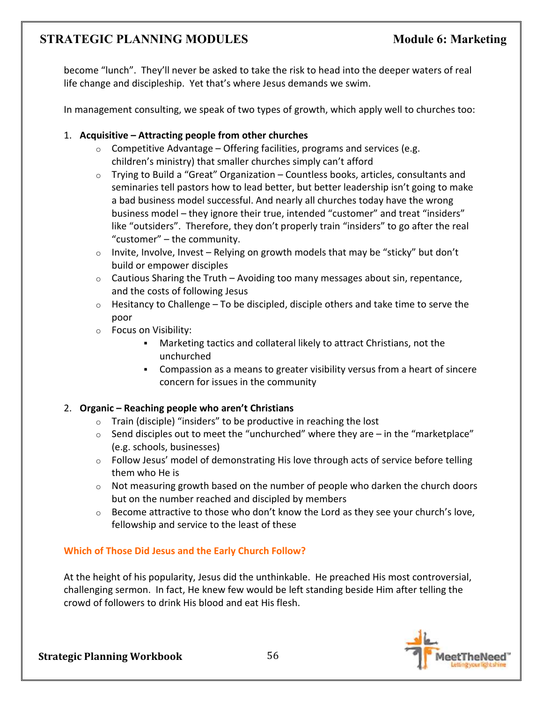become "lunch". They'll never be asked to take the risk to head into the deeper waters of real life change and discipleship. Yet that's where Jesus demands we swim.

In management consulting, we speak of two types of growth, which apply well to churches too:

## 1. **Acquisitive – Attracting people from other churches**

- $\circ$  Competitive Advantage Offering facilities, programs and services (e.g. children's ministry) that smaller churches simply can't afford
- $\circ$  Trying to Build a "Great" Organization Countless books, articles, consultants and seminaries tell pastors how to lead better, but better leadership isn't going to make a bad business model successful. And nearly all churches today have the wrong business model – they ignore their true, intended "customer" and treat "insiders" like "outsiders". Therefore, they don't properly train "insiders" to go after the real "customer" – the community.
- o Invite, Involve, Invest Relying on growth models that may be "sticky" but don't build or empower disciples
- $\circ$  Cautious Sharing the Truth Avoiding too many messages about sin, repentance, and the costs of following Jesus
- $\circ$  Hesitancy to Challenge To be discipled, disciple others and take time to serve the poor
- o Focus on Visibility:
	- Marketing tactics and collateral likely to attract Christians, not the unchurched
	- Compassion as a means to greater visibility versus from a heart of sincere concern for issues in the community

# 2. **Organic – Reaching people who aren't Christians**

- o Train (disciple) "insiders" to be productive in reaching the lost
- $\circ$  Send disciples out to meet the "unchurched" where they are in the "marketplace" (e.g. schools, businesses)
- $\circ$  Follow Jesus' model of demonstrating His love through acts of service before telling them who He is
- $\circ$  Not measuring growth based on the number of people who darken the church doors but on the number reached and discipled by members
- o Become attractive to those who don't know the Lord as they see your church's love, fellowship and service to the least of these

# **Which of Those Did Jesus and the Early Church Follow?**

At the height of his popularity, Jesus did the unthinkable. He preached His most controversial, challenging sermon. In fact, He knew few would be left standing beside Him after telling the crowd of followers to drink His blood and eat His flesh.

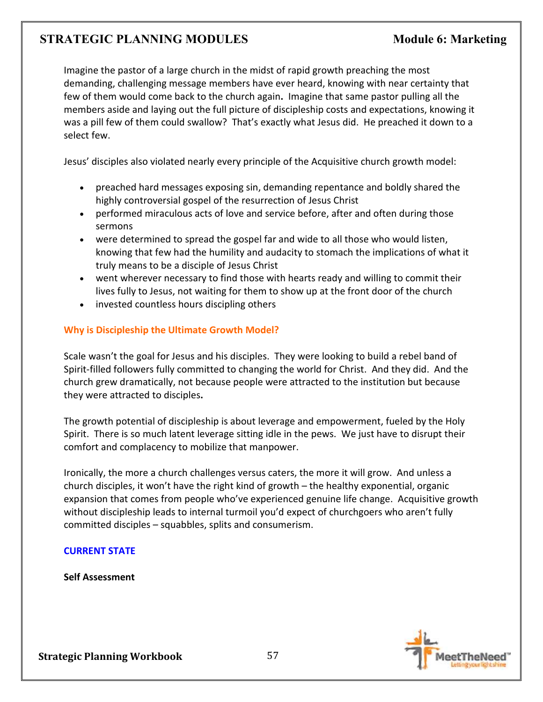Imagine the pastor of a large church in the midst of rapid growth preaching the most demanding, challenging message members have ever heard, knowing with near certainty that few of them would come back to the church again**.** Imagine that same pastor pulling all the members aside and laying out the full picture of discipleship costs and expectations, knowing it was a pill few of them could swallow? That's exactly what Jesus did. He preached it down to a select few.

Jesus' disciples also violated nearly every principle of the Acquisitive church growth model:

- preached hard messages exposing sin, demanding repentance and boldly shared the highly controversial gospel of the resurrection of Jesus Christ
- performed miraculous acts of love and service before, after and often during those sermons
- were determined to spread the gospel far and wide to all those who would listen, knowing that few had the humility and audacity to stomach the implications of what it truly means to be a disciple of Jesus Christ
- went wherever necessary to find those with hearts ready and willing to commit their lives fully to Jesus, not waiting for them to show up at the front door of the church
- invested countless hours discipling others

## **Why is Discipleship the Ultimate Growth Model?**

Scale wasn't the goal for Jesus and his disciples. They were looking to build a rebel band of Spirit-filled followers fully committed to changing the world for Christ. And they did. And the church grew dramatically, not because people were attracted to the institution but because they were attracted to disciples**.** 

The growth potential of discipleship is about leverage and empowerment, fueled by the Holy Spirit. There is so much latent leverage sitting idle in the pews. We just have to disrupt their comfort and complacency to mobilize that manpower.

Ironically, the more a church challenges versus caters, the more it will grow. And unless a church disciples, it won't have the right kind of growth – the healthy exponential, organic expansion that comes from people who've experienced genuine life change. Acquisitive growth without discipleship leads to internal turmoil you'd expect of churchgoers who aren't fully committed disciples – squabbles, splits and consumerism.

## **CURRENT STATE**

**Self Assessment** 

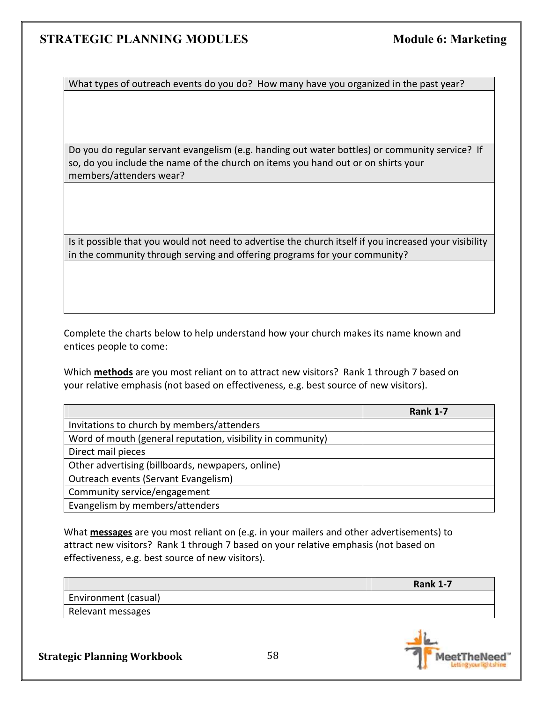What types of outreach events do you do? How many have you organized in the past year?

Do you do regular servant evangelism (e.g. handing out water bottles) or community service? If so, do you include the name of the church on items you hand out or on shirts your members/attenders wear?

Is it possible that you would not need to advertise the church itself if you increased your visibility in the community through serving and offering programs for your community?

Complete the charts below to help understand how your church makes its name known and entices people to come:

Which **methods** are you most reliant on to attract new visitors? Rank 1 through 7 based on your relative emphasis (not based on effectiveness, e.g. best source of new visitors).

|                                                             | <b>Rank 1-7</b> |
|-------------------------------------------------------------|-----------------|
| Invitations to church by members/attenders                  |                 |
| Word of mouth (general reputation, visibility in community) |                 |
| Direct mail pieces                                          |                 |
| Other advertising (billboards, newpapers, online)           |                 |
| Outreach events (Servant Evangelism)                        |                 |
| Community service/engagement                                |                 |
| Evangelism by members/attenders                             |                 |

What **messages** are you most reliant on (e.g. in your mailers and other advertisements) to attract new visitors? Rank 1 through 7 based on your relative emphasis (not based on effectiveness, e.g. best source of new visitors).

|                      | <b>Rank 1-7</b> |
|----------------------|-----------------|
| Environment (casual) |                 |
| Relevant messages    |                 |

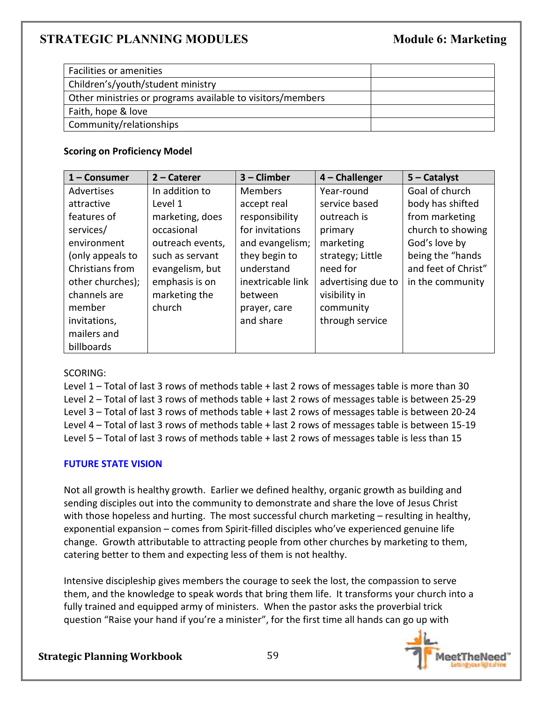| Facilities or amenities                                    |  |
|------------------------------------------------------------|--|
| Children's/youth/student ministry                          |  |
| Other ministries or programs available to visitors/members |  |
| Faith, hope & love                                         |  |
| Community/relationships                                    |  |
|                                                            |  |

## **Scoring on Proficiency Model**

| $1 -$ Consumer   | $2$ – Caterer    | $3$ – Climber     | $4$ – Challenger   | $5 -$ Catalyst      |
|------------------|------------------|-------------------|--------------------|---------------------|
| Advertises       | In addition to   | <b>Members</b>    | Year-round         | Goal of church      |
| attractive       | Level 1          | accept real       | service based      | body has shifted    |
| features of      | marketing, does  | responsibility    | outreach is        | from marketing      |
| services/        | occasional       | for invitations   | primary            | church to showing   |
| environment      | outreach events, | and evangelism;   | marketing          | God's love by       |
| (only appeals to | such as servant  | they begin to     | strategy; Little   | being the "hands    |
| Christians from  | evangelism, but  | understand        | need for           | and feet of Christ" |
| other churches); | emphasis is on   | inextricable link | advertising due to | in the community    |
| channels are     | marketing the    | between           | visibility in      |                     |
| member           | church           | prayer, care      | community          |                     |
| invitations,     |                  | and share         | through service    |                     |
| mailers and      |                  |                   |                    |                     |
| billboards       |                  |                   |                    |                     |

## SCORING:

Level 1 – Total of last 3 rows of methods table + last 2 rows of messages table is more than 30 Level 2 – Total of last 3 rows of methods table + last 2 rows of messages table is between 25-29 Level 3 – Total of last 3 rows of methods table + last 2 rows of messages table is between 20-24 Level 4 – Total of last 3 rows of methods table + last 2 rows of messages table is between 15-19 Level 5 – Total of last 3 rows of methods table + last 2 rows of messages table is less than 15

## **FUTURE STATE VISION**

Not all growth is healthy growth. Earlier we defined healthy, organic growth as building and sending disciples out into the community to demonstrate and share the love of Jesus Christ with those hopeless and hurting. The most successful church marketing – resulting in healthy, exponential expansion – comes from Spirit-filled disciples who've experienced genuine life change. Growth attributable to attracting people from other churches by marketing to them, catering better to them and expecting less of them is not healthy.

Intensive discipleship gives members the courage to seek the lost, the compassion to serve them, and the knowledge to speak words that bring them life. It transforms your church into a fully trained and equipped army of ministers. When the pastor asks the proverbial trick question "Raise your hand if you're a minister", for the first time all hands can go up with

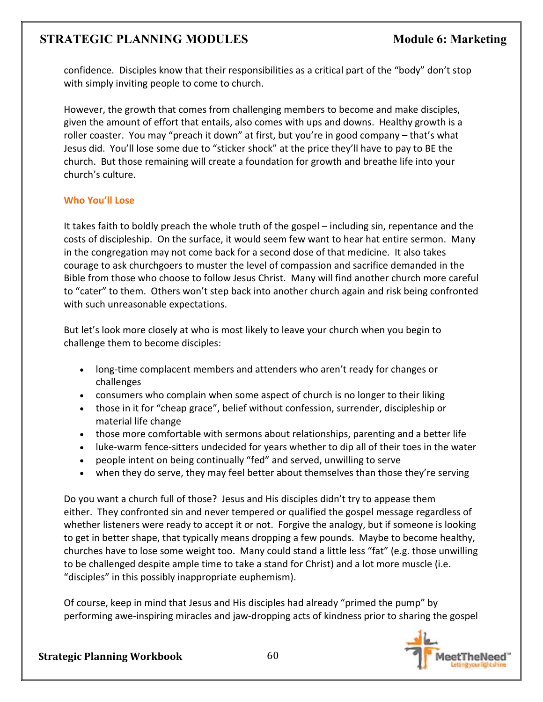confidence. Disciples know that their responsibilities as a critical part of the "body" don't stop with simply inviting people to come to church.

However, the growth that comes from challenging members to become and make disciples, given the amount of effort that entails, also comes with ups and downs. Healthy growth is a roller coaster. You may "preach it down" at first, but you're in good company – that's what Jesus did. You'll lose some due to "sticker shock" at the price they'll have to pay to BE the church. But those remaining will create a foundation for growth and breathe life into your church's culture.

# **Who You'll Lose**

It takes faith to boldly preach the whole truth of the gospel – including sin, repentance and the costs of discipleship. On the surface, it would seem few want to hear hat entire sermon. Many in the congregation may not come back for a second dose of that medicine. It also takes courage to ask churchgoers to muster the level of compassion and sacrifice demanded in the Bible from those who choose to follow Jesus Christ. Many will find another church more careful to "cater" to them. Others won't step back into another church again and risk being confronted with such unreasonable expectations.

But let's look more closely at who is most likely to leave your church when you begin to challenge them to become disciples:

- long-time complacent members and attenders who aren't ready for changes or challenges
- consumers who complain when some aspect of church is no longer to their liking
- those in it for "cheap grace", belief without confession, surrender, discipleship or material life change
- those more comfortable with sermons about relationships, parenting and a better life
- luke-warm fence-sitters undecided for years whether to dip all of their toes in the water
- people intent on being continually "fed" and served, unwilling to serve
- when they do serve, they may feel better about themselves than those they're serving

Do you want a church full of those? Jesus and His disciples didn't try to appease them either. They confronted sin and never tempered or qualified the gospel message regardless of whether listeners were ready to accept it or not. Forgive the analogy, but if someone is looking to get in better shape, that typically means dropping a few pounds. Maybe to become healthy, churches have to lose some weight too. Many could stand a little less "fat" (e.g. those unwilling to be challenged despite ample time to take a stand for Christ) and a lot more muscle (i.e. "disciples" in this possibly inappropriate euphemism).

Of course, keep in mind that Jesus and His disciples had already "primed the pump" by performing awe-inspiring miracles and jaw-dropping acts of kindness prior to sharing the gospel

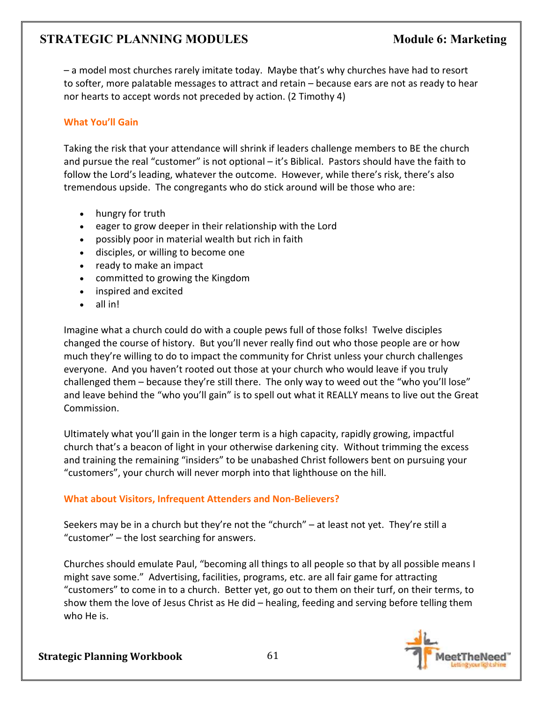– a model most churches rarely imitate today. Maybe that's why churches have had to resort to softer, more palatable messages to attract and retain – because ears are not as ready to hear nor hearts to accept words not preceded by action. (2 Timothy 4)

## **What You'll Gain**

Taking the risk that your attendance will shrink if leaders challenge members to BE the church and pursue the real "customer" is not optional – it's Biblical. Pastors should have the faith to follow the Lord's leading, whatever the outcome. However, while there's risk, there's also tremendous upside. The congregants who do stick around will be those who are:

- hungry for truth
- eager to grow deeper in their relationship with the Lord
- possibly poor in material wealth but rich in faith
- disciples, or willing to become one
- ready to make an impact
- committed to growing the Kingdom
- inspired and excited
- all in!

Imagine what a church could do with a couple pews full of those folks! Twelve disciples changed the course of history. But you'll never really find out who those people are or how much they're willing to do to impact the community for Christ unless your church challenges everyone. And you haven't rooted out those at your church who would leave if you truly challenged them – because they're still there. The only way to weed out the "who you'll lose" and leave behind the "who you'll gain" is to spell out what it REALLY means to live out the Great Commission.

Ultimately what you'll gain in the longer term is a high capacity, rapidly growing, impactful church that's a beacon of light in your otherwise darkening city. Without trimming the excess and training the remaining "insiders" to be unabashed Christ followers bent on pursuing your "customers", your church will never morph into that lighthouse on the hill.

## **What about Visitors, Infrequent Attenders and Non-Believers?**

Seekers may be in a church but they're not the "church" – at least not yet. They're still a "customer" – the lost searching for answers.

Churches should emulate Paul, "becoming all things to all people so that by all possible means I might save some." Advertising, facilities, programs, etc. are all fair game for attracting "customers" to come in to a church. Better yet, go out to them on their turf, on their terms, to show them the love of Jesus Christ as He did – healing, feeding and serving before telling them who He is.

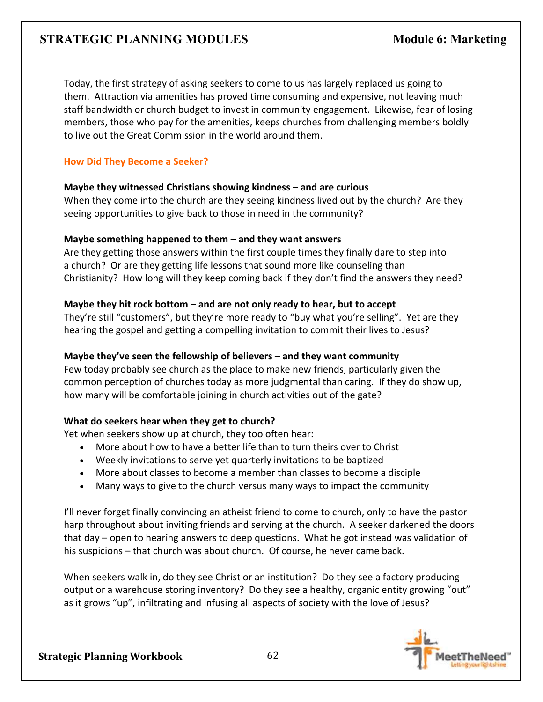Today, the first strategy of asking seekers to come to us has largely replaced us going to them. Attraction via amenities has proved time consuming and expensive, not leaving much staff bandwidth or church budget to invest in community engagement. Likewise, fear of losing members, those who pay for the amenities, keeps churches from challenging members boldly to live out the Great Commission in the world around them.

### **How Did They Become a Seeker?**

#### **Maybe they witnessed Christians showing kindness – and are curious**

When they come into the church are they seeing kindness lived out by the church? Are they seeing opportunities to give back to those in need in the community?

#### **Maybe something happened to them – and they want answers**

Are they getting those answers within the first couple times they finally dare to step into a church? Or are they getting life lessons that sound more like counseling than Christianity? How long will they keep coming back if they don't find the answers they need?

## **Maybe they hit rock bottom – and are not only ready to hear, but to accept**

They're still "customers", but they're more ready to "buy what you're selling". Yet are they hearing the gospel and getting a compelling invitation to commit their lives to Jesus?

## **Maybe they've seen the fellowship of believers – and they want community**

Few today probably see church as the place to make new friends, particularly given the common perception of churches today as more judgmental than caring. If they do show up, how many will be comfortable joining in church activities out of the gate?

## **What do seekers hear when they get to church?**

Yet when seekers show up at church, they too often hear:

- More about how to have a better life than to turn theirs over to Christ
- Weekly invitations to serve yet quarterly invitations to be baptized
- More about classes to become a member than classes to become a disciple
- Many ways to give to the church versus many ways to impact the community

I'll never forget finally convincing an atheist friend to come to church, only to have the pastor harp throughout about inviting friends and serving at the church. A seeker darkened the doors that day – open to hearing answers to deep questions. What he got instead was validation of his suspicions – that church was about church. Of course, he never came back.

When seekers walk in, do they see Christ or an institution? Do they see a factory producing output or a warehouse storing inventory? Do they see a healthy, organic entity growing "out" as it grows "up", infiltrating and infusing all aspects of society with the love of Jesus?

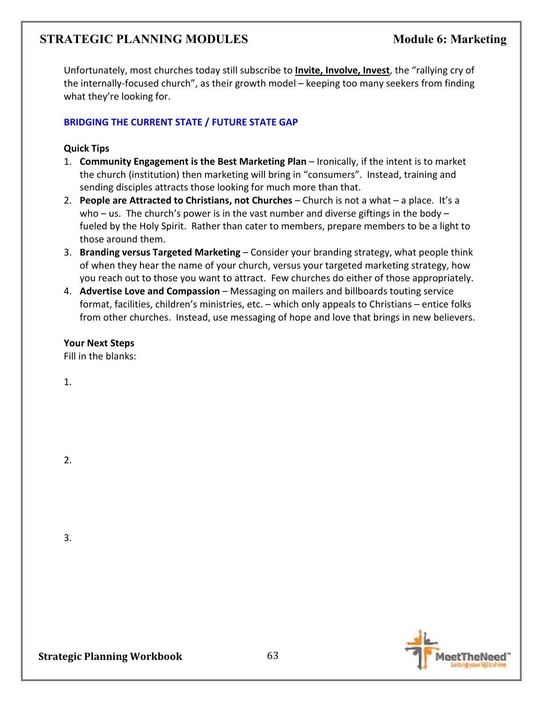Unfortunately, most churches today still subscribe to **Invite, Involve, Invest**, the "rallying cry of the internally-focused church", as their growth model – keeping too many seekers from finding what they're looking for.

## **BRIDGING THE CURRENT STATE / FUTURE STATE GAP**

## **Quick Tips**

- 1. **Community Engagement is the Best Marketing Plan** Ironically, if the intent is to market the church (institution) then marketing will bring in "consumers". Instead, training and sending disciples attracts those looking for much more than that.
- 2. **People are Attracted to Christians, not Churches** Church is not a what a place. It's a who – us. The church's power is in the vast number and diverse giftings in the body – fueled by the Holy Spirit. Rather than cater to members, prepare members to be a light to those around them.
- 3. **Branding versus Targeted Marketing** Consider your branding strategy, what people think of when they hear the name of your church, versus your targeted marketing strategy, how you reach out to those you want to attract. Few churches do either of those appropriately.
- 4. **Advertise Love and Compassion** Messaging on mailers and billboards touting service format, facilities, children's ministries, etc. – which only appeals to Christians – entice folks from other churches. Instead, use messaging of hope and love that brings in new believers.

# **Your Next Steps**

Fill in the blanks:

1.

2.

3.

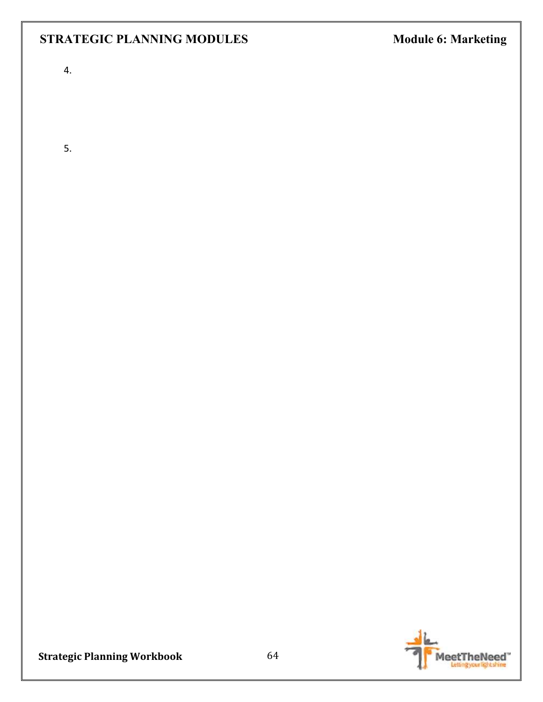4.

5.

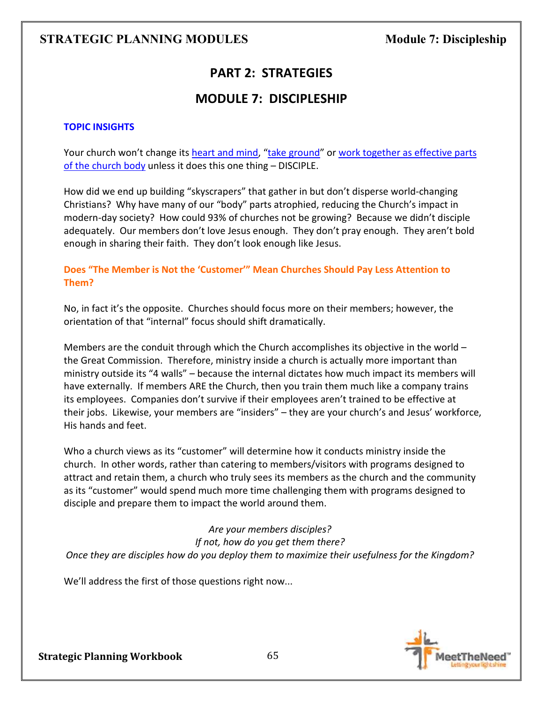# **PART 2: STRATEGIES**

# **MODULE 7: DISCIPLESHIP**

### **TOPIC INSIGHTS**

Your church won't change its heart and mind, "take ground" or work together as effective parts of the church body unless it does this one thing – DISCIPLE.

How did we end up building "skyscrapers" that gather in but don't disperse world-changing Christians? Why have many of our "body" parts atrophied, reducing the Church's impact in modern-day society? How could 93% of churches not be growing? Because we didn't disciple adequately. Our members don't love Jesus enough. They don't pray enough. They aren't bold enough in sharing their faith. They don't look enough like Jesus.

## **Does "The Member is Not the 'Customer'" Mean Churches Should Pay Less Attention to Them?**

No, in fact it's the opposite. Churches should focus more on their members; however, the orientation of that "internal" focus should shift dramatically.

Members are the conduit through which the Church accomplishes its objective in the world  $$ the Great Commission. Therefore, ministry inside a church is actually more important than ministry outside its "4 walls" – because the internal dictates how much impact its members will have externally. If members ARE the Church, then you train them much like a company trains its employees. Companies don't survive if their employees aren't trained to be effective at their jobs. Likewise, your members are "insiders" – they are your church's and Jesus' workforce, His hands and feet.

Who a church views as its "customer" will determine how it conducts ministry inside the church. In other words, rather than catering to members/visitors with programs designed to attract and retain them, a church who truly sees its members as the church and the community as its "customer" would spend much more time challenging them with programs designed to disciple and prepare them to impact the world around them.

*Are your members disciples? If not, how do you get them there? Once they are disciples how do you deploy them to maximize their usefulness for the Kingdom?* 

We'll address the first of those questions right now...

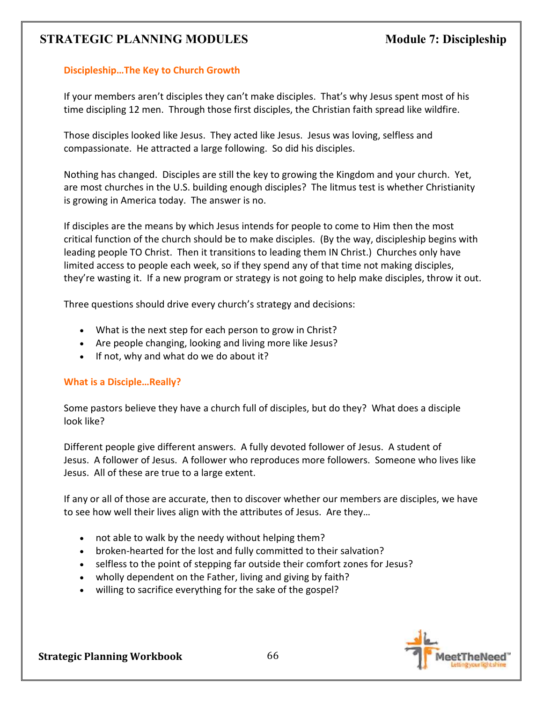## **Discipleship…The Key to Church Growth**

If your members aren't disciples they can't make disciples. That's why Jesus spent most of his time discipling 12 men. Through those first disciples, the Christian faith spread like wildfire.

Those disciples looked like Jesus. They acted like Jesus. Jesus was loving, selfless and compassionate. He attracted a large following. So did his disciples.

Nothing has changed. Disciples are still the key to growing the Kingdom and your church. Yet, are most churches in the U.S. building enough disciples? The litmus test is whether Christianity is growing in America today. The answer is no.

If disciples are the means by which Jesus intends for people to come to Him then the most critical function of the church should be to make disciples.(By the way, discipleship begins with leading people TO Christ. Then it transitions to leading them IN Christ.) Churches only have limited access to people each week, so if they spend any of that time not making disciples, they're wasting it. If a new program or strategy is not going to help make disciples, throw it out.

Three questions should drive every church's strategy and decisions:

- What is the next step for each person to grow in Christ?
- Are people changing, looking and living more like Jesus?
- If not, why and what do we do about it?

#### **What is a Disciple…Really?**

Some pastors believe they have a church full of disciples, but do they? What does a disciple look like?

Different people give different answers. A fully devoted follower of Jesus. A student of Jesus. A follower of Jesus. A follower who reproduces more followers. Someone who lives like Jesus. All of these are true to a large extent.

If any or all of those are accurate, then to discover whether our members are disciples, we have to see how well their lives align with the attributes of Jesus. Are they…

- not able to walk by the needy without helping them?
- broken-hearted for the lost and fully committed to their salvation?
- selfless to the point of stepping far outside their comfort zones for Jesus?
- wholly dependent on the Father, living and giving by faith?
- willing to sacrifice everything for the sake of the gospel?

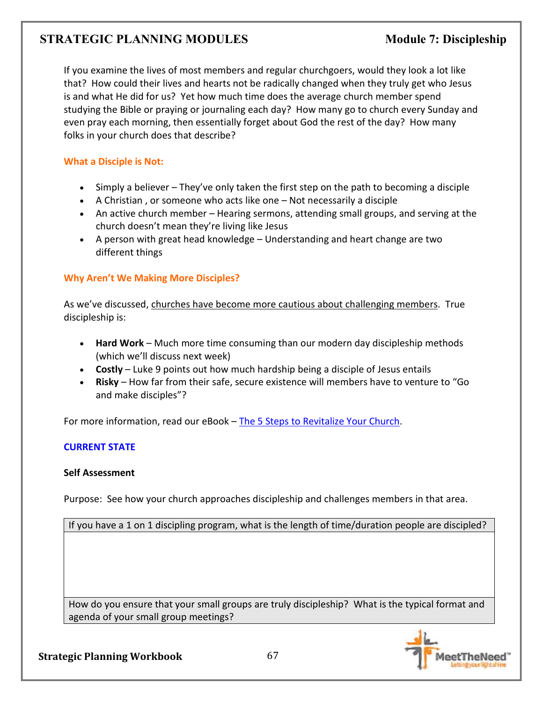If you examine the lives of most members and regular churchgoers, would they look a lot like that? How could their lives and hearts not be radically changed when they truly get who Jesus is and what He did for us? Yet how much time does the average church member spend studying the Bible or praying or journaling each day? How many go to church every Sunday and even pray each morning, then essentially forget about God the rest of the day? How many folks in your church does that describe?

## **What a Disciple is Not:**

- Simply a believer They've only taken the first step on the path to becoming a disciple
- A Christian , or someone who acts like one Not necessarily a disciple
- An active church member Hearing sermons, attending small groups, and serving at the church doesn't mean they're living like Jesus
- A person with great head knowledge Understanding and heart change are two different things

## **Why Aren't We Making More Disciples?**

As we've discussed, churches have become more cautious about challenging members. True discipleship is:

- **Hard Work** Much more time consuming than our modern day discipleship methods (which we'll discuss next week)
- **Costly** Luke 9 points out how much hardship being a disciple of Jesus entails
- **Risky** How far from their safe, secure existence will members have to venture to "Go and make disciples"?

For more information, read our eBook – The 5 Steps to Revitalize Your Church.

## **CURRENT STATE**

## **Self Assessment**

Purpose: See how your church approaches discipleship and challenges members in that area.

If you have a 1 on 1 discipling program, what is the length of time/duration people are discipled?

How do you ensure that your small groups are truly discipleship? What is the typical format and agenda of your small group meetings?

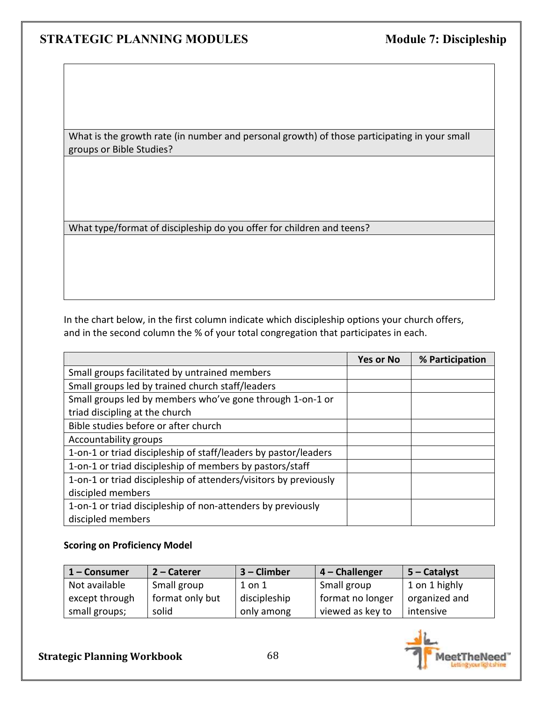What is the growth rate (in number and personal growth) of those participating in your small groups or Bible Studies?

What type/format of discipleship do you offer for children and teens?

In the chart below, in the first column indicate which discipleship options your church offers, and in the second column the % of your total congregation that participates in each.

|                                                                  | <b>Yes or No</b> | % Participation |
|------------------------------------------------------------------|------------------|-----------------|
| Small groups facilitated by untrained members                    |                  |                 |
| Small groups led by trained church staff/leaders                 |                  |                 |
| Small groups led by members who've gone through 1-on-1 or        |                  |                 |
| triad discipling at the church                                   |                  |                 |
| Bible studies before or after church                             |                  |                 |
| Accountability groups                                            |                  |                 |
| 1-on-1 or triad discipleship of staff/leaders by pastor/leaders  |                  |                 |
| 1-on-1 or triad discipleship of members by pastors/staff         |                  |                 |
| 1-on-1 or triad discipleship of attenders/visitors by previously |                  |                 |
| discipled members                                                |                  |                 |
| 1-on-1 or triad discipleship of non-attenders by previously      |                  |                 |
| discipled members                                                |                  |                 |

#### **Scoring on Proficiency Model**

| 1 – Consumer   | 2 – Caterer     | $3$ – Climber | $4$ – Challenger | $ 5 -$ Catalyst |
|----------------|-----------------|---------------|------------------|-----------------|
| Not available  | Small group     | $1$ on $1$    | Small group      | 1 on 1 highly   |
| except through | format only but | discipleship  | format no longer | organized and   |
| small groups;  | solid           | only among    | viewed as key to | intensive       |

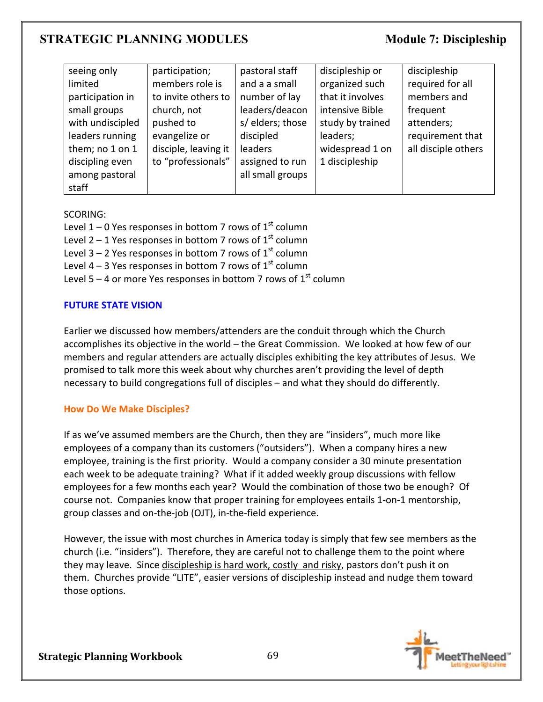| seeing only      | participation;       | pastoral staff   | discipleship or  | discipleship        |
|------------------|----------------------|------------------|------------------|---------------------|
| limited          | members role is      | and a a small    | organized such   | required for all    |
| participation in | to invite others to  | number of lay    | that it involves | members and         |
| small groups     | church, not          | leaders/deacon   | intensive Bible  | frequent            |
| with undiscipled | pushed to            | s/ elders; those | study by trained | attenders;          |
| leaders running  | evangelize or        | discipled        | leaders;         | requirement that    |
| them; no 1 on 1  | disciple, leaving it | <b>leaders</b>   | widespread 1 on  | all disciple others |
| discipling even  | to "professionals"   | assigned to run  | 1 discipleship   |                     |
| among pastoral   |                      | all small groups |                  |                     |
| staff            |                      |                  |                  |                     |

#### SCORING:

Level 1 – 0 Yes responses in bottom 7 rows of  $1<sup>st</sup>$  column

Level 2 – 1 Yes responses in bottom 7 rows of  $1<sup>st</sup>$  column

Level 3 – 2 Yes responses in bottom 7 rows of  $1<sup>st</sup>$  column

Level 4 – 3 Yes responses in bottom 7 rows of  $1<sup>st</sup>$  column

Level 5 – 4 or more Yes responses in bottom 7 rows of  $1<sup>st</sup>$  column

## **FUTURE STATE VISION**

Earlier we discussed how members/attenders are the conduit through which the Church accomplishes its objective in the world – the Great Commission. We looked at how few of our members and regular attenders are actually disciples exhibiting the key attributes of Jesus. We promised to talk more this week about why churches aren't providing the level of depth necessary to build congregations full of disciples – and what they should do differently.

## **How Do We Make Disciples?**

If as we've assumed members are the Church, then they are "insiders", much more like employees of a company than its customers ("outsiders"). When a company hires a new employee, training is the first priority. Would a company consider a 30 minute presentation each week to be adequate training? What if it added weekly group discussions with fellow employees for a few months each year? Would the combination of those two be enough? Of course not. Companies know that proper training for employees entails 1-on-1 mentorship, group classes and on-the-job (OJT), in-the-field experience.

However, the issue with most churches in America today is simply that few see members as the church (i.e. "insiders"). Therefore, they are careful not to challenge them to the point where they may leave. Since discipleship is hard work, costly and risky, pastors don't push it on them. Churches provide "LITE", easier versions of discipleship instead and nudge them toward those options.

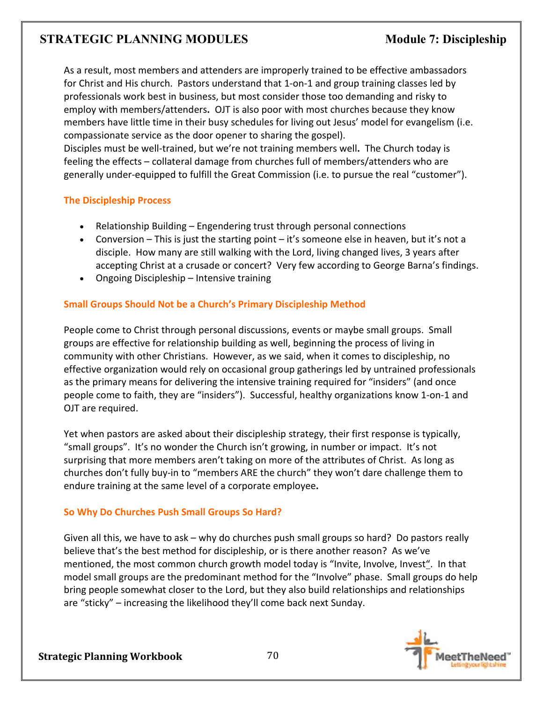As a result, most members and attenders are improperly trained to be effective ambassadors for Christ and His church. Pastors understand that 1-on-1 and group training classes led by professionals work best in business, but most consider those too demanding and risky to employ with members/attenders**.** OJT is also poor with most churches because they know members have little time in their busy schedules for living out Jesus' model for evangelism (i.e. compassionate service as the door opener to sharing the gospel).

Disciples must be well-trained, but we're not training members well**.** The Church today is feeling the effects – collateral damage from churches full of members/attenders who are generally under-equipped to fulfill the Great Commission (i.e. to pursue the real "customer").

## **The Discipleship Process**

- Relationship Building Engendering trust through personal connections
- Conversion This is just the starting point it's someone else in heaven, but it's not a disciple. How many are still walking with the Lord, living changed lives, 3 years after accepting Christ at a crusade or concert? Very few according to George Barna's findings.
- Ongoing Discipleship Intensive training

# **Small Groups Should Not be a Church's Primary Discipleship Method**

People come to Christ through personal discussions, events or maybe small groups. Small groups are effective for relationship building as well, beginning the process of living in community with other Christians. However, as we said, when it comes to discipleship, no effective organization would rely on occasional group gatherings led by untrained professionals as the primary means for delivering the intensive training required for "insiders" (and once people come to faith, they are "insiders"). Successful, healthy organizations know 1-on-1 and OJT are required.

Yet when pastors are asked about their discipleship strategy, their first response is typically, "small groups". It's no wonder the Church isn't growing, in number or impact. It's not surprising that more members aren't taking on more of the attributes of Christ. As long as churches don't fully buy-in to "members ARE the church" they won't dare challenge them to endure training at the same level of a corporate employee**.**

## **So Why Do Churches Push Small Groups So Hard?**

Given all this, we have to ask – why do churches push small groups so hard? Do pastors really believe that's the best method for discipleship, or is there another reason? As we've mentioned, the most common church growth model today is "Invite, Involve, Invest". In that model small groups are the predominant method for the "Involve" phase. Small groups do help bring people somewhat closer to the Lord, but they also build relationships and relationships are "sticky" – increasing the likelihood they'll come back next Sunday.

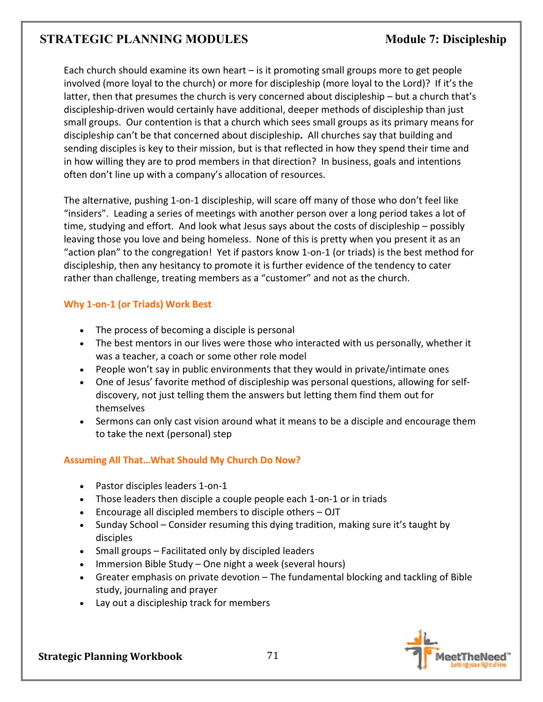Each church should examine its own heart – is it promoting small groups more to get people involved (more loyal to the church) or more for discipleship (more loyal to the Lord)? If it's the latter, then that presumes the church is very concerned about discipleship – but a church that's discipleship-driven would certainly have additional, deeper methods of discipleship than just small groups. Our contention is that a church which sees small groups as its primary means for discipleship can't be that concerned about discipleship**.** All churches say that building and sending disciples is key to their mission, but is that reflected in how they spend their time and in how willing they are to prod members in that direction? In business, goals and intentions often don't line up with a company's allocation of resources.

The alternative, pushing 1-on-1 discipleship, will scare off many of those who don't feel like "insiders". Leading a series of meetings with another person over a long period takes a lot of time, studying and effort. And look what Jesus says about the costs of discipleship – possibly leaving those you love and being homeless. None of this is pretty when you present it as an "action plan" to the congregation! Yet if pastors know 1-on-1 (or triads) is the best method for discipleship, then any hesitancy to promote it is further evidence of the tendency to cater rather than challenge, treating members as a "customer" and not as the church.

## **Why 1-on-1 (or Triads) Work Best**

- The process of becoming a disciple is personal
- The best mentors in our lives were those who interacted with us personally, whether it was a teacher, a coach or some other role model
- People won't say in public environments that they would in private/intimate ones
- One of Jesus' favorite method of discipleship was personal questions, allowing for selfdiscovery, not just telling them the answers but letting them find them out for themselves
- Sermons can only cast vision around what it means to be a disciple and encourage them to take the next (personal) step

# **Assuming All That…What Should My Church Do Now?**

- Pastor disciples leaders 1-on-1
- Those leaders then disciple a couple people each 1-on-1 or in triads
- Encourage all discipled members to disciple others OJT
- Sunday School Consider resuming this dying tradition, making sure it's taught by disciples
- Small groups Facilitated only by discipled leaders
- Immersion Bible Study One night a week (several hours)
- Greater emphasis on private devotion The fundamental blocking and tackling of Bible study, journaling and prayer
- Lay out a discipleship track for members

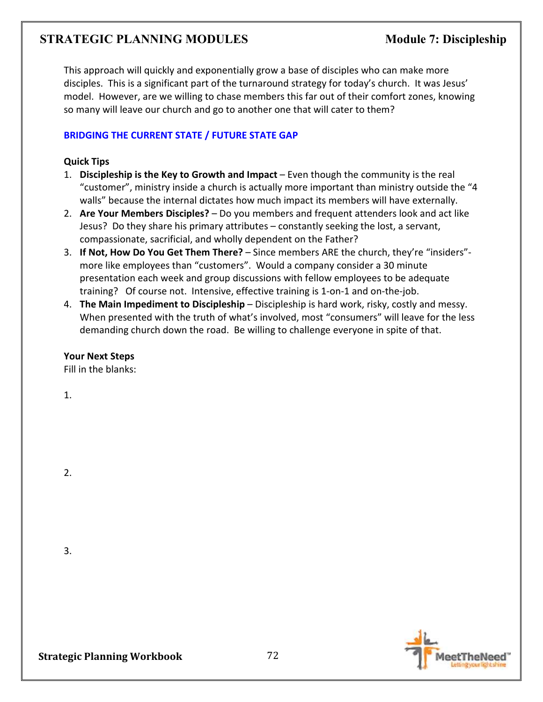This approach will quickly and exponentially grow a base of disciples who can make more disciples. This is a significant part of the turnaround strategy for today's church. It was Jesus' model. However, are we willing to chase members this far out of their comfort zones, knowing so many will leave our church and go to another one that will cater to them?

### **BRIDGING THE CURRENT STATE / FUTURE STATE GAP**

#### **Quick Tips**

- 1. **Discipleship is the Key to Growth and Impact** Even though the community is the real "customer", ministry inside a church is actually more important than ministry outside the "4 walls" because the internal dictates how much impact its members will have externally.
- 2. **Are Your Members Disciples?** Do you members and frequent attenders look and act like Jesus? Do they share his primary attributes – constantly seeking the lost, a servant, compassionate, sacrificial, and wholly dependent on the Father?
- 3. **If Not, How Do You Get Them There?** Since members ARE the church, they're "insiders" more like employees than "customers". Would a company consider a 30 minute presentation each week and group discussions with fellow employees to be adequate training? Of course not. Intensive, effective training is 1-on-1 and on-the-job.
- 4. **The Main Impediment to Discipleship** Discipleship is hard work, risky, costly and messy. When presented with the truth of what's involved, most "consumers" will leave for the less demanding church down the road. Be willing to challenge everyone in spite of that.

#### **Your Next Steps**

Fill in the blanks:

1.

2.

3.

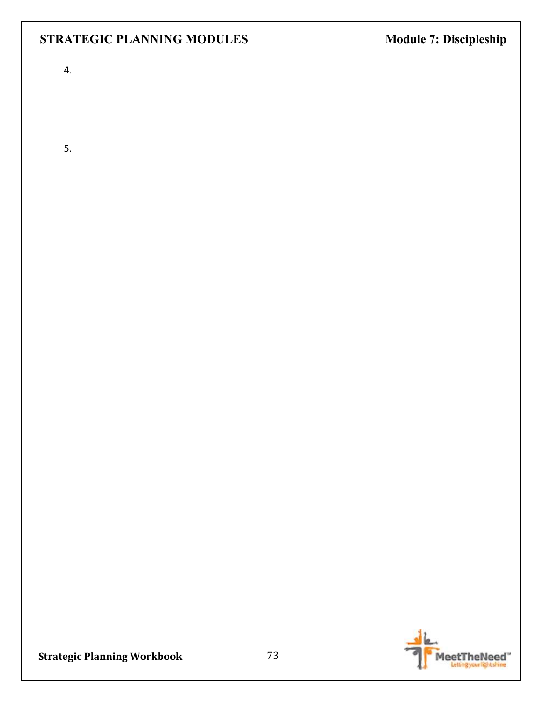# **STRATEGIC PLANNING MODULES** Module 7: Discipleship

4.

5.



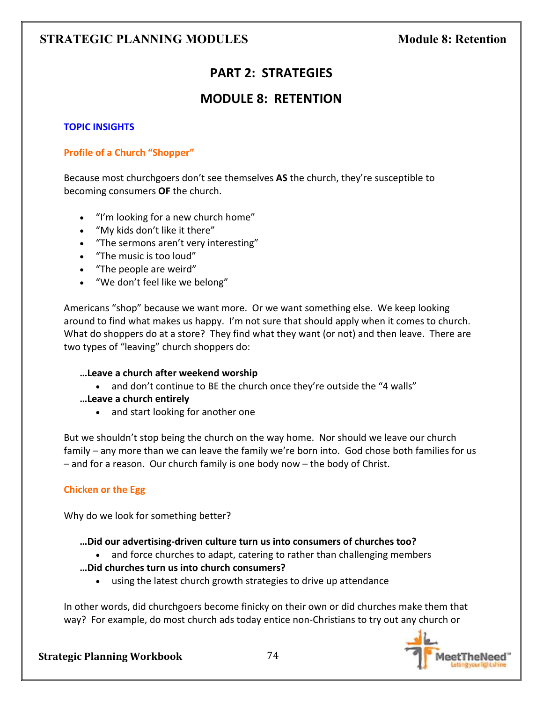# **PART 2: STRATEGIES**

# **MODULE 8: RETENTION**

### **TOPIC INSIGHTS**

### **Profile of a Church "Shopper"**

Because most churchgoers don't see themselves **AS** the church, they're susceptible to becoming consumers **OF** the church.

- "I'm looking for a new church home"
- "My kids don't like it there"
- "The sermons aren't very interesting"
- "The music is too loud"
- "The people are weird"
- "We don't feel like we belong"

Americans "shop" because we want more. Or we want something else. We keep looking around to find what makes us happy. I'm not sure that should apply when it comes to church. What do shoppers do at a store? They find what they want (or not) and then leave. There are two types of "leaving" church shoppers do:

### **…Leave a church after weekend worship**

- and don't continue to BE the church once they're outside the "4 walls"
- **…Leave a church entirely**
	- and start looking for another one

But we shouldn't stop being the church on the way home. Nor should we leave our church family – any more than we can leave the family we're born into. God chose both families for us – and for a reason. Our church family is one body now – the body of Christ.

### **Chicken or the Egg**

Why do we look for something better?

- **…Did our advertising-driven culture turn us into consumers of churches too?**
	- and force churches to adapt, catering to rather than challenging members
- **…Did churches turn us into church consumers?**
	- using the latest church growth strategies to drive up attendance

In other words, did churchgoers become finicky on their own or did churches make them that way? For example, do most church ads today entice non-Christians to try out any church or

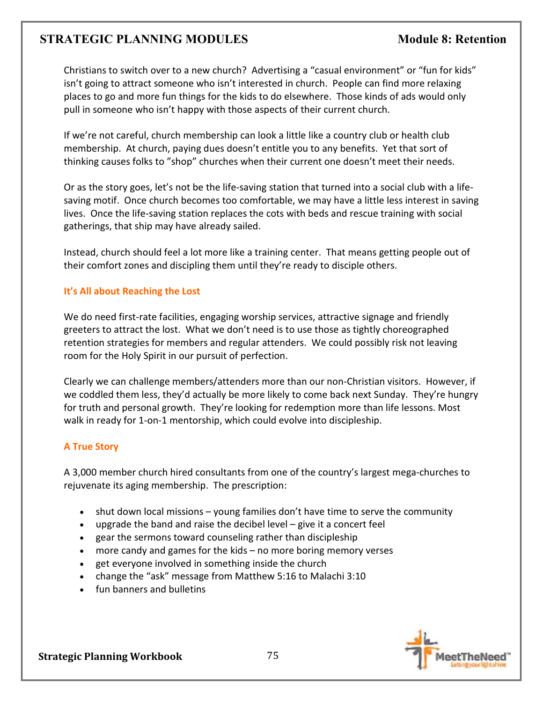Christians to switch over to a new church? Advertising a "casual environment" or "fun for kids" isn't going to attract someone who isn't interested in church. People can find more relaxing places to go and more fun things for the kids to do elsewhere. Those kinds of ads would only pull in someone who isn't happy with those aspects of their current church.

If we're not careful, church membership can look a little like a country club or health club membership. At church, paying dues doesn't entitle you to any benefits. Yet that sort of thinking causes folks to "shop" churches when their current one doesn't meet their needs.

Or as the story goes, let's not be the life-saving station that turned into a social club with a lifesaving motif. Once church becomes too comfortable, we may have a little less interest in saving lives. Once the life-saving station replaces the cots with beds and rescue training with social gatherings, that ship may have already sailed.

Instead, church should feel a lot more like a training center. That means getting people out of their comfort zones and discipling them until they're ready to disciple others.

### **It's All about Reaching the Lost**

We do need first-rate facilities, engaging worship services, attractive signage and friendly greeters to attract the lost. What we don't need is to use those as tightly choreographed retention strategies for members and regular attenders. We could possibly risk not leaving room for the Holy Spirit in our pursuit of perfection.

Clearly we can challenge members/attenders more than our non-Christian visitors. However, if we coddled them less, they'd actually be more likely to come back next Sunday. They're hungry for truth and personal growth. They're looking for redemption more than life lessons. Most walk in ready for 1-on-1 mentorship, which could evolve into discipleship.

#### **A True Story**

A 3,000 member church hired consultants from one of the country's largest mega-churches to rejuvenate its aging membership. The prescription:

- shut down local missions young families don't have time to serve the community
- upgrade the band and raise the decibel level give it a concert feel
- gear the sermons toward counseling rather than discipleship
- more candy and games for the kids  $-$  no more boring memory verses
- get everyone involved in something inside the church
- change the "ask" message from Matthew 5:16 to Malachi 3:10
- fun banners and bulletins

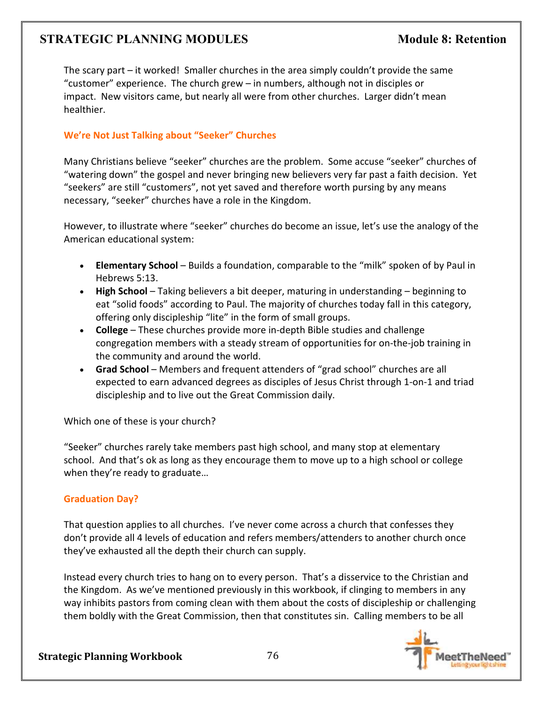The scary part – it worked! Smaller churches in the area simply couldn't provide the same "customer" experience. The church grew – in numbers, although not in disciples or impact. New visitors came, but nearly all were from other churches. Larger didn't mean healthier.

### **We're Not Just Talking about "Seeker" Churches**

Many Christians believe "seeker" churches are the problem. Some accuse "seeker" churches of "watering down" the gospel and never bringing new believers very far past a faith decision. Yet "seekers" are still "customers", not yet saved and therefore worth pursing by any means necessary, "seeker" churches have a role in the Kingdom.

However, to illustrate where "seeker" churches do become an issue, let's use the analogy of the American educational system:

- **Elementary School** Builds a foundation, comparable to the "milk" spoken of by Paul in Hebrews 5:13.
- **High School** Taking believers a bit deeper, maturing in understanding beginning to eat "solid foods" according to Paul. The majority of churches today fall in this category, offering only discipleship "lite" in the form of small groups.
- **College** These churches provide more in-depth Bible studies and challenge congregation members with a steady stream of opportunities for on-the-job training in the community and around the world.
- **Grad School** Members and frequent attenders of "grad school" churches are all expected to earn advanced degrees as disciples of Jesus Christ through 1-on-1 and triad discipleship and to live out the Great Commission daily.

Which one of these is your church?

"Seeker" churches rarely take members past high school, and many stop at elementary school. And that's ok as long as they encourage them to move up to a high school or college when they're ready to graduate…

### **Graduation Day?**

That question applies to all churches. I've never come across a church that confesses they don't provide all 4 levels of education and refers members/attenders to another church once they've exhausted all the depth their church can supply.

Instead every church tries to hang on to every person. That's a disservice to the Christian and the Kingdom. As we've mentioned previously in this workbook, if clinging to members in any way inhibits pastors from coming clean with them about the costs of discipleship or challenging them boldly with the Great Commission, then that constitutes sin. Calling members to be all

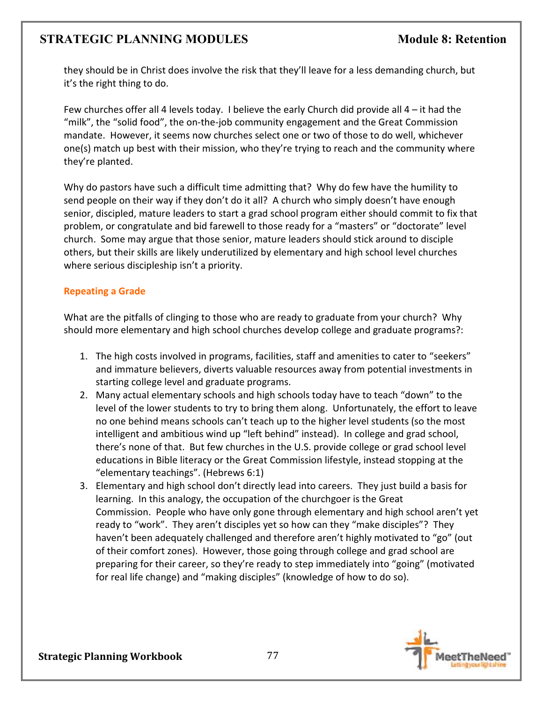they should be in Christ does involve the risk that they'll leave for a less demanding church, but it's the right thing to do.

Few churches offer all 4 levels today. I believe the early Church did provide all  $4$  – it had the "milk", the "solid food", the on-the-job community engagement and the Great Commission mandate. However, it seems now churches select one or two of those to do well, whichever one(s) match up best with their mission, who they're trying to reach and the community where they're planted.

Why do pastors have such a difficult time admitting that? Why do few have the humility to send people on their way if they don't do it all? A church who simply doesn't have enough senior, discipled, mature leaders to start a grad school program either should commit to fix that problem, or congratulate and bid farewell to those ready for a "masters" or "doctorate" level church. Some may argue that those senior, mature leaders should stick around to disciple others, but their skills are likely underutilized by elementary and high school level churches where serious discipleship isn't a priority.

### **Repeating a Grade**

What are the pitfalls of clinging to those who are ready to graduate from your church? Why should more elementary and high school churches develop college and graduate programs?:

- 1. The high costs involved in programs, facilities, staff and amenities to cater to "seekers" and immature believers, diverts valuable resources away from potential investments in starting college level and graduate programs.
- 2. Many actual elementary schools and high schools today have to teach "down" to the level of the lower students to try to bring them along. Unfortunately, the effort to leave no one behind means schools can't teach up to the higher level students (so the most intelligent and ambitious wind up "left behind" instead). In college and grad school, there's none of that. But few churches in the U.S. provide college or grad school level educations in Bible literacy or the Great Commission lifestyle, instead stopping at the "elementary teachings". (Hebrews 6:1)
- 3. Elementary and high school don't directly lead into careers. They just build a basis for learning. In this analogy, the occupation of the churchgoer is the Great Commission. People who have only gone through elementary and high school aren't yet ready to "work". They aren't disciples yet so how can they "make disciples"? They haven't been adequately challenged and therefore aren't highly motivated to "go" (out of their comfort zones). However, those going through college and grad school are preparing for their career, so they're ready to step immediately into "going" (motivated for real life change) and "making disciples" (knowledge of how to do so).

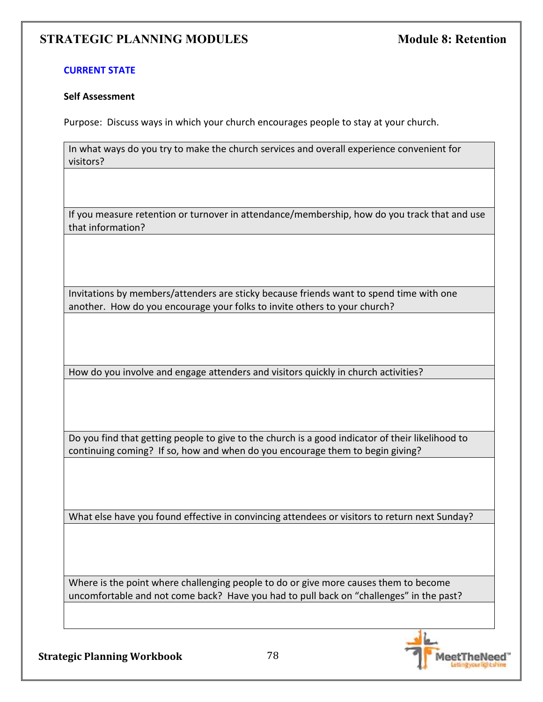#### **CURRENT STATE**

#### **Self Assessment**

Purpose: Discuss ways in which your church encourages people to stay at your church.

In what ways do you try to make the church services and overall experience convenient for visitors?

If you measure retention or turnover in attendance/membership, how do you track that and use that information?

Invitations by members/attenders are sticky because friends want to spend time with one another. How do you encourage your folks to invite others to your church?

How do you involve and engage attenders and visitors quickly in church activities?

Do you find that getting people to give to the church is a good indicator of their likelihood to continuing coming? If so, how and when do you encourage them to begin giving?

What else have you found effective in convincing attendees or visitors to return next Sunday?

Where is the point where challenging people to do or give more causes them to become uncomfortable and not come back? Have you had to pull back on "challenges" in the past?

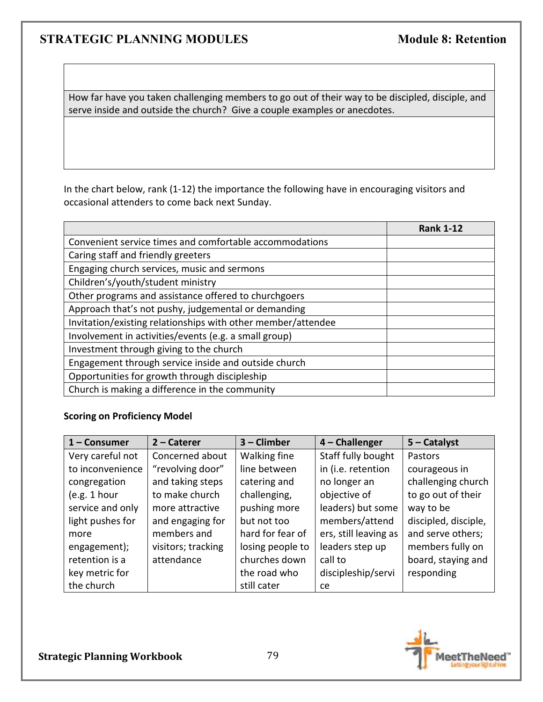How far have you taken challenging members to go out of their way to be discipled, disciple, and serve inside and outside the church? Give a couple examples or anecdotes.

In the chart below, rank (1-12) the importance the following have in encouraging visitors and occasional attenders to come back next Sunday.

|                                                              | <b>Rank 1-12</b> |
|--------------------------------------------------------------|------------------|
| Convenient service times and comfortable accommodations      |                  |
| Caring staff and friendly greeters                           |                  |
| Engaging church services, music and sermons                  |                  |
| Children's/youth/student ministry                            |                  |
| Other programs and assistance offered to churchgoers         |                  |
| Approach that's not pushy, judgemental or demanding          |                  |
| Invitation/existing relationships with other member/attendee |                  |
| Involvement in activities/events (e.g. a small group)        |                  |
| Investment through giving to the church                      |                  |
| Engagement through service inside and outside church         |                  |
| Opportunities for growth through discipleship                |                  |
| Church is making a difference in the community               |                  |

# **Scoring on Proficiency Model**

| $1 -$ Consumer   | $2$ – Caterer      | $3$ – Climber    | 4 - Challenger        | $5 -$ Catalyst       |
|------------------|--------------------|------------------|-----------------------|----------------------|
| Very careful not | Concerned about    | Walking fine     | Staff fully bought    | Pastors              |
| to inconvenience | "revolving door"   | line between     | in (i.e. retention    | courageous in        |
| congregation     | and taking steps   | catering and     | no longer an          | challenging church   |
| (e.g. 1 hour)    | to make church     | challenging,     | objective of          | to go out of their   |
| service and only | more attractive    | pushing more     | leaders) but some     | way to be            |
| light pushes for | and engaging for   | but not too      | members/attend        | discipled, disciple, |
| more             | members and        | hard for fear of | ers, still leaving as | and serve others;    |
| engagement);     | visitors; tracking | losing people to | leaders step up       | members fully on     |
| retention is a   | attendance         | churches down    | call to               | board, staying and   |
| key metric for   |                    | the road who     | discipleship/servi    | responding           |
| the church       |                    | still cater      | ce                    |                      |



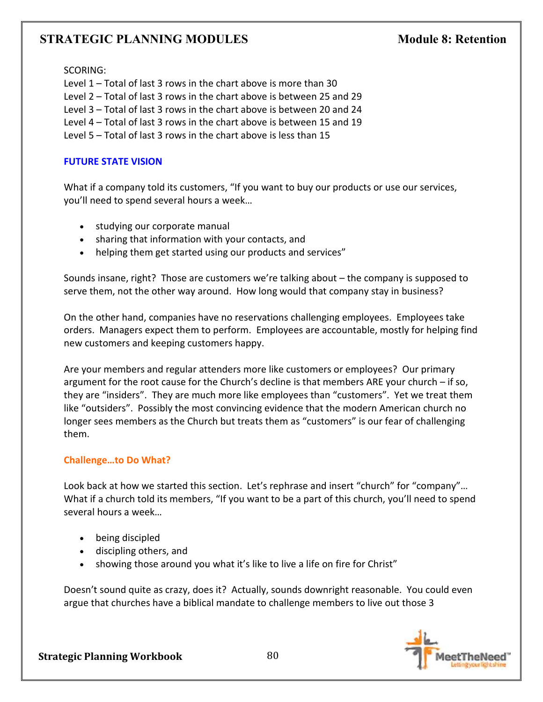SCORING:

Level 1 – Total of last 3 rows in the chart above is more than 30 Level 2 – Total of last 3 rows in the chart above is between 25 and 29 Level 3 – Total of last 3 rows in the chart above is between 20 and 24 Level 4 – Total of last 3 rows in the chart above is between 15 and 19 Level 5 – Total of last 3 rows in the chart above is less than 15

### **FUTURE STATE VISION**

What if a company told its customers, "If you want to buy our products or use our services, you'll need to spend several hours a week…

- studying our corporate manual
- sharing that information with your contacts, and
- helping them get started using our products and services"

Sounds insane, right? Those are customers we're talking about – the company is supposed to serve them, not the other way around. How long would that company stay in business?

On the other hand, companies have no reservations challenging employees. Employees take orders. Managers expect them to perform. Employees are accountable, mostly for helping find new customers and keeping customers happy.

Are your members and regular attenders more like customers or employees? Our primary argument for the root cause for the Church's decline is that members ARE your church – if so, they are "insiders". They are much more like employees than "customers". Yet we treat them like "outsiders". Possibly the most convincing evidence that the modern American church no longer sees members as the Church but treats them as "customers" is our fear of challenging them.

### **Challenge…to Do What?**

Look back at how we started this section. Let's rephrase and insert "church" for "company"… What if a church told its members, "If you want to be a part of this church, you'll need to spend several hours a week…

- being discipled
- discipling others, and
- showing those around you what it's like to live a life on fire for Christ"

Doesn't sound quite as crazy, does it? Actually, sounds downright reasonable. You could even argue that churches have a biblical mandate to challenge members to live out those 3

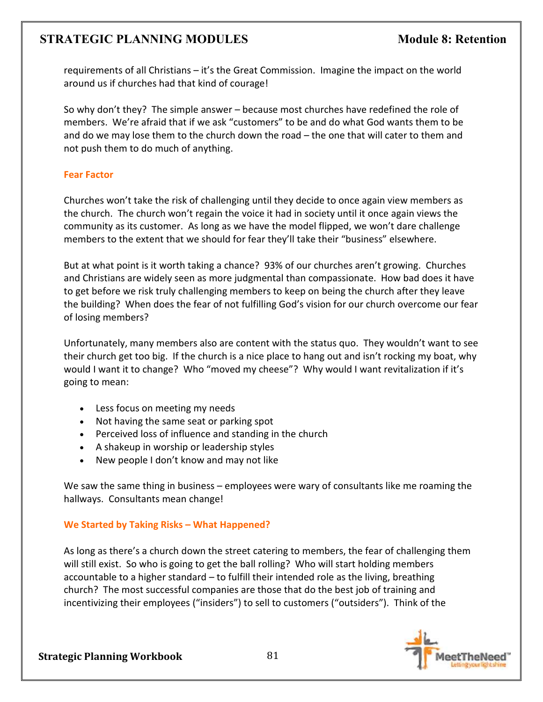requirements of all Christians – it's the Great Commission. Imagine the impact on the world around us if churches had that kind of courage!

So why don't they? The simple answer – because most churches have redefined the role of members. We're afraid that if we ask "customers" to be and do what God wants them to be and do we may lose them to the church down the road – the one that will cater to them and not push them to do much of anything.

### **Fear Factor**

Churches won't take the risk of challenging until they decide to once again view members as the church. The church won't regain the voice it had in society until it once again views the community as its customer. As long as we have the model flipped, we won't dare challenge members to the extent that we should for fear they'll take their "business" elsewhere.

But at what point is it worth taking a chance? 93% of our churches aren't growing. Churches and Christians are widely seen as more judgmental than compassionate. How bad does it have to get before we risk truly challenging members to keep on being the church after they leave the building? When does the fear of not fulfilling God's vision for our church overcome our fear of losing members?

Unfortunately, many members also are content with the status quo. They wouldn't want to see their church get too big. If the church is a nice place to hang out and isn't rocking my boat, why would I want it to change? Who "moved my cheese"? Why would I want revitalization if it's going to mean:

- Less focus on meeting my needs
- Not having the same seat or parking spot
- Perceived loss of influence and standing in the church
- A shakeup in worship or leadership styles
- New people I don't know and may not like

We saw the same thing in business – employees were wary of consultants like me roaming the hallways. Consultants mean change!

### **We Started by Taking Risks – What Happened?**

As long as there's a church down the street catering to members, the fear of challenging them will still exist. So who is going to get the ball rolling? Who will start holding members accountable to a higher standard – to fulfill their intended role as the living, breathing church? The most successful companies are those that do the best job of training and incentivizing their employees ("insiders") to sell to customers ("outsiders"). Think of the

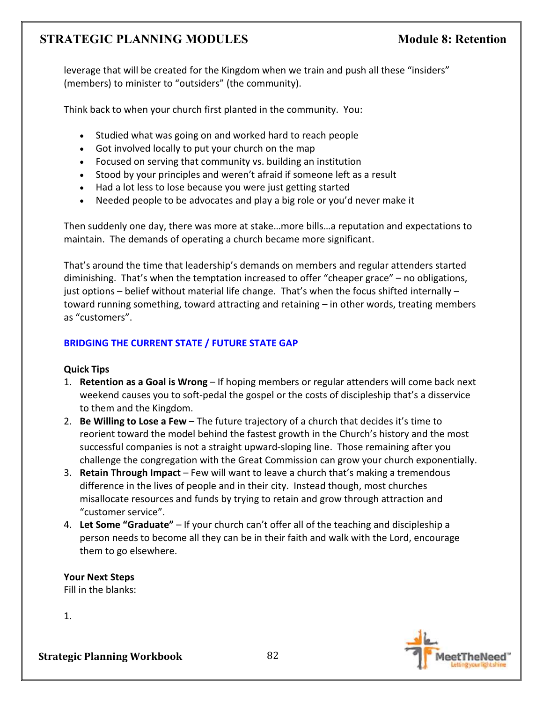leverage that will be created for the Kingdom when we train and push all these "insiders" (members) to minister to "outsiders" (the community).

Think back to when your church first planted in the community. You:

- Studied what was going on and worked hard to reach people
- Got involved locally to put your church on the map
- Focused on serving that community vs. building an institution
- Stood by your principles and weren't afraid if someone left as a result
- Had a lot less to lose because you were just getting started
- Needed people to be advocates and play a big role or you'd never make it

Then suddenly one day, there was more at stake…more bills…a reputation and expectations to maintain. The demands of operating a church became more significant.

That's around the time that leadership's demands on members and regular attenders started diminishing. That's when the temptation increased to offer "cheaper grace" – no obligations, just options – belief without material life change. That's when the focus shifted internally – toward running something, toward attracting and retaining – in other words, treating members as "customers".

# **BRIDGING THE CURRENT STATE / FUTURE STATE GAP**

### **Quick Tips**

- 1. **Retention as a Goal is Wrong**  If hoping members or regular attenders will come back next weekend causes you to soft-pedal the gospel or the costs of discipleship that's a disservice to them and the Kingdom.
- 2. **Be Willing to Lose a Few** The future trajectory of a church that decides it's time to reorient toward the model behind the fastest growth in the Church's history and the most successful companies is not a straight upward-sloping line. Those remaining after you challenge the congregation with the Great Commission can grow your church exponentially.
- 3. **Retain Through Impact** Few will want to leave a church that's making a tremendous difference in the lives of people and in their city. Instead though, most churches misallocate resources and funds by trying to retain and grow through attraction and "customer service".
- 4. **Let Some "Graduate"** If your church can't offer all of the teaching and discipleship a person needs to become all they can be in their faith and walk with the Lord, encourage them to go elsewhere.

**Your Next Steps**  Fill in the blanks:

1.

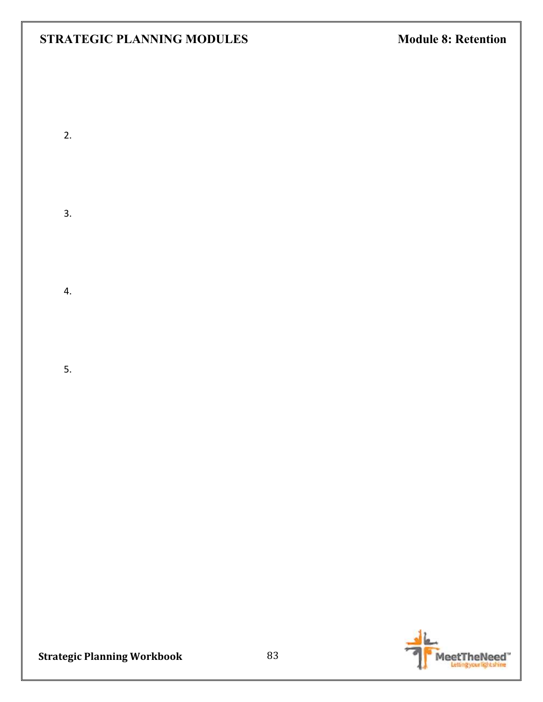2.

3.

4.

5.

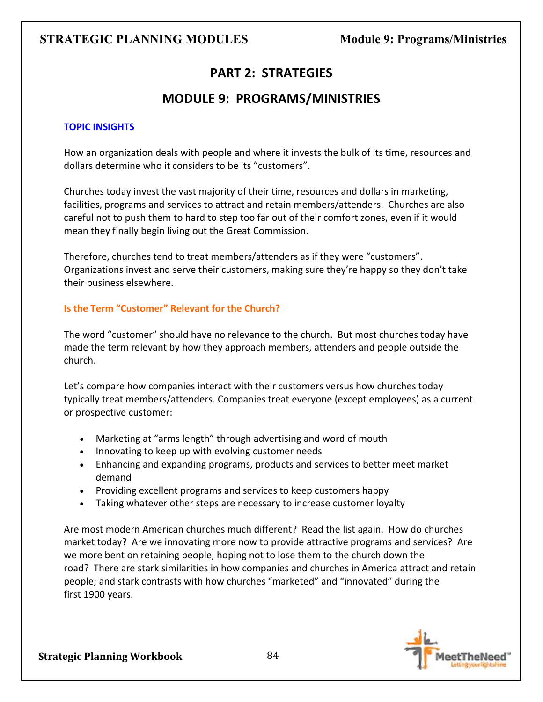# **PART 2: STRATEGIES**

# **MODULE 9: PROGRAMS/MINISTRIES**

### **TOPIC INSIGHTS**

How an organization deals with people and where it invests the bulk of its time, resources and dollars determine who it considers to be its "customers".

Churches today invest the vast majority of their time, resources and dollars in marketing, facilities, programs and services to attract and retain members/attenders. Churches are also careful not to push them to hard to step too far out of their comfort zones, even if it would mean they finally begin living out the Great Commission.

Therefore, churches tend to treat members/attenders as if they were "customers". Organizations invest and serve their customers, making sure they're happy so they don't take their business elsewhere.

### **Is the Term "Customer" Relevant for the Church?**

The word "customer" should have no relevance to the church. But most churches today have made the term relevant by how they approach members, attenders and people outside the church.

Let's compare how companies interact with their customers versus how churches today typically treat members/attenders. Companies treat everyone (except employees) as a current or prospective customer:

- Marketing at "arms length" through advertising and word of mouth
- Innovating to keep up with evolving customer needs
- Enhancing and expanding programs, products and services to better meet market demand
- Providing excellent programs and services to keep customers happy
- Taking whatever other steps are necessary to increase customer loyalty

Are most modern American churches much different? Read the list again. How do churches market today? Are we innovating more now to provide attractive programs and services? Are we more bent on retaining people, hoping not to lose them to the church down the road? There are stark similarities in how companies and churches in America attract and retain people; and stark contrasts with how churches "marketed" and "innovated" during the first 1900 years.

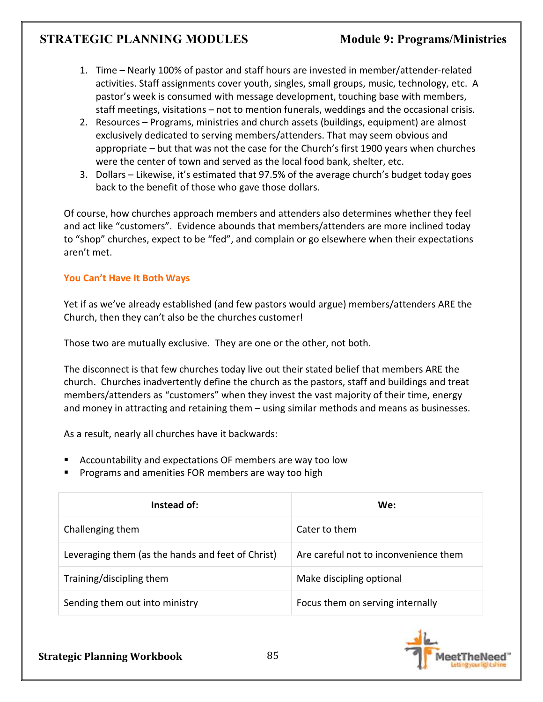- 1. Time Nearly 100% of pastor and staff hours are invested in member/attender-related activities. Staff assignments cover youth, singles, small groups, music, technology, etc. A pastor's week is consumed with message development, touching base with members, staff meetings, visitations – not to mention funerals, weddings and the occasional crisis.
- 2. Resources Programs, ministries and church assets (buildings, equipment) are almost exclusively dedicated to serving members/attenders. That may seem obvious and appropriate – but that was not the case for the Church's first 1900 years when churches were the center of town and served as the local food bank, shelter, etc.
- 3. Dollars Likewise, it's estimated that 97.5% of the average church's budget today goes back to the benefit of those who gave those dollars.

Of course, how churches approach members and attenders also determines whether they feel and act like "customers". Evidence abounds that members/attenders are more inclined today to "shop" churches, expect to be "fed", and complain or go elsewhere when their expectations aren't met.

# **You Can't Have It Both Ways**

Yet if as we've already established (and few pastors would argue) members/attenders ARE the Church, then they can't also be the churches customer!

Those two are mutually exclusive. They are one or the other, not both.

The disconnect is that few churches today live out their stated belief that members ARE the church. Churches inadvertently define the church as the pastors, staff and buildings and treat members/attenders as "customers" when they invest the vast majority of their time, energy and money in attracting and retaining them – using similar methods and means as businesses.

As a result, nearly all churches have it backwards:

- Accountability and expectations OF members are way too low
- Programs and amenities FOR members are way too high

| Instead of:                                       | We:                                   |
|---------------------------------------------------|---------------------------------------|
| Challenging them                                  | Cater to them                         |
| Leveraging them (as the hands and feet of Christ) | Are careful not to inconvenience them |
| Training/discipling them                          | Make discipling optional              |
| Sending them out into ministry                    | Focus them on serving internally      |

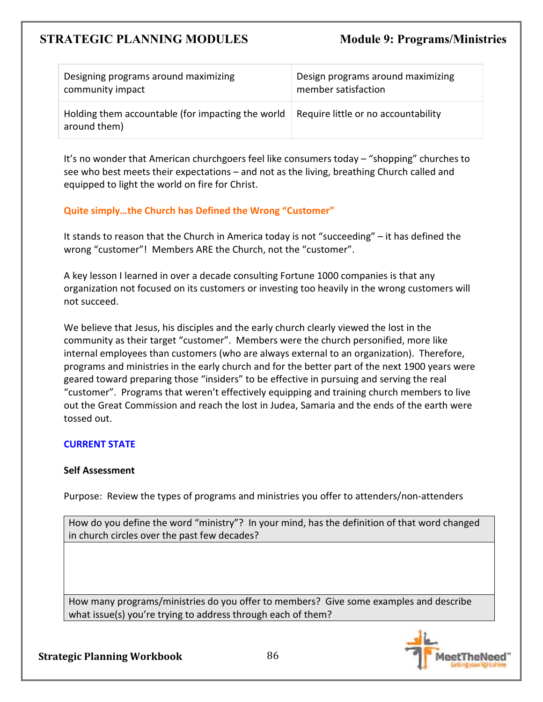| Designing programs around maximizing                              | Design programs around maximizing   |
|-------------------------------------------------------------------|-------------------------------------|
| community impact                                                  | member satisfaction                 |
| Holding them accountable (for impacting the world<br>around them) | Require little or no accountability |

It's no wonder that American churchgoers feel like consumers today – "shopping" churches to see who best meets their expectations – and not as the living, breathing Church called and equipped to light the world on fire for Christ.

### **Quite simply…the Church has Defined the Wrong "Customer"**

It stands to reason that the Church in America today is not "succeeding" – it has defined the wrong "customer"! Members ARE the Church, not the "customer".

A key lesson I learned in over a decade consulting Fortune 1000 companies is that any organization not focused on its customers or investing too heavily in the wrong customers will not succeed.

We believe that Jesus, his disciples and the early church clearly viewed the lost in the community as their target "customer". Members were the church personified, more like internal employees than customers (who are always external to an organization). Therefore, programs and ministries in the early church and for the better part of the next 1900 years were geared toward preparing those "insiders" to be effective in pursuing and serving the real "customer". Programs that weren't effectively equipping and training church members to live out the Great Commission and reach the lost in Judea, Samaria and the ends of the earth were tossed out.

### **CURRENT STATE**

### **Self Assessment**

Purpose: Review the types of programs and ministries you offer to attenders/non-attenders

How do you define the word "ministry"? In your mind, has the definition of that word changed in church circles over the past few decades?

How many programs/ministries do you offer to members? Give some examples and describe what issue(s) you're trying to address through each of them?

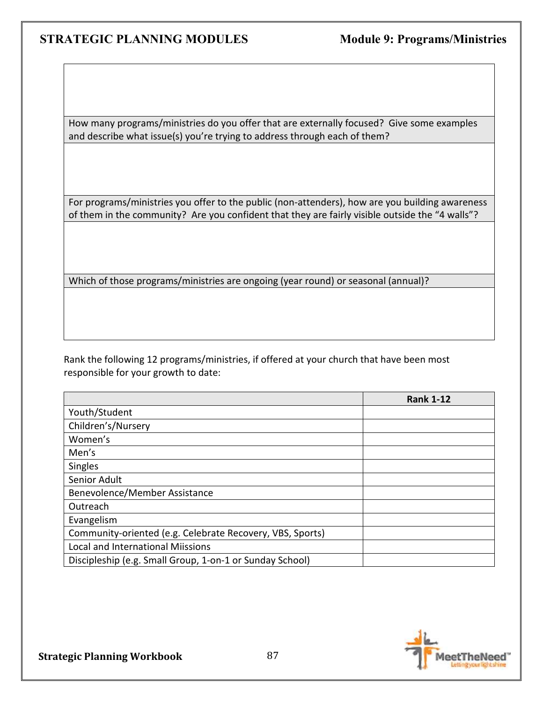How many programs/ministries do you offer that are externally focused? Give some examples and describe what issue(s) you're trying to address through each of them?

For programs/ministries you offer to the public (non-attenders), how are you building awareness of them in the community? Are you confident that they are fairly visible outside the "4 walls"?

Which of those programs/ministries are ongoing (year round) or seasonal (annual)?

Rank the following 12 programs/ministries, if offered at your church that have been most responsible for your growth to date:

|                                                           | <b>Rank 1-12</b> |
|-----------------------------------------------------------|------------------|
| Youth/Student                                             |                  |
| Children's/Nursery                                        |                  |
| Women's                                                   |                  |
| Men's                                                     |                  |
| <b>Singles</b>                                            |                  |
| Senior Adult                                              |                  |
| Benevolence/Member Assistance                             |                  |
| Outreach                                                  |                  |
| Evangelism                                                |                  |
| Community-oriented (e.g. Celebrate Recovery, VBS, Sports) |                  |
| <b>Local and International Miissions</b>                  |                  |
| Discipleship (e.g. Small Group, 1-on-1 or Sunday School)  |                  |

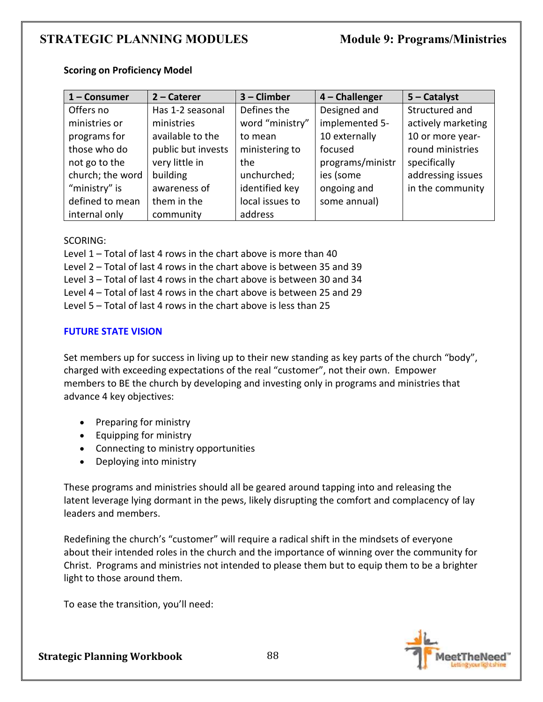| $1 -$ Consumer   | $2$ – Caterer      | 3 - Climber     | $4$ – Challenger | $5 -$ Catalyst     |
|------------------|--------------------|-----------------|------------------|--------------------|
| Offers no        | Has 1-2 seasonal   | Defines the     | Designed and     | Structured and     |
| ministries or    | ministries         | word "ministry" | implemented 5-   | actively marketing |
| programs for     | available to the   | to mean         | 10 externally    | 10 or more year-   |
| those who do     | public but invests | ministering to  | focused          | round ministries   |
| not go to the    | very little in     | the             | programs/ministr | specifically       |
| church; the word | building           | unchurched;     | ies (some        | addressing issues  |
| "ministry" is    | awareness of       | identified key  | ongoing and      | in the community   |
| defined to mean  | them in the        | local issues to | some annual)     |                    |
| internal only    | community          | address         |                  |                    |

#### **Scoring on Proficiency Model**

#### SCORING:

Level 1 – Total of last 4 rows in the chart above is more than 40

Level 2 – Total of last 4 rows in the chart above is between 35 and 39

Level 3 – Total of last 4 rows in the chart above is between 30 and 34

Level 4 – Total of last 4 rows in the chart above is between 25 and 29

Level 5 – Total of last 4 rows in the chart above is less than 25

### **FUTURE STATE VISION**

Set members up for success in living up to their new standing as key parts of the church "body", charged with exceeding expectations of the real "customer", not their own. Empower members to BE the church by developing and investing only in programs and ministries that advance 4 key objectives:

- Preparing for ministry
- Equipping for ministry
- Connecting to ministry opportunities
- Deploying into ministry

These programs and ministries should all be geared around tapping into and releasing the latent leverage lying dormant in the pews, likely disrupting the comfort and complacency of lay leaders and members.

Redefining the church's "customer" will require a radical shift in the mindsets of everyone about their intended roles in the church and the importance of winning over the community for Christ. Programs and ministries not intended to please them but to equip them to be a brighter light to those around them.

To ease the transition, you'll need:

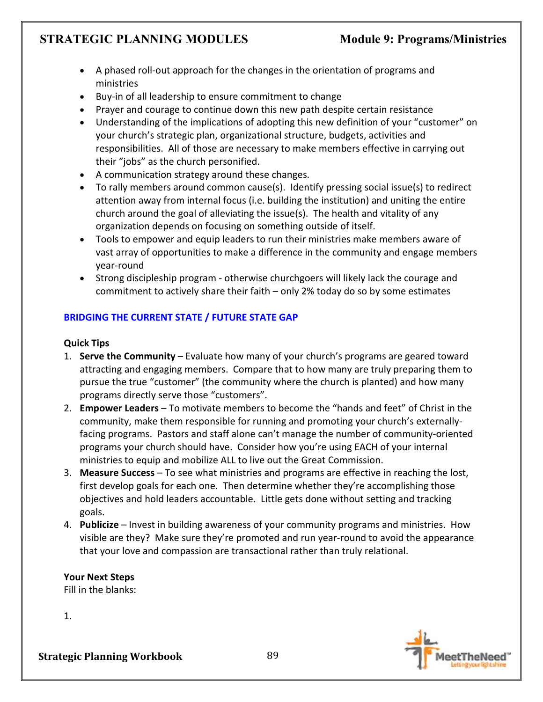- A phased roll-out approach for the changes in the orientation of programs and ministries
- Buy-in of all leadership to ensure commitment to change
- Prayer and courage to continue down this new path despite certain resistance
- Understanding of the implications of adopting this new definition of your "customer" on your church's strategic plan, organizational structure, budgets, activities and responsibilities. All of those are necessary to make members effective in carrying out their "jobs" as the church personified.
- A communication strategy around these changes.
- To rally members around common cause(s). Identify pressing social issue(s) to redirect attention away from internal focus (i.e. building the institution) and uniting the entire church around the goal of alleviating the issue(s). The health and vitality of any organization depends on focusing on something outside of itself.
- Tools to empower and equip leaders to run their ministries make members aware of vast array of opportunities to make a difference in the community and engage members year-round
- Strong discipleship program otherwise churchgoers will likely lack the courage and commitment to actively share their faith – only 2% today do so by some estimates

# **BRIDGING THE CURRENT STATE / FUTURE STATE GAP**

# **Quick Tips**

- 1. **Serve the Community** Evaluate how many of your church's programs are geared toward attracting and engaging members. Compare that to how many are truly preparing them to pursue the true "customer" (the community where the church is planted) and how many programs directly serve those "customers".
- 2. **Empower Leaders** To motivate members to become the "hands and feet" of Christ in the community, make them responsible for running and promoting your church's externallyfacing programs. Pastors and staff alone can't manage the number of community-oriented programs your church should have. Consider how you're using EACH of your internal ministries to equip and mobilize ALL to live out the Great Commission.
- 3. **Measure Success** To see what ministries and programs are effective in reaching the lost, first develop goals for each one. Then determine whether they're accomplishing those objectives and hold leaders accountable. Little gets done without setting and tracking goals.
- 4. **Publicize**  Invest in building awareness of your community programs and ministries. How visible are they? Make sure they're promoted and run year-round to avoid the appearance that your love and compassion are transactional rather than truly relational.

**Your Next Steps**  Fill in the blanks:

1.

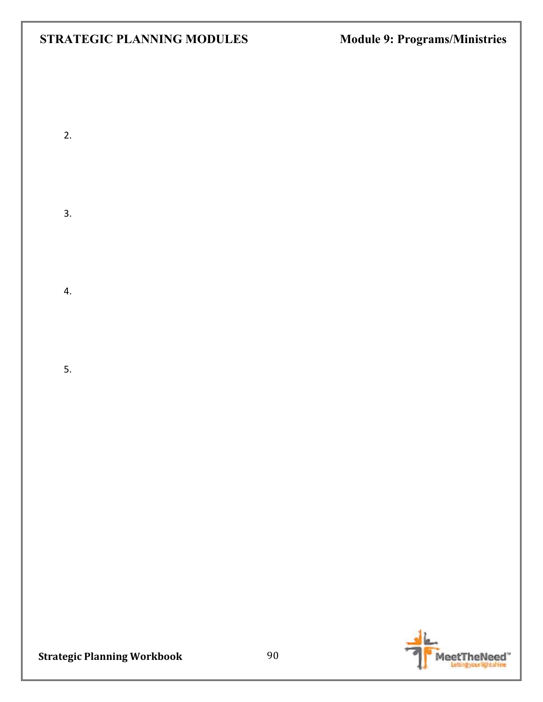2.

3.

4.

5.

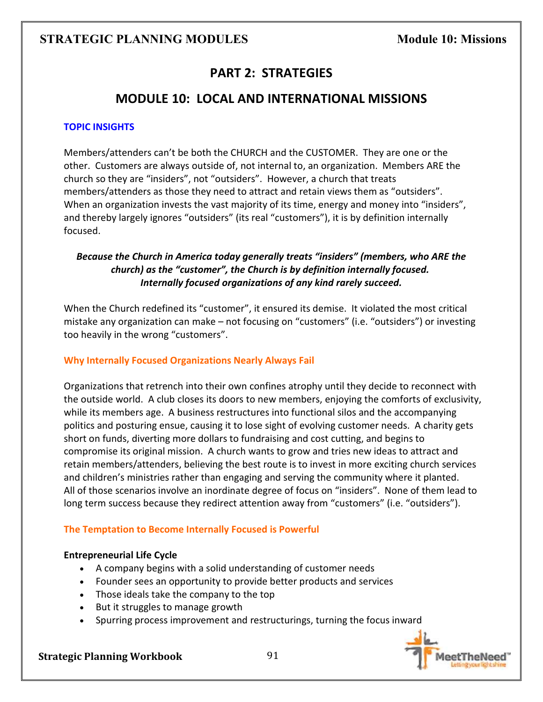# **PART 2: STRATEGIES**

# **MODULE 10: LOCAL AND INTERNATIONAL MISSIONS**

### **TOPIC INSIGHTS**

Members/attenders can't be both the CHURCH and the CUSTOMER. They are one or the other. Customers are always outside of, not internal to, an organization. Members ARE the church so they are "insiders", not "outsiders". However, a church that treats members/attenders as those they need to attract and retain views them as "outsiders". When an organization invests the vast majority of its time, energy and money into "insiders", and thereby largely ignores "outsiders" (its real "customers"), it is by definition internally focused.

# *Because the Church in America today generally treats "insiders" (members, who ARE the church) as the "customer", the Church is by definition internally focused. Internally focused organizations of any kind rarely succeed.*

When the Church redefined its "customer", it ensured its demise. It violated the most critical mistake any organization can make – not focusing on "customers" (i.e. "outsiders") or investing too heavily in the wrong "customers".

### **Why Internally Focused Organizations Nearly Always Fail**

Organizations that retrench into their own confines atrophy until they decide to reconnect with the outside world. A club closes its doors to new members, enjoying the comforts of exclusivity, while its members age. A business restructures into functional silos and the accompanying politics and posturing ensue, causing it to lose sight of evolving customer needs. A charity gets short on funds, diverting more dollars to fundraising and cost cutting, and begins to compromise its original mission. A church wants to grow and tries new ideas to attract and retain members/attenders, believing the best route is to invest in more exciting church services and children's ministries rather than engaging and serving the community where it planted. All of those scenarios involve an inordinate degree of focus on "insiders". None of them lead to long term success because they redirect attention away from "customers" (i.e. "outsiders").

### **The Temptation to Become Internally Focused is Powerful**

#### **Entrepreneurial Life Cycle**

- A company begins with a solid understanding of customer needs
- Founder sees an opportunity to provide better products and services
- Those ideals take the company to the top
- But it struggles to manage growth
- Spurring process improvement and restructurings, turning the focus inward

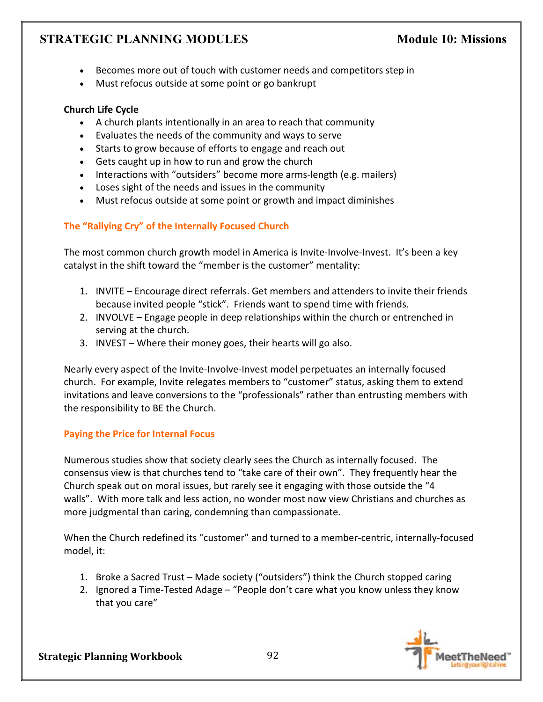- Becomes more out of touch with customer needs and competitors step in
- Must refocus outside at some point or go bankrupt

# **Church Life Cycle**

- A church plants intentionally in an area to reach that community
- Evaluates the needs of the community and ways to serve
- Starts to grow because of efforts to engage and reach out
- Gets caught up in how to run and grow the church
- Interactions with "outsiders" become more arms-length (e.g. mailers)
- Loses sight of the needs and issues in the community
- Must refocus outside at some point or growth and impact diminishes

# **The "Rallying Cry" of the Internally Focused Church**

The most common church growth model in America is Invite-Involve-Invest. It's been a key catalyst in the shift toward the "member is the customer" mentality:

- 1. INVITE Encourage direct referrals. Get members and attenders to invite their friends because invited people "stick". Friends want to spend time with friends.
- 2. INVOLVE Engage people in deep relationships within the church or entrenched in serving at the church.
- 3. INVEST Where their money goes, their hearts will go also.

Nearly every aspect of the Invite-Involve-Invest model perpetuates an internally focused church. For example, Invite relegates members to "customer" status, asking them to extend invitations and leave conversions to the "professionals" rather than entrusting members with the responsibility to BE the Church.

# **Paying the Price for Internal Focus**

Numerous studies show that society clearly sees the Church as internally focused. The consensus view is that churches tend to "take care of their own". They frequently hear the Church speak out on moral issues, but rarely see it engaging with those outside the "4 walls". With more talk and less action, no wonder most now view Christians and churches as more judgmental than caring, condemning than compassionate.

When the Church redefined its "customer" and turned to a member-centric, internally-focused model, it:

- 1. Broke a Sacred Trust Made society ("outsiders") think the Church stopped caring
- 2. Ignored a Time-Tested Adage "People don't care what you know unless they know that you care"

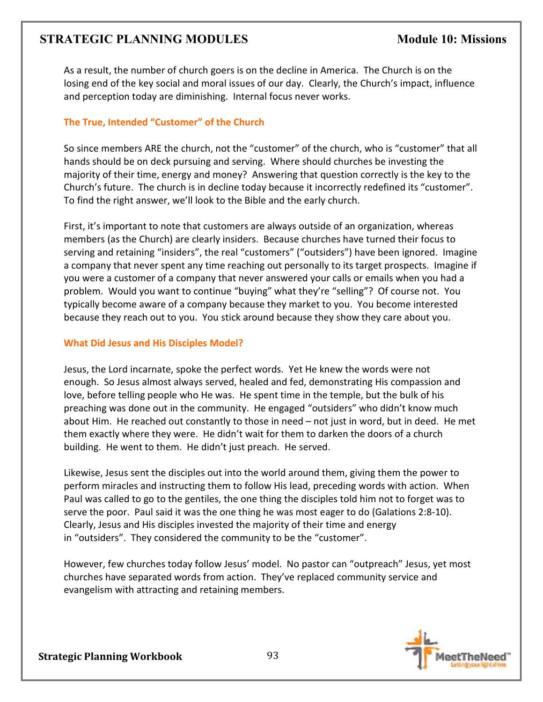As a result, the number of church goers is on the decline in America. The Church is on the losing end of the key social and moral issues of our day. Clearly, the Church's impact, influence and perception today are diminishing. Internal focus never works.

# **The True, Intended "Customer" of the Church**

So since members ARE the church, not the "customer" of the church, who is "customer" that all hands should be on deck pursuing and serving. Where should churches be investing the majority of their time, energy and money? Answering that question correctly is the key to the Church's future. The church is in decline today because it incorrectly redefined its "customer". To find the right answer, we'll look to the Bible and the early church.

First, it's important to note that customers are always outside of an organization, whereas members (as the Church) are clearly insiders. Because churches have turned their focus to serving and retaining "insiders", the real "customers" ("outsiders") have been ignored. Imagine a company that never spent any time reaching out personally to its target prospects. Imagine if you were a customer of a company that never answered your calls or emails when you had a problem. Would you want to continue "buying" what they're "selling"? Of course not. You typically become aware of a company because they market to you. You become interested because they reach out to you. You stick around because they show they care about you.

### **What Did Jesus and His Disciples Model?**

Jesus, the Lord incarnate, spoke the perfect words. Yet He knew the words were not enough. So Jesus almost always served, healed and fed, demonstrating His compassion and love, before telling people who He was. He spent time in the temple, but the bulk of his preaching was done out in the community. He engaged "outsiders" who didn't know much about Him. He reached out constantly to those in need – not just in word, but in deed. He met them exactly where they were. He didn't wait for them to darken the doors of a church building. He went to them. He didn't just preach. He served.

Likewise, Jesus sent the disciples out into the world around them, giving them the power to perform miracles and instructing them to follow His lead, preceding words with action. When Paul was called to go to the gentiles, the one thing the disciples told him not to forget was to serve the poor. Paul said it was the one thing he was most eager to do (Galations 2:8-10). Clearly, Jesus and His disciples invested the majority of their time and energy in "outsiders". They considered the community to be the "customer".

However, few churches today follow Jesus' model. No pastor can "outpreach" Jesus, yet most churches have separated words from action. They've replaced community service and evangelism with attracting and retaining members.

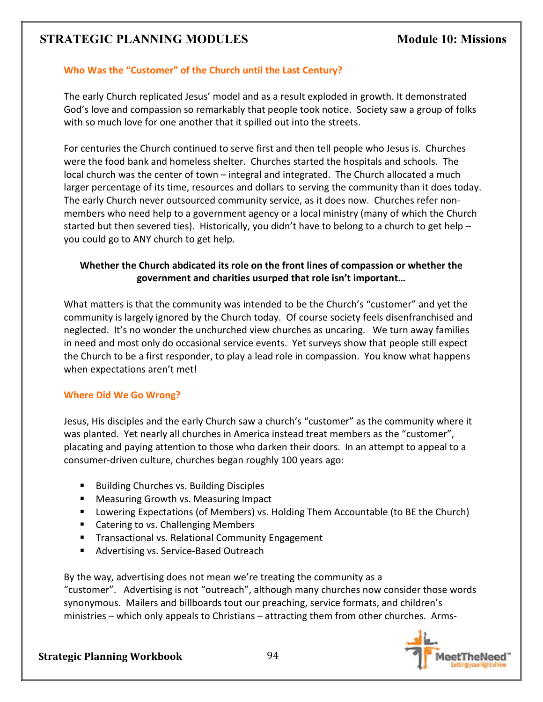# **Who Was the "Customer" of the Church until the Last Century?**

The early Church replicated Jesus' model and as a result exploded in growth. It demonstrated God's love and compassion so remarkably that people took notice. Society saw a group of folks with so much love for one another that it spilled out into the streets.

For centuries the Church continued to serve first and then tell people who Jesus is. Churches were the food bank and homeless shelter. Churches started the hospitals and schools. The local church was the center of town – integral and integrated. The Church allocated a much larger percentage of its time, resources and dollars to serving the community than it does today. The early Church never outsourced community service, as it does now. Churches refer nonmembers who need help to a government agency or a local ministry (many of which the Church started but then severed ties). Historically, you didn't have to belong to a church to get help – you could go to ANY church to get help.

# **Whether the Church abdicated its role on the front lines of compassion or whether the government and charities usurped that role isn't important…**

What matters is that the community was intended to be the Church's "customer" and yet the community is largely ignored by the Church today. Of course society feels disenfranchised and neglected. It's no wonder the unchurched view churches as uncaring. We turn away families in need and most only do occasional service events. Yet surveys show that people still expect the Church to be a first responder, to play a lead role in compassion. You know what happens when expectations aren't met!

#### **Where Did We Go Wrong?**

Jesus, His disciples and the early Church saw a church's "customer" as the community where it was planted. Yet nearly all churches in America instead treat members as the "customer", placating and paying attention to those who darken their doors. In an attempt to appeal to a consumer-driven culture, churches began roughly 100 years ago:

- **Building Churches vs. Building Disciples**
- Measuring Growth vs. Measuring Impact
- **Lowering Expectations (of Members) vs. Holding Them Accountable (to BE the Church)**
- Catering to vs. Challenging Members
- **Transactional vs. Relational Community Engagement**
- Advertising vs. Service-Based Outreach

By the way, advertising does not mean we're treating the community as a "customer". Advertising is not "outreach", although many churches now consider those words synonymous. Mailers and billboards tout our preaching, service formats, and children's ministries – which only appeals to Christians – attracting them from other churches. Arms-

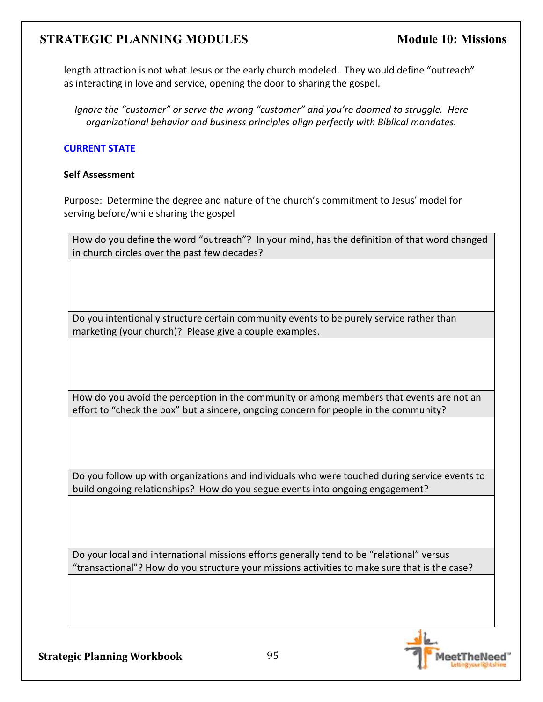length attraction is not what Jesus or the early church modeled. They would define "outreach" as interacting in love and service, opening the door to sharing the gospel.

*Ignore the "customer" or serve the wrong "customer" and you're doomed to struggle. Here organizational behavior and business principles align perfectly with Biblical mandates.*

### **CURRENT STATE**

#### **Self Assessment**

Purpose: Determine the degree and nature of the church's commitment to Jesus' model for serving before/while sharing the gospel

How do you define the word "outreach"? In your mind, has the definition of that word changed in church circles over the past few decades?

Do you intentionally structure certain community events to be purely service rather than marketing (your church)? Please give a couple examples.

How do you avoid the perception in the community or among members that events are not an effort to "check the box" but a sincere, ongoing concern for people in the community?

Do you follow up with organizations and individuals who were touched during service events to build ongoing relationships? How do you segue events into ongoing engagement?

Do your local and international missions efforts generally tend to be "relational" versus "transactional"? How do you structure your missions activities to make sure that is the case?

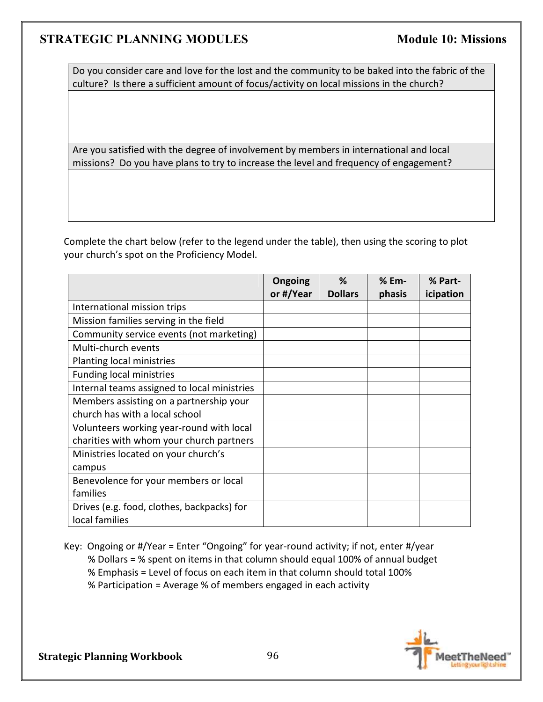Do you consider care and love for the lost and the community to be baked into the fabric of the culture? Is there a sufficient amount of focus/activity on local missions in the church?

Are you satisfied with the degree of involvement by members in international and local missions? Do you have plans to try to increase the level and frequency of engagement?

Complete the chart below (refer to the legend under the table), then using the scoring to plot your church's spot on the Proficiency Model.

|                                             | Ongoing   | %              | % Em-  | % Part-   |
|---------------------------------------------|-----------|----------------|--------|-----------|
|                                             | or #/Year | <b>Dollars</b> | phasis | icipation |
| International mission trips                 |           |                |        |           |
| Mission families serving in the field       |           |                |        |           |
| Community service events (not marketing)    |           |                |        |           |
| Multi-church events                         |           |                |        |           |
| Planting local ministries                   |           |                |        |           |
| <b>Funding local ministries</b>             |           |                |        |           |
| Internal teams assigned to local ministries |           |                |        |           |
| Members assisting on a partnership your     |           |                |        |           |
| church has with a local school              |           |                |        |           |
| Volunteers working year-round with local    |           |                |        |           |
| charities with whom your church partners    |           |                |        |           |
| Ministries located on your church's         |           |                |        |           |
| campus                                      |           |                |        |           |
| Benevolence for your members or local       |           |                |        |           |
| families                                    |           |                |        |           |
| Drives (e.g. food, clothes, backpacks) for  |           |                |        |           |
| local families                              |           |                |        |           |

Key: Ongoing or #/Year = Enter "Ongoing" for year-round activity; if not, enter #/year % Dollars = % spent on items in that column should equal 100% of annual budget % Emphasis = Level of focus on each item in that column should total 100% % Participation = Average % of members engaged in each activity

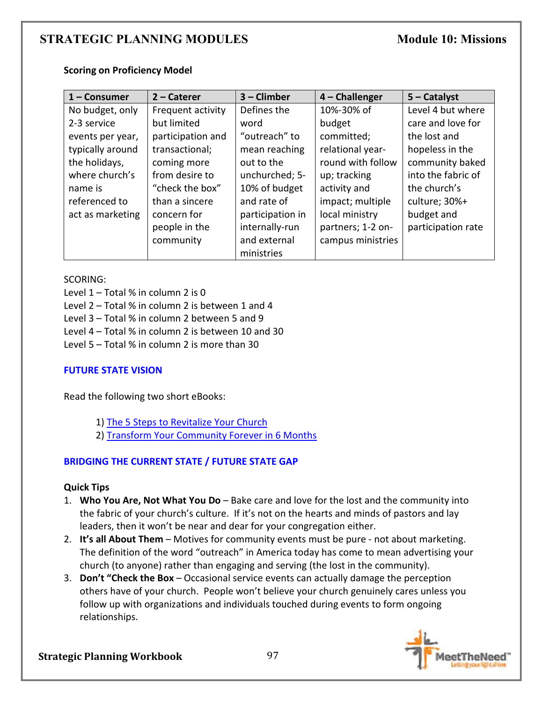|  | <b>Scoring on Proficiency Model</b> |  |
|--|-------------------------------------|--|
|--|-------------------------------------|--|

| $1 -$ Consumer   | 2 - Caterer       | $3$ – Climber    | 4 - Challenger    | $5 -$ Catalyst     |
|------------------|-------------------|------------------|-------------------|--------------------|
| No budget, only  | Frequent activity | Defines the      | 10%-30% of        | Level 4 but where  |
| 2-3 service      | but limited       | word             | budget            | care and love for  |
| events per year, | participation and | "outreach" to    | committed;        | the lost and       |
| typically around | transactional;    | mean reaching    | relational year-  | hopeless in the    |
| the holidays,    | coming more       | out to the       | round with follow | community baked    |
| where church's   | from desire to    | unchurched; 5-   | up; tracking      | into the fabric of |
| name is          | "check the box"   | 10% of budget    | activity and      | the church's       |
| referenced to    | than a sincere    | and rate of      | impact; multiple  | culture; 30%+      |
| act as marketing | concern for       | participation in | local ministry    | budget and         |
|                  | people in the     | internally-run   | partners; 1-2 on- | participation rate |
|                  | community         | and external     | campus ministries |                    |
|                  |                   | ministries       |                   |                    |

#### SCORING:

Level  $1$  – Total % in column 2 is 0

Level 2 – Total % in column 2 is between 1 and 4

Level 3 – Total % in column 2 between 5 and 9

Level 4 – Total % in column 2 is between 10 and 30

Level 5 – Total % in column 2 is more than 30

### **FUTURE STATE VISION**

Read the following two short eBooks:

- 1) The 5 Steps to Revitalize Your Church
- 2) Transform Your Community Forever in 6 Months

### **BRIDGING THE CURRENT STATE / FUTURE STATE GAP**

#### **Quick Tips**

- 1. **Who You Are, Not What You Do** Bake care and love for the lost and the community into the fabric of your church's culture. If it's not on the hearts and minds of pastors and lay leaders, then it won't be near and dear for your congregation either.
- 2. **It's all About Them** Motives for community events must be pure not about marketing. The definition of the word "outreach" in America today has come to mean advertising your church (to anyone) rather than engaging and serving (the lost in the community).
- 3. **Don't "Check the Box** Occasional service events can actually damage the perception others have of your church. People won't believe your church genuinely cares unless you follow up with organizations and individuals touched during events to form ongoing relationships.

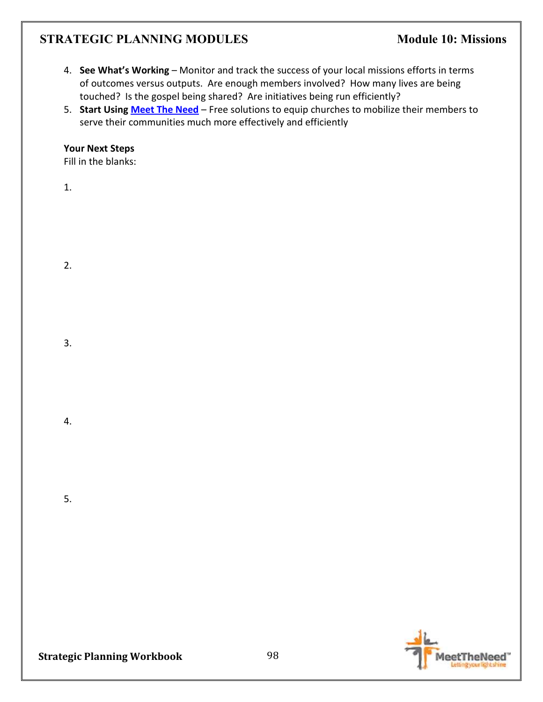- 4. **See What's Working** Monitor and track the success of your local missions efforts in terms of outcomes versus outputs. Are enough members involved? How many lives are being touched? Is the gospel being shared? Are initiatives being run efficiently?
- 5. **Start Using Meet The Need** Free solutions to equip churches to mobilize their members to serve their communities much more effectively and efficiently

### **Your Next Steps**

Fill in the blanks:

1.

2.

3.

4.

5.

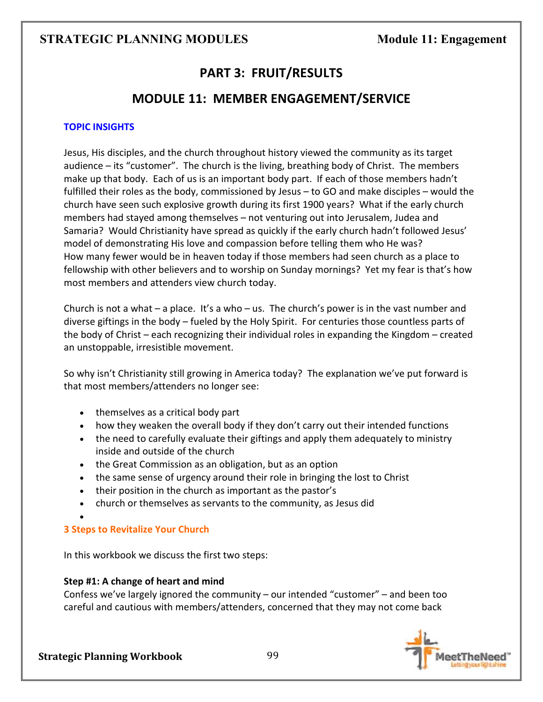# **PART 3: FRUIT/RESULTS**

# **MODULE 11: MEMBER ENGAGEMENT/SERVICE**

### **TOPIC INSIGHTS**

Jesus, His disciples, and the church throughout history viewed the community as its target audience – its "customer". The church is the living, breathing body of Christ. The members make up that body. Each of us is an important body part. If each of those members hadn't fulfilled their roles as the body, commissioned by Jesus – to GO and make disciples – would the church have seen such explosive growth during its first 1900 years? What if the early church members had stayed among themselves – not venturing out into Jerusalem, Judea and Samaria? Would Christianity have spread as quickly if the early church hadn't followed Jesus' model of demonstrating His love and compassion before telling them who He was? How many fewer would be in heaven today if those members had seen church as a place to fellowship with other believers and to worship on Sunday mornings? Yet my fear is that's how most members and attenders view church today.

Church is not a what – a place. It's a who – us. The church's power is in the vast number and diverse giftings in the body – fueled by the Holy Spirit. For centuries those countless parts of the body of Christ – each recognizing their individual roles in expanding the Kingdom – created an unstoppable, irresistible movement.

So why isn't Christianity still growing in America today? The explanation we've put forward is that most members/attenders no longer see:

- themselves as a critical body part
- how they weaken the overall body if they don't carry out their intended functions
- the need to carefully evaluate their giftings and apply them adequately to ministry inside and outside of the church
- the Great Commission as an obligation, but as an option
- the same sense of urgency around their role in bringing the lost to Christ
- their position in the church as important as the pastor's
- church or themselves as servants to the community, as Jesus did

# **3 Steps to Revitalize Your Church**

In this workbook we discuss the first two steps:

### **Step #1: A change of heart and mind**

Confess we've largely ignored the community – our intended "customer" – and been too careful and cautious with members/attenders, concerned that they may not come back



•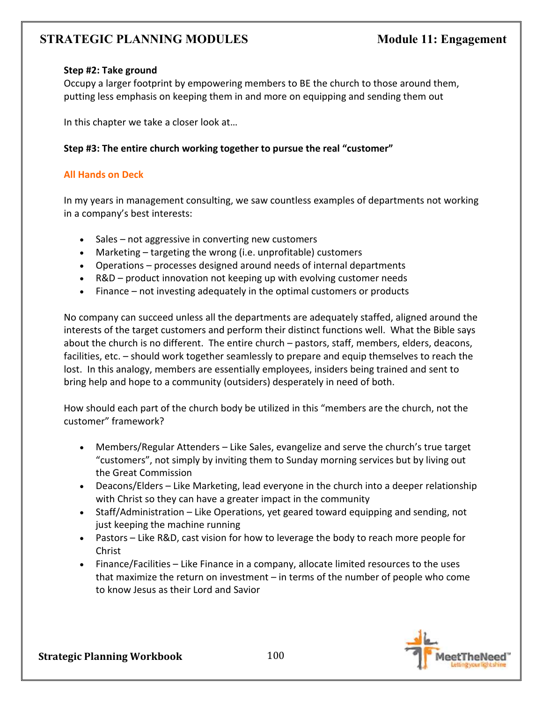#### **Step #2: Take ground**

Occupy a larger footprint by empowering members to BE the church to those around them, putting less emphasis on keeping them in and more on equipping and sending them out

In this chapter we take a closer look at…

### **Step #3: The entire church working together to pursue the real "customer"**

#### **All Hands on Deck**

In my years in management consulting, we saw countless examples of departments not working in a company's best interests:

- Sales not aggressive in converting new customers
- Marketing targeting the wrong (i.e. unprofitable) customers
- Operations processes designed around needs of internal departments
- R&D product innovation not keeping up with evolving customer needs
- Finance not investing adequately in the optimal customers or products

No company can succeed unless all the departments are adequately staffed, aligned around the interests of the target customers and perform their distinct functions well. What the Bible says about the church is no different. The entire church – pastors, staff, members, elders, deacons, facilities, etc. – should work together seamlessly to prepare and equip themselves to reach the lost. In this analogy, members are essentially employees, insiders being trained and sent to bring help and hope to a community (outsiders) desperately in need of both.

How should each part of the church body be utilized in this "members are the church, not the customer" framework?

- Members/Regular Attenders Like Sales, evangelize and serve the church's true target "customers", not simply by inviting them to Sunday morning services but by living out the Great Commission
- Deacons/Elders Like Marketing, lead everyone in the church into a deeper relationship with Christ so they can have a greater impact in the community
- Staff/Administration Like Operations, yet geared toward equipping and sending, not just keeping the machine running
- Pastors Like R&D, cast vision for how to leverage the body to reach more people for Christ
- Finance/Facilities Like Finance in a company, allocate limited resources to the uses that maximize the return on investment – in terms of the number of people who come to know Jesus as their Lord and Savior

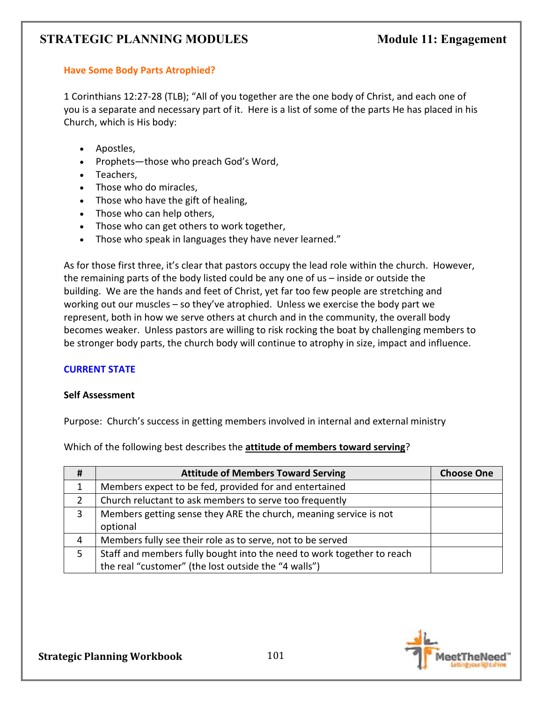# **Have Some Body Parts Atrophied?**

1 Corinthians 12:27-28 (TLB); "All of you together are the one body of Christ, and each one of you is a separate and necessary part of it. Here is a list of some of the parts He has placed in his Church, which is His body:

- Apostles,
- Prophets—those who preach God's Word,
- Teachers,
- Those who do miracles,
- Those who have the gift of healing,
- Those who can help others,
- Those who can get others to work together,
- Those who speak in languages they have never learned."

As for those first three, it's clear that pastors occupy the lead role within the church. However, the remaining parts of the body listed could be any one of us – inside or outside the building. We are the hands and feet of Christ, yet far too few people are stretching and working out our muscles – so they've atrophied. Unless we exercise the body part we represent, both in how we serve others at church and in the community, the overall body becomes weaker. Unless pastors are willing to risk rocking the boat by challenging members to be stronger body parts, the church body will continue to atrophy in size, impact and influence.

### **CURRENT STATE**

#### **Self Assessment**

Purpose: Church's success in getting members involved in internal and external ministry

Which of the following best describes the **attitude of members toward serving**?

| #            | <b>Attitude of Members Toward Serving</b>                              | <b>Choose One</b> |
|--------------|------------------------------------------------------------------------|-------------------|
| $\mathbf{1}$ | Members expect to be fed, provided for and entertained                 |                   |
|              | Church reluctant to ask members to serve too frequently                |                   |
| 3            | Members getting sense they ARE the church, meaning service is not      |                   |
|              | optional                                                               |                   |
| 4            | Members fully see their role as to serve, not to be served             |                   |
| 5.           | Staff and members fully bought into the need to work together to reach |                   |
|              | the real "customer" (the lost outside the "4 walls")                   |                   |

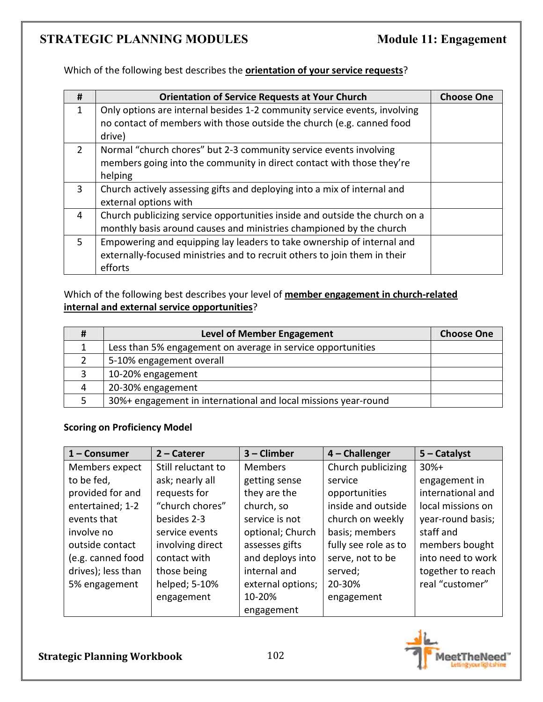Which of the following best describes the **orientation of your service requests**?

| #              | <b>Orientation of Service Requests at Your Church</b>                       | <b>Choose One</b> |
|----------------|-----------------------------------------------------------------------------|-------------------|
| 1              | Only options are internal besides 1-2 community service events, involving   |                   |
|                | no contact of members with those outside the church (e.g. canned food       |                   |
|                | drive)                                                                      |                   |
| $\overline{2}$ | Normal "church chores" but 2-3 community service events involving           |                   |
|                | members going into the community in direct contact with those they're       |                   |
|                | helping                                                                     |                   |
| 3              | Church actively assessing gifts and deploying into a mix of internal and    |                   |
|                | external options with                                                       |                   |
| 4              | Church publicizing service opportunities inside and outside the church on a |                   |
|                | monthly basis around causes and ministries championed by the church         |                   |
| 5.             | Empowering and equipping lay leaders to take ownership of internal and      |                   |
|                | externally-focused ministries and to recruit others to join them in their   |                   |
|                | efforts                                                                     |                   |

# Which of the following best describes your level of **member engagement in church-related internal and external service opportunities**?

| # | <b>Level of Member Engagement</b>                              | <b>Choose One</b> |
|---|----------------------------------------------------------------|-------------------|
|   | Less than 5% engagement on average in service opportunities    |                   |
|   | 5-10% engagement overall                                       |                   |
| 3 | 10-20% engagement                                              |                   |
| 4 | 20-30% engagement                                              |                   |
|   | 30%+ engagement in international and local missions year-round |                   |

### **Scoring on Proficiency Model**

| 1 - Consumer       | $2$ – Caterer      | 3 - Climber       | 4 - Challenger       | $5 -$ Catalyst    |
|--------------------|--------------------|-------------------|----------------------|-------------------|
| Members expect     | Still reluctant to | <b>Members</b>    | Church publicizing   | $30%+$            |
| to be fed,         | ask; nearly all    | getting sense     | service              | engagement in     |
| provided for and   | requests for       | they are the      | opportunities        | international and |
| entertained; 1-2   | "church chores"    | church, so        | inside and outside   | local missions on |
| events that        | besides 2-3        | service is not    | church on weekly     | year-round basis; |
| involve no         | service events     | optional; Church  | basis; members       | staff and         |
| outside contact    | involving direct   | assesses gifts    | fully see role as to | members bought    |
| (e.g. canned food  | contact with       | and deploys into  | serve, not to be     | into need to work |
| drives); less than | those being        | internal and      | served;              | together to reach |
| 5% engagement      | helped; 5-10%      | external options; | 20-30%               | real "customer"   |
|                    | engagement         | 10-20%            | engagement           |                   |
|                    |                    | engagement        |                      |                   |

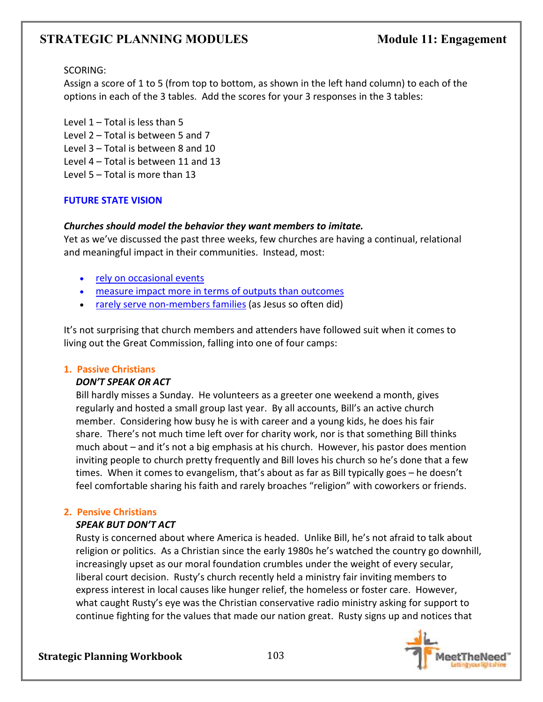### SCORING:

Assign a score of 1 to 5 (from top to bottom, as shown in the left hand column) to each of the options in each of the 3 tables. Add the scores for your 3 responses in the 3 tables:

Level 1 – Total is less than 5 Level 2 – Total is between 5 and 7 Level 3 – Total is between 8 and 10 Level 4 – Total is between 11 and 13

Level 5 – Total is more than 13

### **FUTURE STATE VISION**

### *Churches should model the behavior they want members to imitate.*

Yet as we've discussed the past three weeks, few churches are having a continual, relational and meaningful impact in their communities. Instead, most:

- rely on occasional events
- measure impact more in terms of outputs than outcomes
- rarely serve non-members families (as Jesus so often did)

It's not surprising that church members and attenders have followed suit when it comes to living out the Great Commission, falling into one of four camps:

#### **1. Passive Christians**

### *DON'T SPEAK OR ACT*

Bill hardly misses a Sunday. He volunteers as a greeter one weekend a month, gives regularly and hosted a small group last year. By all accounts, Bill's an active church member. Considering how busy he is with career and a young kids, he does his fair share. There's not much time left over for charity work, nor is that something Bill thinks much about – and it's not a big emphasis at his church. However, his pastor does mention inviting people to church pretty frequently and Bill loves his church so he's done that a few times. When it comes to evangelism, that's about as far as Bill typically goes – he doesn't feel comfortable sharing his faith and rarely broaches "religion" with coworkers or friends.

### **2. Pensive Christians**

### *SPEAK BUT DON'T ACT*

Rusty is concerned about where America is headed. Unlike Bill, he's not afraid to talk about religion or politics. As a Christian since the early 1980s he's watched the country go downhill, increasingly upset as our moral foundation crumbles under the weight of every secular, liberal court decision. Rusty's church recently held a ministry fair inviting members to express interest in local causes like hunger relief, the homeless or foster care. However, what caught Rusty's eye was the Christian conservative radio ministry asking for support to continue fighting for the values that made our nation great. Rusty signs up and notices that

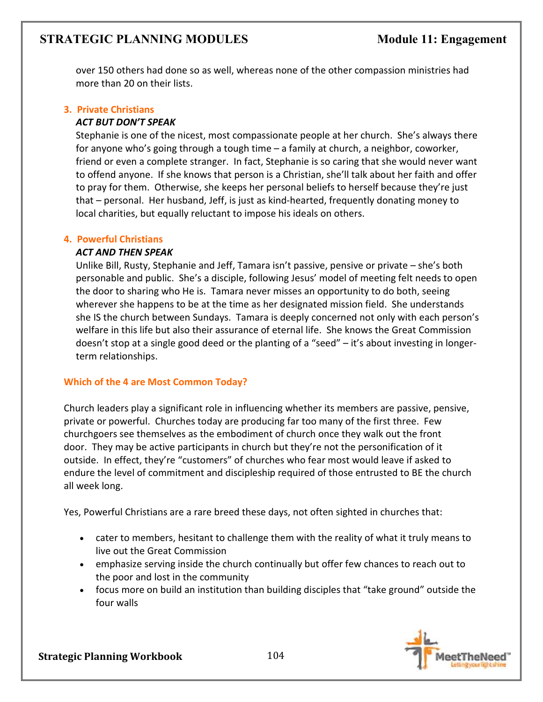over 150 others had done so as well, whereas none of the other compassion ministries had more than 20 on their lists.

#### **3. Private Christians** *ACT BUT DON'T SPEAK*

Stephanie is one of the nicest, most compassionate people at her church. She's always there for anyone who's going through a tough time – a family at church, a neighbor, coworker, friend or even a complete stranger. In fact, Stephanie is so caring that she would never want to offend anyone. If she knows that person is a Christian, she'll talk about her faith and offer to pray for them. Otherwise, she keeps her personal beliefs to herself because they're just that – personal. Her husband, Jeff, is just as kind-hearted, frequently donating money to local charities, but equally reluctant to impose his ideals on others.

### **4. Powerful Christians**

### *ACT AND THEN SPEAK*

Unlike Bill, Rusty, Stephanie and Jeff, Tamara isn't passive, pensive or private – she's both personable and public. She's a disciple, following Jesus' model of meeting felt needs to open the door to sharing who He is. Tamara never misses an opportunity to do both, seeing wherever she happens to be at the time as her designated mission field. She understands she IS the church between Sundays. Tamara is deeply concerned not only with each person's welfare in this life but also their assurance of eternal life. She knows the Great Commission doesn't stop at a single good deed or the planting of a "seed" – it's about investing in longerterm relationships.

### **Which of the 4 are Most Common Today?**

Church leaders play a significant role in influencing whether its members are passive, pensive, private or powerful. Churches today are producing far too many of the first three. Few churchgoers see themselves as the embodiment of church once they walk out the front door.They may be active participants in church but they're not the personification of it outside. In effect, they're "customers" of churches who fear most would leave if asked to endure the level of commitment and discipleship required of those entrusted to BE the church all week long.

Yes, Powerful Christians are a rare breed these days, not often sighted in churches that:

- cater to members, hesitant to challenge them with the reality of what it truly means to live out the Great Commission
- emphasize serving inside the church continually but offer few chances to reach out to the poor and lost in the community
- focus more on build an institution than building disciples that "take ground" outside the four walls

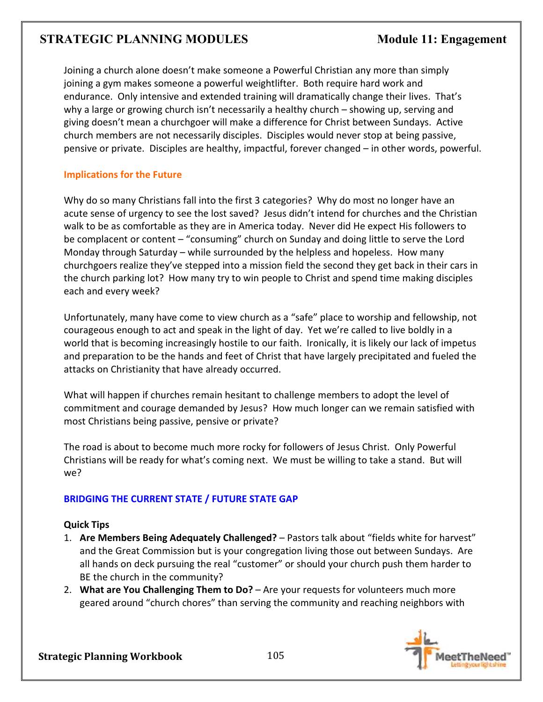Joining a church alone doesn't make someone a Powerful Christian any more than simply joining a gym makes someone a powerful weightlifter. Both require hard work and endurance. Only intensive and extended training will dramatically change their lives. That's why a large or growing church isn't necessarily a healthy church – showing up, serving and giving doesn't mean a churchgoer will make a difference for Christ between Sundays. Active church members are not necessarily disciples. Disciples would never stop at being passive, pensive or private. Disciples are healthy, impactful, forever changed – in other words, powerful.

### **Implications for the Future**

Why do so many Christians fall into the first 3 categories? Why do most no longer have an acute sense of urgency to see the lost saved? Jesus didn't intend for churches and the Christian walk to be as comfortable as they are in America today. Never did He expect His followers to be complacent or content – "consuming" church on Sunday and doing little to serve the Lord Monday through Saturday – while surrounded by the helpless and hopeless. How many churchgoers realize they've stepped into a mission field the second they get back in their cars in the church parking lot? How many try to win people to Christ and spend time making disciples each and every week?

Unfortunately, many have come to view church as a "safe" place to worship and fellowship, not courageous enough to act and speak in the light of day. Yet we're called to live boldly in a world that is becoming increasingly hostile to our faith. Ironically, it is likely our lack of impetus and preparation to be the hands and feet of Christ that have largely precipitated and fueled the attacks on Christianity that have already occurred.

What will happen if churches remain hesitant to challenge members to adopt the level of commitment and courage demanded by Jesus?How much longer can we remain satisfied with most Christians being passive, pensive or private?

The road is about to become much more rocky for followers of Jesus Christ. Only Powerful Christians will be ready for what's coming next. We must be willing to take a stand. But will we?

### **BRIDGING THE CURRENT STATE / FUTURE STATE GAP**

### **Quick Tips**

- 1. **Are Members Being Adequately Challenged?** Pastors talk about "fields white for harvest" and the Great Commission but is your congregation living those out between Sundays. Are all hands on deck pursuing the real "customer" or should your church push them harder to BE the church in the community?
- 2. **What are You Challenging Them to Do?** Are your requests for volunteers much more geared around "church chores" than serving the community and reaching neighbors with

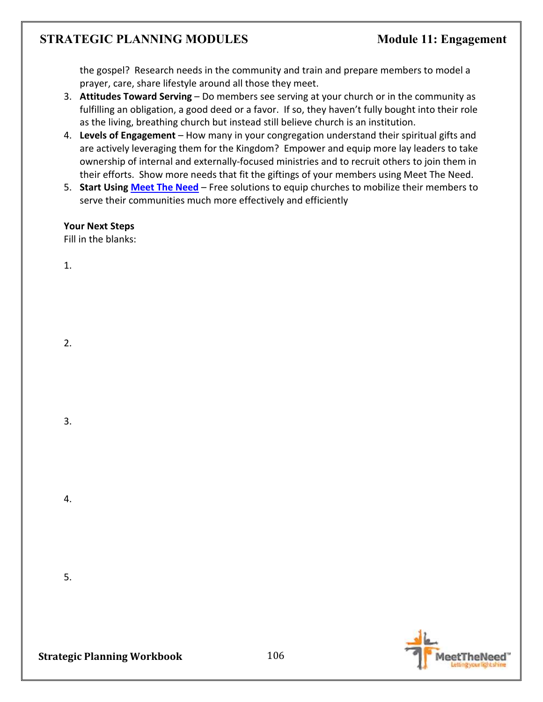the gospel? Research needs in the community and train and prepare members to model a prayer, care, share lifestyle around all those they meet.

- 3. **Attitudes Toward Serving** Do members see serving at your church or in the community as fulfilling an obligation, a good deed or a favor. If so, they haven't fully bought into their role as the living, breathing church but instead still believe church is an institution.
- 4. **Levels of Engagement** How many in your congregation understand their spiritual gifts and are actively leveraging them for the Kingdom? Empower and equip more lay leaders to take ownership of internal and externally-focused ministries and to recruit others to join them in their efforts. Show more needs that fit the giftings of your members using Meet The Need.
- 5. **Start Using Meet The Need** Free solutions to equip churches to mobilize their members to serve their communities much more effectively and efficiently

**Your Next Steps**  Fill in the blanks:

1.

2.

3.

4.

5.



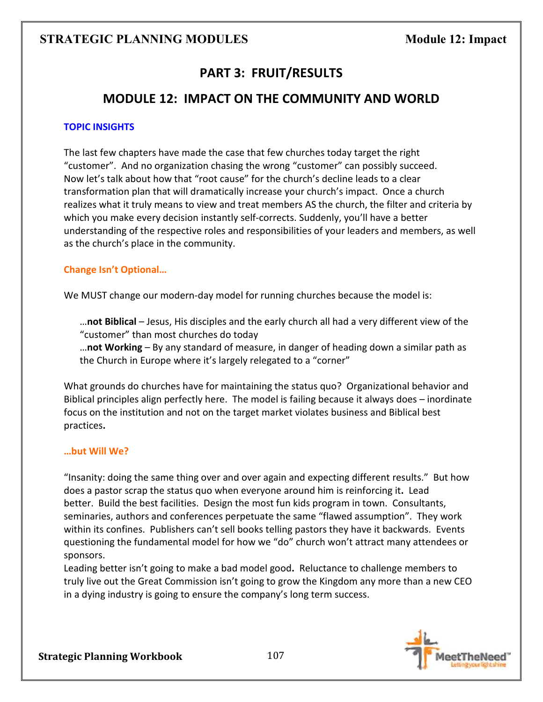# **STRATEGIC PLANNING MODULES** Module 12: Impact

# **PART 3: FRUIT/RESULTS**

# **MODULE 12: IMPACT ON THE COMMUNITY AND WORLD**

#### **TOPIC INSIGHTS**

The last few chapters have made the case that few churches today target the right "customer". And no organization chasing the wrong "customer" can possibly succeed. Now let's talk about how that "root cause" for the church's decline leads to a clear transformation plan that will dramatically increase your church's impact. Once a church realizes what it truly means to view and treat members AS the church, the filter and criteria by which you make every decision instantly self-corrects. Suddenly, you'll have a better understanding of the respective roles and responsibilities of your leaders and members, as well as the church's place in the community.

### **Change Isn't Optional…**

We MUST change our modern-day model for running churches because the model is:

…**not Biblical** – Jesus, His disciples and the early church all had a very different view of the "customer" than most churches do today

…**not Working** – By any standard of measure, in danger of heading down a similar path as the Church in Europe where it's largely relegated to a "corner"

What grounds do churches have for maintaining the status quo? Organizational behavior and Biblical principles align perfectly here. The model is failing because it always does – inordinate focus on the institution and not on the target market violates business and Biblical best practices**.**

#### **…but Will We?**

"Insanity: doing the same thing over and over again and expecting different results." But how does a pastor scrap the status quo when everyone around him is reinforcing it**.** Lead better. Build the best facilities. Design the most fun kids program in town. Consultants, seminaries, authors and conferences perpetuate the same "flawed assumption". They work within its confines. Publishers can't sell books telling pastors they have it backwards. Events questioning the fundamental model for how we "do" church won't attract many attendees or sponsors.

Leading better isn't going to make a bad model good**.** Reluctance to challenge members to truly live out the Great Commission isn't going to grow the Kingdom any more than a new CEO in a dying industry is going to ensure the company's long term success.

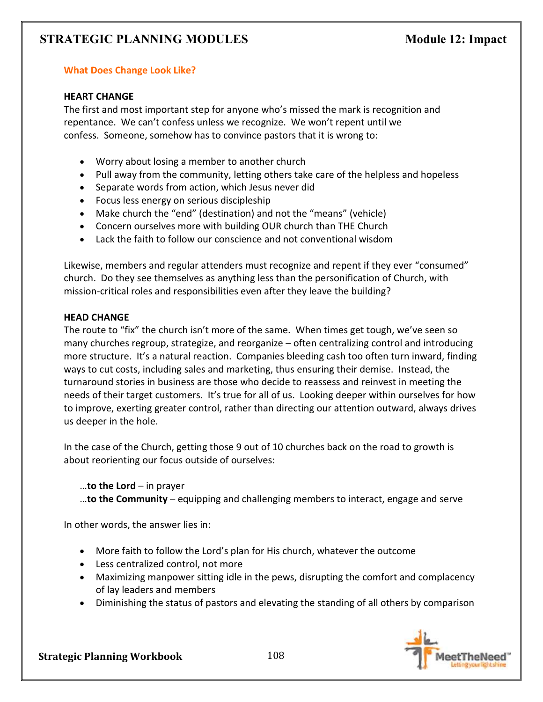# **STRATEGIC PLANNING MODULES** Module 12: Impact

#### **What Does Change Look Like?**

#### **HEART CHANGE**

The first and most important step for anyone who's missed the mark is recognition and repentance. We can't confess unless we recognize. We won't repent until we confess. Someone, somehow has to convince pastors that it is wrong to:

- Worry about losing a member to another church
- Pull away from the community, letting others take care of the helpless and hopeless
- Separate words from action, which Jesus never did
- Focus less energy on serious discipleship
- Make church the "end" (destination) and not the "means" (vehicle)
- Concern ourselves more with building OUR church than THE Church
- Lack the faith to follow our conscience and not conventional wisdom

Likewise, members and regular attenders must recognize and repent if they ever "consumed" church. Do they see themselves as anything less than the personification of Church, with mission-critical roles and responsibilities even after they leave the building?

#### **HEAD CHANGE**

The route to "fix" the church isn't more of the same. When times get tough, we've seen so many churches regroup, strategize, and reorganize – often centralizing control and introducing more structure. It's a natural reaction. Companies bleeding cash too often turn inward, finding ways to cut costs, including sales and marketing, thus ensuring their demise. Instead, the turnaround stories in business are those who decide to reassess and reinvest in meeting the needs of their target customers. It's true for all of us.Looking deeper within ourselves for how to improve, exerting greater control, rather than directing our attention outward, always drives us deeper in the hole.

In the case of the Church, getting those 9 out of 10 churches back on the road to growth is about reorienting our focus outside of ourselves:

…**to the Lord** – in prayer

…**to the Community** – equipping and challenging members to interact, engage and serve

In other words, the answer lies in:

- More faith to follow the Lord's plan for His church, whatever the outcome
- Less centralized control, not more
- Maximizing manpower sitting idle in the pews, disrupting the comfort and complacency of lay leaders and members
- Diminishing the status of pastors and elevating the standing of all others by comparison

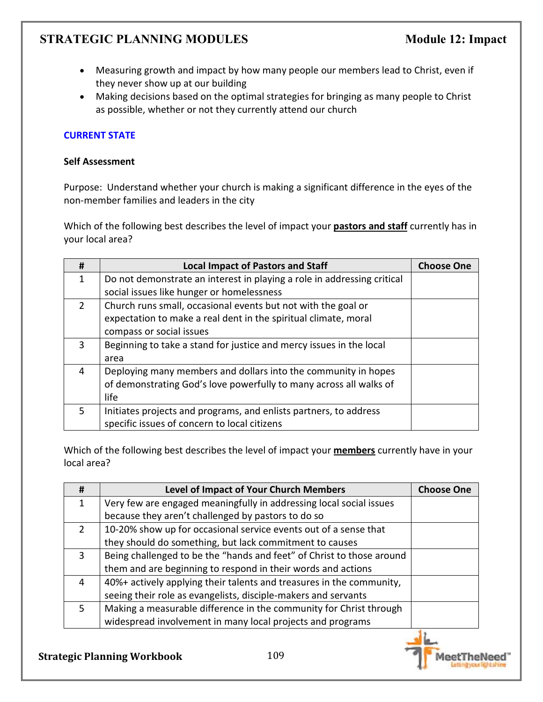- Measuring growth and impact by how many people our members lead to Christ, even if they never show up at our building
- Making decisions based on the optimal strategies for bringing as many people to Christ as possible, whether or not they currently attend our church

### **CURRENT STATE**

#### **Self Assessment**

Purpose: Understand whether your church is making a significant difference in the eyes of the non-member families and leaders in the city

Which of the following best describes the level of impact your **pastors and staff** currently has in your local area?

| #             | <b>Local Impact of Pastors and Staff</b>                                | <b>Choose One</b> |
|---------------|-------------------------------------------------------------------------|-------------------|
| 1             | Do not demonstrate an interest in playing a role in addressing critical |                   |
|               | social issues like hunger or homelessness                               |                   |
| $\mathcal{P}$ | Church runs small, occasional events but not with the goal or           |                   |
|               | expectation to make a real dent in the spiritual climate, moral         |                   |
|               | compass or social issues                                                |                   |
| 3             | Beginning to take a stand for justice and mercy issues in the local     |                   |
|               | area                                                                    |                   |
| 4             | Deploying many members and dollars into the community in hopes          |                   |
|               | of demonstrating God's love powerfully to many across all walks of      |                   |
|               | life                                                                    |                   |
| 5.            | Initiates projects and programs, and enlists partners, to address       |                   |
|               | specific issues of concern to local citizens                            |                   |

Which of the following best describes the level of impact your **members** currently have in your local area?

| #             | <b>Level of Impact of Your Church Members</b>                         | <b>Choose One</b> |
|---------------|-----------------------------------------------------------------------|-------------------|
| $\mathbf{1}$  | Very few are engaged meaningfully in addressing local social issues   |                   |
|               | because they aren't challenged by pastors to do so                    |                   |
| $\mathcal{L}$ | 10-20% show up for occasional service events out of a sense that      |                   |
|               | they should do something, but lack commitment to causes               |                   |
| 3             | Being challenged to be the "hands and feet" of Christ to those around |                   |
|               | them and are beginning to respond in their words and actions          |                   |
| 4             | 40%+ actively applying their talents and treasures in the community,  |                   |
|               | seeing their role as evangelists, disciple-makers and servants        |                   |
| 5.            | Making a measurable difference in the community for Christ through    |                   |
|               | widespread involvement in many local projects and programs            |                   |

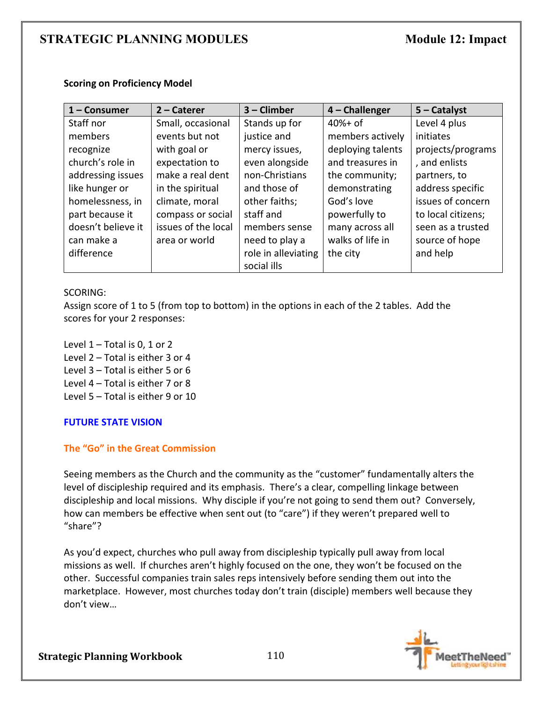| $1 -$ Consumer     | $2 -$ Caterer       | $3$ – Climber       | 4 - Challenger    | $5 -$ Catalyst     |
|--------------------|---------------------|---------------------|-------------------|--------------------|
| Staff nor          | Small, occasional   | Stands up for       | $40%+$ of         | Level 4 plus       |
| members            | events but not      | justice and         | members actively  | initiates          |
| recognize          | with goal or        | mercy issues,       | deploying talents | projects/programs  |
| church's role in   | expectation to      | even alongside      | and treasures in  | , and enlists      |
| addressing issues  | make a real dent    | non-Christians      | the community;    | partners, to       |
| like hunger or     | in the spiritual    | and those of        | demonstrating     | address specific   |
| homelessness, in   | climate, moral      | other faiths;       | God's love        | issues of concern  |
| part because it    | compass or social   | staff and           | powerfully to     | to local citizens; |
| doesn't believe it | issues of the local | members sense       | many across all   | seen as a trusted  |
| can make a         | area or world       | need to play a      | walks of life in  | source of hope     |
| difference         |                     | role in alleviating | the city          | and help           |
|                    |                     | social ills         |                   |                    |

#### **Scoring on Proficiency Model**

#### SCORING:

Assign score of 1 to 5 (from top to bottom) in the options in each of the 2 tables. Add the scores for your 2 responses:

Level  $1$  – Total is 0, 1 or 2 Level 2 – Total is either 3 or 4 Level 3 – Total is either 5 or 6 Level 4 – Total is either 7 or 8 Level 5 – Total is either 9 or 10

#### **FUTURE STATE VISION**

### **The "Go" in the Great Commission**

Seeing members as the Church and the community as the "customer" fundamentally alters the level of discipleship required and its emphasis. There's a clear, compelling linkage between discipleship and local missions. Why disciple if you're not going to send them out? Conversely, how can members be effective when sent out (to "care") if they weren't prepared well to "share"?

As you'd expect, churches who pull away from discipleship typically pull away from local missions as well. If churches aren't highly focused on the one, they won't be focused on the other. Successful companies train sales reps intensively before sending them out into the marketplace. However, most churches today don't train (disciple) members well because they don't view…

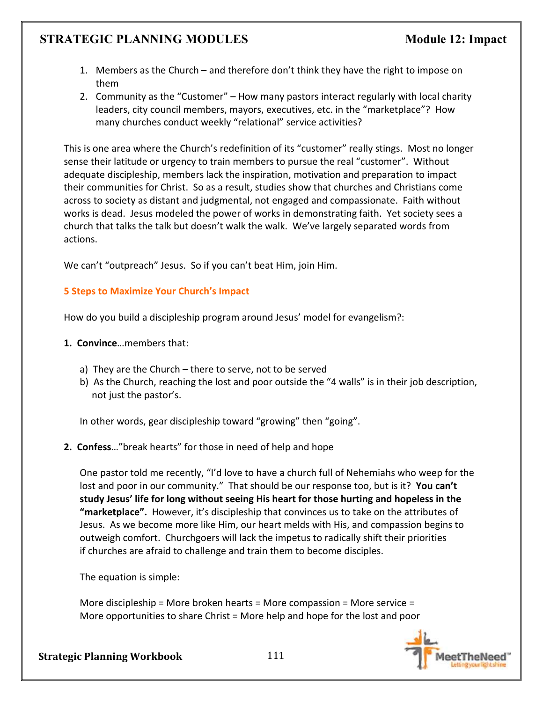- 1. Members as the Church and therefore don't think they have the right to impose on them
- 2. Community as the "Customer" How many pastors interact regularly with local charity leaders, city council members, mayors, executives, etc. in the "marketplace"? How many churches conduct weekly "relational" service activities?

This is one area where the Church's redefinition of its "customer" really stings. Most no longer sense their latitude or urgency to train members to pursue the real "customer". Without adequate discipleship, members lack the inspiration, motivation and preparation to impact their communities for Christ. So as a result, studies show that churches and Christians come across to society as distant and judgmental, not engaged and compassionate. Faith without works is dead. Jesus modeled the power of works in demonstrating faith. Yet society sees a church that talks the talk but doesn't walk the walk. We've largely separated words from actions.

We can't "outpreach" Jesus. So if you can't beat Him, join Him.

### **5 Steps to Maximize Your Church's Impact**

How do you build a discipleship program around Jesus' model for evangelism?:

- **1. Convince**…members that:
	- a) They are the Church there to serve, not to be served
	- b) As the Church, reaching the lost and poor outside the "4 walls" is in their job description, not just the pastor's.

In other words, gear discipleship toward "growing" then "going".

**2. Confess**…"break hearts" for those in need of help and hope

One pastor told me recently, "I'd love to have a church full of Nehemiahs who weep for the lost and poor in our community." That should be our response too, but is it? **You can't study Jesus' life for long without seeing His heart for those hurting and hopeless in the "marketplace".** However, it's discipleship that convinces us to take on the attributes of Jesus. As we become more like Him, our heart melds with His, and compassion begins to outweigh comfort. Churchgoers will lack the impetus to radically shift their priorities if churches are afraid to challenge and train them to become disciples.

The equation is simple:

More discipleship = More broken hearts = More compassion = More service = More opportunities to share Christ = More help and hope for the lost and poor

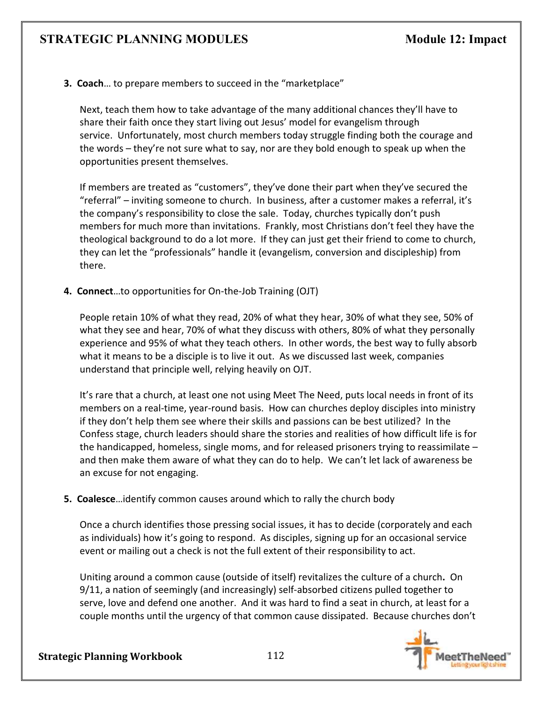**3. Coach**… to prepare members to succeed in the "marketplace"

Next, teach them how to take advantage of the many additional chances they'll have to share their faith once they start living out Jesus' model for evangelism through service. Unfortunately, most church members today struggle finding both the courage and the words – they're not sure what to say, nor are they bold enough to speak up when the opportunities present themselves.

If members are treated as "customers", they've done their part when they've secured the "referral" – inviting someone to church. In business, after a customer makes a referral, it's the company's responsibility to close the sale. Today, churches typically don't push members for much more than invitations. Frankly, most Christians don't feel they have the theological background to do a lot more. If they can just get their friend to come to church, they can let the "professionals" handle it (evangelism, conversion and discipleship) from there.

**4. Connect**…to opportunities for On-the-Job Training (OJT)

People retain 10% of what they read, 20% of what they hear, 30% of what they see, 50% of what they see and hear, 70% of what they discuss with others, 80% of what they personally experience and 95% of what they teach others. In other words, the best way to fully absorb what it means to be a disciple is to live it out. As we discussed last week, companies understand that principle well, relying heavily on OJT.

It's rare that a church, at least one not using Meet The Need, puts local needs in front of its members on a real-time, year-round basis. How can churches deploy disciples into ministry if they don't help them see where their skills and passions can be best utilized? In the Confess stage, church leaders should share the stories and realities of how difficult life is for the handicapped, homeless, single moms, and for released prisoners trying to reassimilate – and then make them aware of what they can do to help. We can't let lack of awareness be an excuse for not engaging.

**5. Coalesce**…identify common causes around which to rally the church body

Once a church identifies those pressing social issues, it has to decide (corporately and each as individuals) how it's going to respond. As disciples, signing up for an occasional service event or mailing out a check is not the full extent of their responsibility to act.

Uniting around a common cause (outside of itself) revitalizes the culture of a church**.** On 9/11, a nation of seemingly (and increasingly) self-absorbed citizens pulled together to serve, love and defend one another. And it was hard to find a seat in church, at least for a couple months until the urgency of that common cause dissipated. Because churches don't

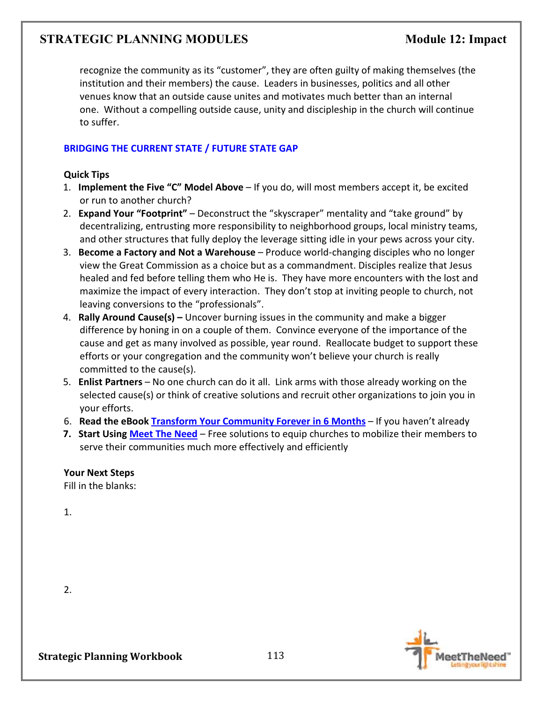recognize the community as its "customer", they are often guilty of making themselves (the institution and their members) the cause. Leaders in businesses, politics and all other venues know that an outside cause unites and motivates much better than an internal one. Without a compelling outside cause, unity and discipleship in the church will continue to suffer.

### **BRIDGING THE CURRENT STATE / FUTURE STATE GAP**

### **Quick Tips**

- 1. **Implement the Five "C" Model Above** If you do, will most members accept it, be excited or run to another church?
- 2. **Expand Your "Footprint"** Deconstruct the "skyscraper" mentality and "take ground" by decentralizing, entrusting more responsibility to neighborhood groups, local ministry teams, and other structures that fully deploy the leverage sitting idle in your pews across your city.
- 3. **Become a Factory and Not a Warehouse** Produce world-changing disciples who no longer view the Great Commission as a choice but as a commandment. Disciples realize that Jesus healed and fed before telling them who He is. They have more encounters with the lost and maximize the impact of every interaction. They don't stop at inviting people to church, not leaving conversions to the "professionals".
- 4. **Rally Around Cause(s)** Uncover burning issues in the community and make a bigger difference by honing in on a couple of them. Convince everyone of the importance of the cause and get as many involved as possible, year round. Reallocate budget to support these efforts or your congregation and the community won't believe your church is really committed to the cause(s).
- 5. **Enlist Partners** No one church can do it all. Link arms with those already working on the selected cause(s) or think of creative solutions and recruit other organizations to join you in your efforts.
- 6. **Read the eBook Transform Your Community Forever in 6 Months** If you haven't already
- **7. Start Using Meet The Need** Free solutions to equip churches to mobilize their members to serve their communities much more effectively and efficiently

### **Your Next Steps**

Fill in the blanks:

1.

2.

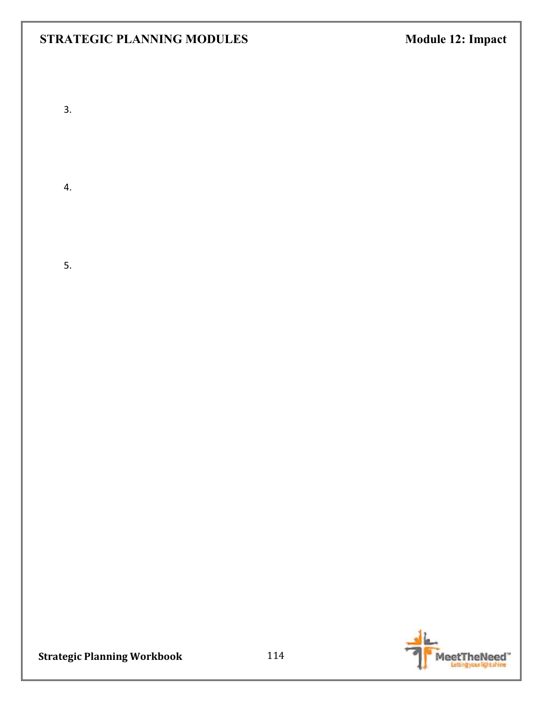3.

4.

5.

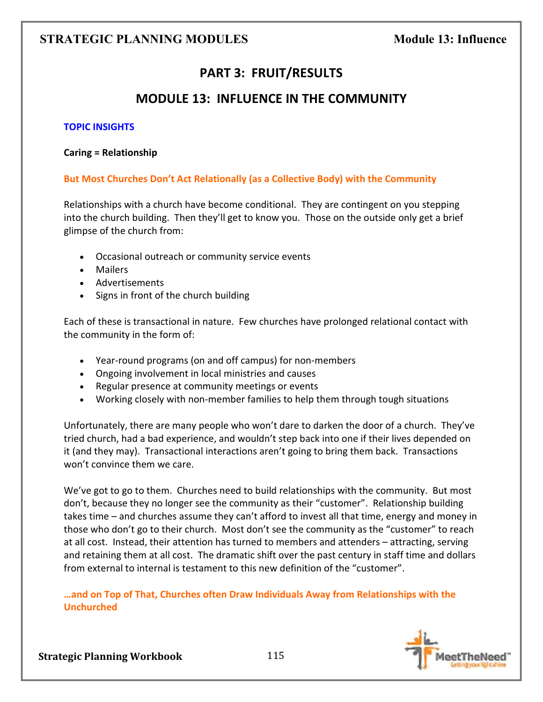# **PART 3: FRUIT/RESULTS**

# **MODULE 13: INFLUENCE IN THE COMMUNITY**

### **TOPIC INSIGHTS**

#### **Caring = Relationship**

### **But Most Churches Don't Act Relationally (as a Collective Body) with the Community**

Relationships with a church have become conditional. They are contingent on you stepping into the church building. Then they'll get to know you. Those on the outside only get a brief glimpse of the church from:

- Occasional outreach or community service events
- Mailers
- Advertisements
- Signs in front of the church building

Each of these is transactional in nature. Few churches have prolonged relational contact with the community in the form of:

- Year-round programs (on and off campus) for non-members
- Ongoing involvement in local ministries and causes
- Regular presence at community meetings or events
- Working closely with non-member families to help them through tough situations

Unfortunately, there are many people who won't dare to darken the door of a church. They've tried church, had a bad experience, and wouldn't step back into one if their lives depended on it (and they may). Transactional interactions aren't going to bring them back. Transactions won't convince them we care.

We've got to go to them. Churches need to build relationships with the community. But most don't, because they no longer see the community as their "customer". Relationship building takes time – and churches assume they can't afford to invest all that time, energy and money in those who don't go to their church. Most don't see the community as the "customer" to reach at all cost. Instead, their attention has turned to members and attenders – attracting, serving and retaining them at all cost. The dramatic shift over the past century in staff time and dollars from external to internal is testament to this new definition of the "customer".

**…and on Top of That, Churches often Draw Individuals Away from Relationships with the Unchurched** 

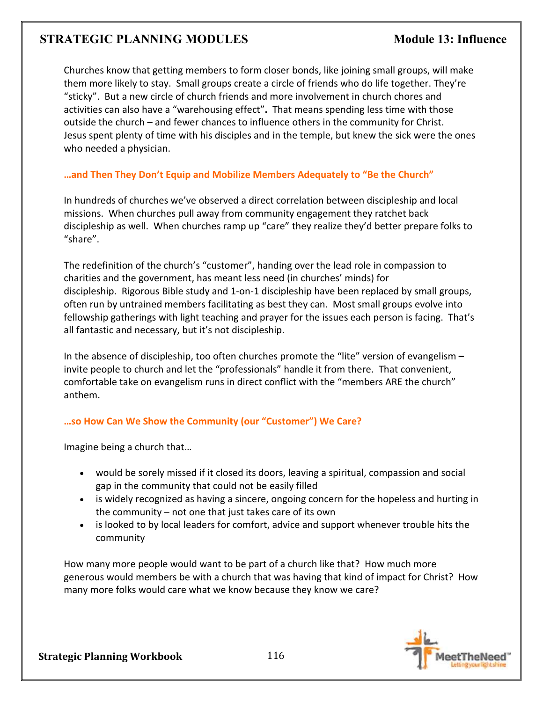Churches know that getting members to form closer bonds, like joining small groups, will make them more likely to stay. Small groups create a circle of friends who do life together. They're "sticky". But a new circle of church friends and more involvement in church chores and activities can also have a "warehousing effect"**.** That means spending less time with those outside the church – and fewer chances to influence others in the community for Christ. Jesus spent plenty of time with his disciples and in the temple, but knew the sick were the ones who needed a physician.

### **…and Then They Don't Equip and Mobilize Members Adequately to "Be the Church"**

In hundreds of churches we've observed a direct correlation between discipleship and local missions. When churches pull away from community engagement they ratchet back discipleship as well. When churches ramp up "care" they realize they'd better prepare folks to "share".

The redefinition of the church's "customer", handing over the lead role in compassion to charities and the government, has meant less need (in churches' minds) for discipleship. Rigorous Bible study and 1-on-1 discipleship have been replaced by small groups, often run by untrained members facilitating as best they can. Most small groups evolve into fellowship gatherings with light teaching and prayer for the issues each person is facing. That's all fantastic and necessary, but it's not discipleship.

In the absence of discipleship, too often churches promote the "lite" version of evangelism **–** invite people to church and let the "professionals" handle it from there. That convenient, comfortable take on evangelism runs in direct conflict with the "members ARE the church" anthem.

# **…so How Can We Show the Community (our "Customer") We Care?**

Imagine being a church that…

- would be sorely missed if it closed its doors, leaving a spiritual, compassion and social gap in the community that could not be easily filled
- is widely recognized as having a sincere, ongoing concern for the hopeless and hurting in the community – not one that just takes care of its own
- is looked to by local leaders for comfort, advice and support whenever trouble hits the community

How many more people would want to be part of a church like that? How much more generous would members be with a church that was having that kind of impact for Christ? How many more folks would care what we know because they know we care?

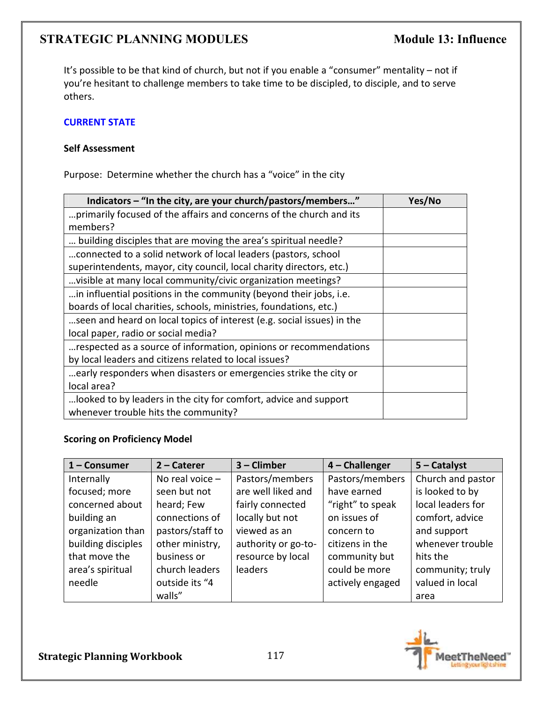It's possible to be that kind of church, but not if you enable a "consumer" mentality – not if you're hesitant to challenge members to take time to be discipled, to disciple, and to serve others.

### **CURRENT STATE**

### **Self Assessment**

Purpose: Determine whether the church has a "voice" in the city

| Indicators - "In the city, are your church/pastors/members"            | Yes/No |
|------------------------------------------------------------------------|--------|
| primarily focused of the affairs and concerns of the church and its    |        |
| members?                                                               |        |
| building disciples that are moving the area's spiritual needle?        |        |
| connected to a solid network of local leaders (pastors, school         |        |
| superintendents, mayor, city council, local charity directors, etc.)   |        |
| visible at many local community/civic organization meetings?           |        |
| in influential positions in the community (beyond their jobs, i.e.     |        |
| boards of local charities, schools, ministries, foundations, etc.)     |        |
| seen and heard on local topics of interest (e.g. social issues) in the |        |
| local paper, radio or social media?                                    |        |
| respected as a source of information, opinions or recommendations      |        |
| by local leaders and citizens related to local issues?                 |        |
| early responders when disasters or emergencies strike the city or      |        |
| local area?                                                            |        |
| looked to by leaders in the city for comfort, advice and support       |        |
| whenever trouble hits the community?                                   |        |

### **Scoring on Proficiency Model**

| 1 - Consumer       | $2$ – Caterer     | 3 - Climber         | 4 - Challenger   | $5 -$ Catalyst    |
|--------------------|-------------------|---------------------|------------------|-------------------|
| Internally         | No real voice $-$ | Pastors/members     | Pastors/members  | Church and pastor |
| focused; more      | seen but not      | are well liked and  | have earned      | is looked to by   |
| concerned about    | heard; Few        | fairly connected    | "right" to speak | local leaders for |
| building an        | connections of    | locally but not     | on issues of     | comfort, advice   |
| organization than  | pastors/staff to  | viewed as an        | concern to       | and support       |
| building disciples | other ministry,   | authority or go-to- | citizens in the  | whenever trouble  |
| that move the      | business or       | resource by local   | community but    | hits the          |
| area's spiritual   | church leaders    | leaders             | could be more    | community; truly  |
| needle             | outside its "4    |                     | actively engaged | valued in local   |
|                    | walls"            |                     |                  | area              |

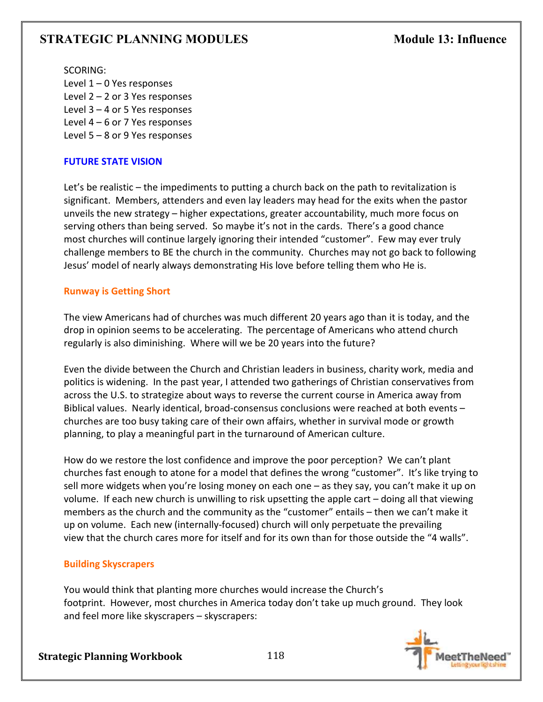SCORING: Level 1 – 0 Yes responses Level 2 – 2 or 3 Yes responses Level 3 – 4 or 5 Yes responses Level 4 – 6 or 7 Yes responses Level 5 – 8 or 9 Yes responses

### **FUTURE STATE VISION**

Let's be realistic – the impediments to putting a church back on the path to revitalization is significant. Members, attenders and even lay leaders may head for the exits when the pastor unveils the new strategy – higher expectations, greater accountability, much more focus on serving others than being served. So maybe it's not in the cards. There's a good chance most churches will continue largely ignoring their intended "customer". Few may ever truly challenge members to BE the church in the community. Churches may not go back to following Jesus' model of nearly always demonstrating His love before telling them who He is.

### **Runway is Getting Short**

The view Americans had of churches was much different 20 years ago than it is today, and the drop in opinion seems to be accelerating. The percentage of Americans who attend church regularly is also diminishing. Where will we be 20 years into the future?

Even the divide between the Church and Christian leaders in business, charity work, media and politics is widening. In the past year, I attended two gatherings of Christian conservatives from across the U.S. to strategize about ways to reverse the current course in America away from Biblical values. Nearly identical, broad-consensus conclusions were reached at both events – churches are too busy taking care of their own affairs, whether in survival mode or growth planning, to play a meaningful part in the turnaround of American culture.

How do we restore the lost confidence and improve the poor perception?We can't plant churches fast enough to atone for a model that defines the wrong "customer". It's like trying to sell more widgets when you're losing money on each one – as they say, you can't make it up on volume. If each new church is unwilling to risk upsetting the apple cart – doing all that viewing members as the church and the community as the "customer" entails – then we can't make it up on volume. Each new (internally-focused) church will only perpetuate the prevailing view that the church cares more for itself and for its own than for those outside the "4 walls".

### **Building Skyscrapers**

You would think that planting more churches would increase the Church's footprint. However, most churches in America today don't take up much ground. They look and feel more like skyscrapers – skyscrapers:

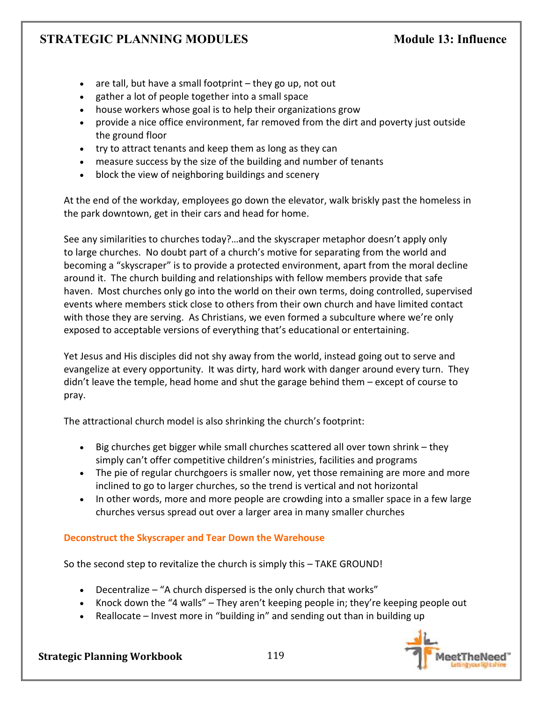- are tall, but have a small footprint they go up, not out
- gather a lot of people together into a small space
- house workers whose goal is to help their organizations grow
- provide a nice office environment, far removed from the dirt and poverty just outside the ground floor
- try to attract tenants and keep them as long as they can
- measure success by the size of the building and number of tenants
- block the view of neighboring buildings and scenery

At the end of the workday, employees go down the elevator, walk briskly past the homeless in the park downtown, get in their cars and head for home.

See any similarities to churches today?…and the skyscraper metaphor doesn't apply only to large churches. No doubt part of a church's motive for separating from the world and becoming a "skyscraper" is to provide a protected environment, apart from the moral decline around it. The church building and relationships with fellow members provide that safe haven. Most churches only go into the world on their own terms, doing controlled, supervised events where members stick close to others from their own church and have limited contact with those they are serving. As Christians, we even formed a subculture where we're only exposed to acceptable versions of everything that's educational or entertaining.

Yet Jesus and His disciples did not shy away from the world, instead going out to serve and evangelize at every opportunity. It was dirty, hard work with danger around every turn. They didn't leave the temple, head home and shut the garage behind them – except of course to pray.

The attractional church model is also shrinking the church's footprint:

- Big churches get bigger while small churches scattered all over town shrink they simply can't offer competitive children's ministries, facilities and programs
- The pie of regular churchgoers is smaller now, yet those remaining are more and more inclined to go to larger churches, so the trend is vertical and not horizontal
- In other words, more and more people are crowding into a smaller space in a few large churches versus spread out over a larger area in many smaller churches

# **Deconstruct the Skyscraper and Tear Down the Warehouse**

So the second step to revitalize the church is simply this – TAKE GROUND!

- Decentralize "A church dispersed is the only church that works"
- Knock down the "4 walls" They aren't keeping people in; they're keeping people out
- Reallocate Invest more in "building in" and sending out than in building up

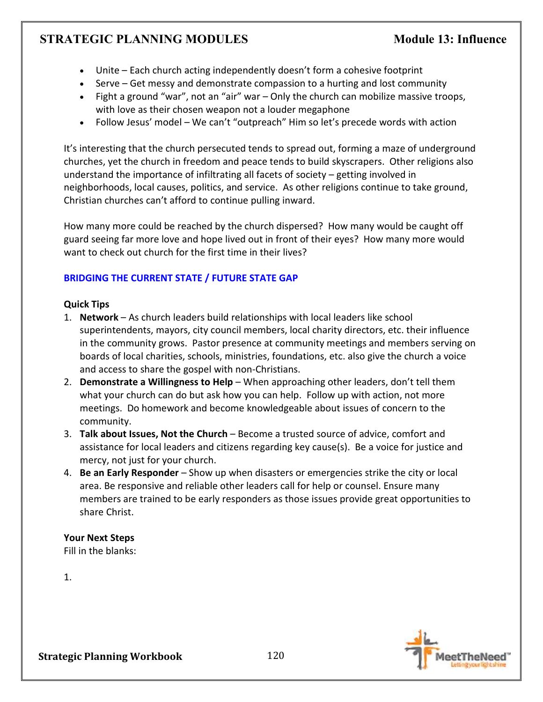- Unite Each church acting independently doesn't form a cohesive footprint
- Serve Get messy and demonstrate compassion to a hurting and lost community
- Fight a ground "war", not an "air" war Only the church can mobilize massive troops, with love as their chosen weapon not a louder megaphone
- Follow Jesus' model We can't "outpreach" Him so let's precede words with action

It's interesting that the church persecuted tends to spread out, forming a maze of underground churches, yet the church in freedom and peace tends to build skyscrapers. Other religions also understand the importance of infiltrating all facets of society – getting involved in neighborhoods, local causes, politics, and service. As other religions continue to take ground, Christian churches can't afford to continue pulling inward.

How many more could be reached by the church dispersed? How many would be caught off guard seeing far more love and hope lived out in front of their eyes? How many more would want to check out church for the first time in their lives?

# **BRIDGING THE CURRENT STATE / FUTURE STATE GAP**

### **Quick Tips**

- 1. **Network** As church leaders build relationships with local leaders like school superintendents, mayors, city council members, local charity directors, etc. their influence in the community grows. Pastor presence at community meetings and members serving on boards of local charities, schools, ministries, foundations, etc. also give the church a voice and access to share the gospel with non-Christians.
- 2. **Demonstrate a Willingness to Help** When approaching other leaders, don't tell them what your church can do but ask how you can help. Follow up with action, not more meetings. Do homework and become knowledgeable about issues of concern to the community.
- 3. **Talk about Issues, Not the Church**  Become a trusted source of advice, comfort and assistance for local leaders and citizens regarding key cause(s). Be a voice for justice and mercy, not just for your church.
- 4. **Be an Early Responder** Show up when disasters or emergencies strike the city or local area. Be responsive and reliable other leaders call for help or counsel. Ensure many members are trained to be early responders as those issues provide great opportunities to share Christ.

### **Your Next Steps**

Fill in the blanks:

1.

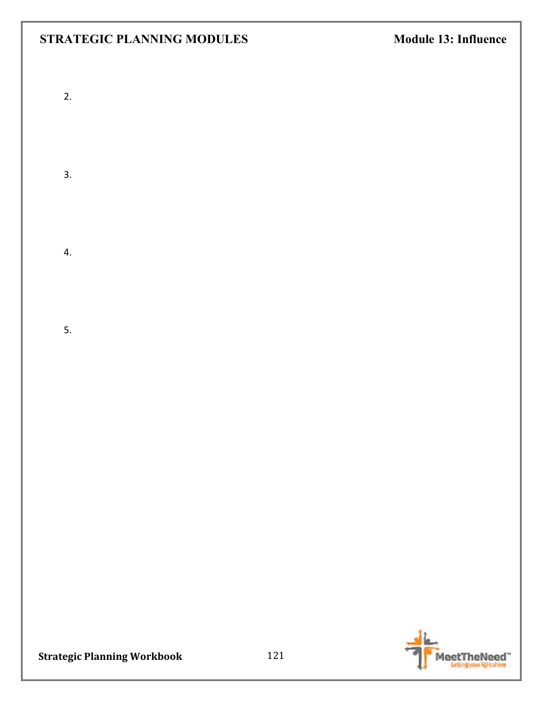- 2.
- 
- 3.
	-
- 4.
- 5.
	-
	- - -

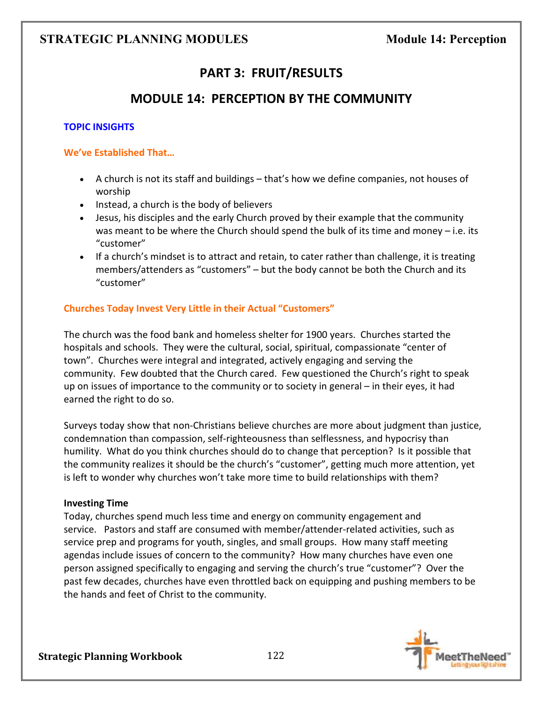# **PART 3: FRUIT/RESULTS**

# **MODULE 14: PERCEPTION BY THE COMMUNITY**

### **TOPIC INSIGHTS**

### **We've Established That…**

- A church is not its staff and buildings that's how we define companies, not houses of worship
- Instead, a church is the body of believers
- Jesus, his disciples and the early Church proved by their example that the community was meant to be where the Church should spend the bulk of its time and money  $-$  i.e. its "customer"
- If a church's mindset is to attract and retain, to cater rather than challenge, it is treating members/attenders as "customers" – but the body cannot be both the Church and its "customer"

### **Churches Today Invest Very Little in their Actual "Customers"**

The church was the food bank and homeless shelter for 1900 years. Churches started the hospitals and schools. They were the cultural, social, spiritual, compassionate "center of town". Churches were integral and integrated, actively engaging and serving the community. Few doubted that the Church cared. Few questioned the Church's right to speak up on issues of importance to the community or to society in general – in their eyes, it had earned the right to do so.

Surveys today show that non-Christians believe churches are more about judgment than justice, condemnation than compassion, self-righteousness than selflessness, and hypocrisy than humility. What do you think churches should do to change that perception? Is it possible that the community realizes it should be the church's "customer", getting much more attention, yet is left to wonder why churches won't take more time to build relationships with them?

### **Investing Time**

Today, churches spend much less time and energy on community engagement and service. Pastors and staff are consumed with member/attender-related activities, such as service prep and programs for youth, singles, and small groups. How many staff meeting agendas include issues of concern to the community? How many churches have even one person assigned specifically to engaging and serving the church's true "customer"? Over the past few decades, churches have even throttled back on equipping and pushing members to be the hands and feet of Christ to the community.

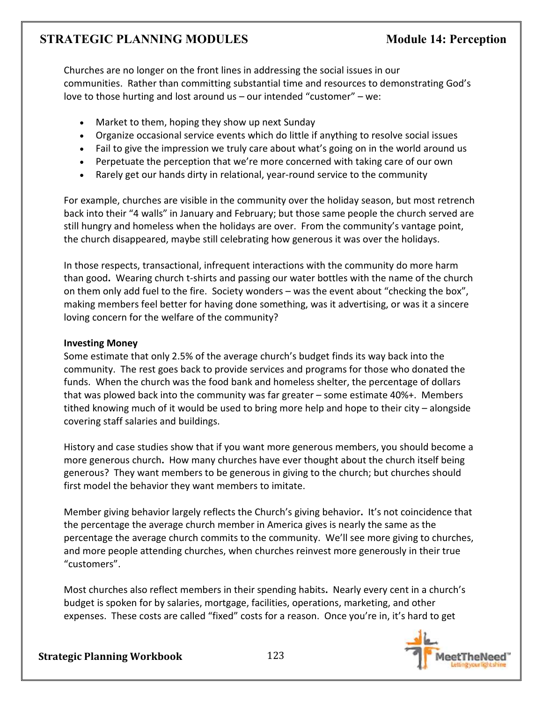Churches are no longer on the front lines in addressing the social issues in our communities. Rather than committing substantial time and resources to demonstrating God's love to those hurting and lost around us – our intended "customer" – we:

- Market to them, hoping they show up next Sunday
- Organize occasional service events which do little if anything to resolve social issues
- Fail to give the impression we truly care about what's going on in the world around us
- Perpetuate the perception that we're more concerned with taking care of our own
- Rarely get our hands dirty in relational, year-round service to the community

For example, churches are visible in the community over the holiday season, but most retrench back into their "4 walls" in January and February; but those same people the church served are still hungry and homeless when the holidays are over. From the community's vantage point, the church disappeared, maybe still celebrating how generous it was over the holidays.

In those respects, transactional, infrequent interactions with the community do more harm than good**.** Wearing church t-shirts and passing our water bottles with the name of the church on them only add fuel to the fire. Society wonders – was the event about "checking the box", making members feel better for having done something, was it advertising, or was it a sincere loving concern for the welfare of the community?

### **Investing Money**

Some estimate that only 2.5% of the average church's budget finds its way back into the community. The rest goes back to provide services and programs for those who donated the funds. When the church was the food bank and homeless shelter, the percentage of dollars that was plowed back into the community was far greater – some estimate 40%+. Members tithed knowing much of it would be used to bring more help and hope to their city – alongside covering staff salaries and buildings.

History and case studies show that if you want more generous members, you should become a more generous church**.** How many churches have ever thought about the church itself being generous? They want members to be generous in giving to the church; but churches should first model the behavior they want members to imitate.

Member giving behavior largely reflects the Church's giving behavior**.** It's not coincidence that the percentage the average church member in America gives is nearly the same as the percentage the average church commits to the community. We'll see more giving to churches, and more people attending churches, when churches reinvest more generously in their true "customers".

Most churches also reflect members in their spending habits**.** Nearly every cent in a church's budget is spoken for by salaries, mortgage, facilities, operations, marketing, and other expenses. These costs are called "fixed" costs for a reason. Once you're in, it's hard to get

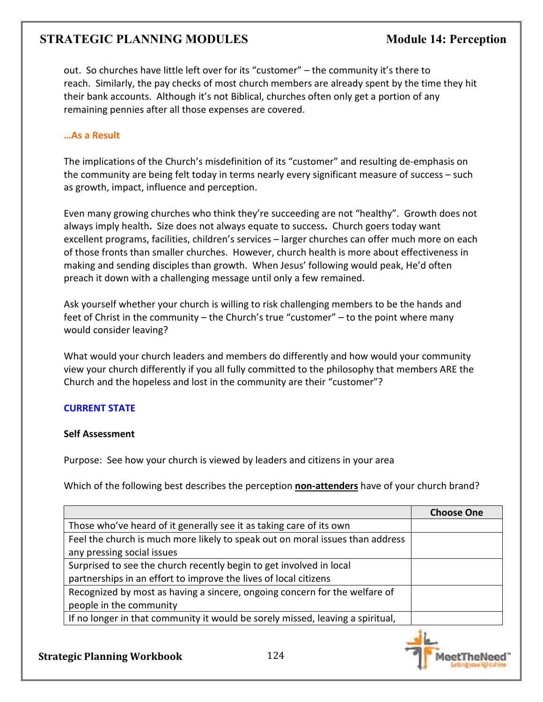out. So churches have little left over for its "customer" – the community it's there to reach. Similarly, the pay checks of most church members are already spent by the time they hit their bank accounts. Although it's not Biblical, churches often only get a portion of any remaining pennies after all those expenses are covered.

### **…As a Result**

The implications of the Church's misdefinition of its "customer" and resulting de-emphasis on the community are being felt today in terms nearly every significant measure of success – such as growth, impact, influence and perception.

Even many growing churches who think they're succeeding are not "healthy". Growth does not always imply health**.** Size does not always equate to success**.** Church goers today want excellent programs, facilities, children's services – larger churches can offer much more on each of those fronts than smaller churches. However, church health is more about effectiveness in making and sending disciples than growth. When Jesus' following would peak, He'd often preach it down with a challenging message until only a few remained.

Ask yourself whether your church is willing to risk challenging members to be the hands and feet of Christ in the community – the Church's true "customer" – to the point where many would consider leaving?

What would your church leaders and members do differently and how would your community view your church differently if you all fully committed to the philosophy that members ARE the Church and the hopeless and lost in the community are their "customer"?

### **CURRENT STATE**

### **Self Assessment**

Purpose: See how your church is viewed by leaders and citizens in your area

Which of the following best describes the perception **non-attenders** have of your church brand?

|                                                                                | <b>Choose One</b> |
|--------------------------------------------------------------------------------|-------------------|
| Those who've heard of it generally see it as taking care of its own            |                   |
| Feel the church is much more likely to speak out on moral issues than address  |                   |
| any pressing social issues                                                     |                   |
| Surprised to see the church recently begin to get involved in local            |                   |
| partnerships in an effort to improve the lives of local citizens               |                   |
| Recognized by most as having a sincere, ongoing concern for the welfare of     |                   |
| people in the community                                                        |                   |
| If no longer in that community it would be sorely missed, leaving a spiritual, |                   |

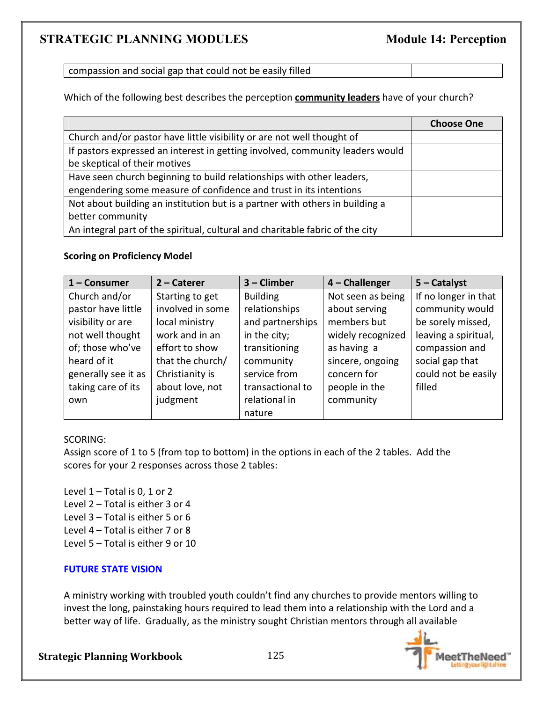compassion and social gap that could not be easily filled

Which of the following best describes the perception **community leaders** have of your church?

|                                                                               | <b>Choose One</b> |
|-------------------------------------------------------------------------------|-------------------|
| Church and/or pastor have little visibility or are not well thought of        |                   |
| If pastors expressed an interest in getting involved, community leaders would |                   |
| be skeptical of their motives                                                 |                   |
| Have seen church beginning to build relationships with other leaders,         |                   |
| engendering some measure of confidence and trust in its intentions            |                   |
| Not about building an institution but is a partner with others in building a  |                   |
| better community                                                              |                   |
| An integral part of the spiritual, cultural and charitable fabric of the city |                   |

#### **Scoring on Proficiency Model**

| 1 - Consumer        | $2$ – Caterer    | 3 - Climber      | $4$ – Challenger  | $5 -$ Catalyst       |
|---------------------|------------------|------------------|-------------------|----------------------|
| Church and/or       | Starting to get  | <b>Building</b>  | Not seen as being | If no longer in that |
| pastor have little  | involved in some | relationships    | about serving     | community would      |
| visibility or are   | local ministry   | and partnerships | members but       | be sorely missed,    |
| not well thought    | work and in an   | in the city;     | widely recognized | leaving a spiritual, |
| of; those who've    | effort to show   | transitioning    | as having a       | compassion and       |
| heard of it         | that the church/ | community        | sincere, ongoing  | social gap that      |
| generally see it as | Christianity is  | service from     | concern for       | could not be easily  |
| taking care of its  | about love, not  | transactional to | people in the     | filled               |
| own                 | judgment         | relational in    | community         |                      |
|                     |                  | nature           |                   |                      |

#### SCORING:

Assign score of 1 to 5 (from top to bottom) in the options in each of the 2 tables. Add the scores for your 2 responses across those 2 tables:

Level  $1$  – Total is 0, 1 or 2 Level 2 – Total is either 3 or 4 Level 3 – Total is either 5 or 6 Level 4 – Total is either 7 or 8 Level 5 – Total is either 9 or 10

#### **FUTURE STATE VISION**

A ministry working with troubled youth couldn't find any churches to provide mentors willing to invest the long, painstaking hours required to lead them into a relationship with the Lord and a better way of life. Gradually, as the ministry sought Christian mentors through all available

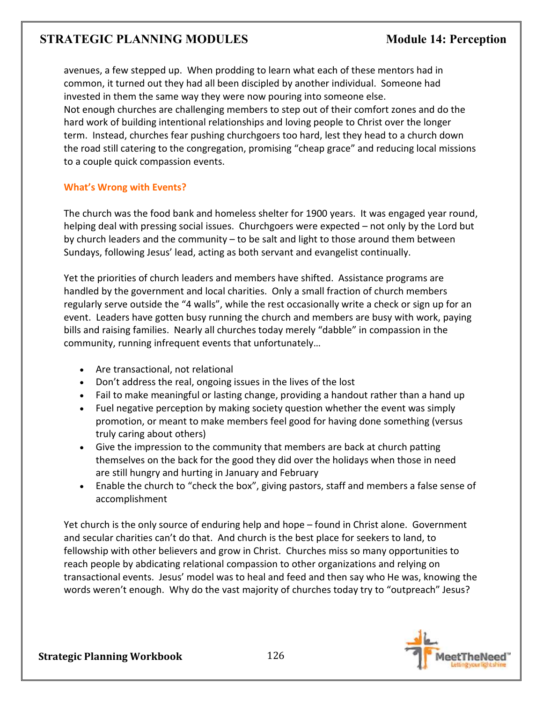avenues, a few stepped up. When prodding to learn what each of these mentors had in common, it turned out they had all been discipled by another individual. Someone had invested in them the same way they were now pouring into someone else. Not enough churches are challenging members to step out of their comfort zones and do the hard work of building intentional relationships and loving people to Christ over the longer term. Instead, churches fear pushing churchgoers too hard, lest they head to a church down the road still catering to the congregation, promising "cheap grace" and reducing local missions to a couple quick compassion events.

### **What's Wrong with Events?**

The church was the food bank and homeless shelter for 1900 years. It was engaged year round, helping deal with pressing social issues. Churchgoers were expected – not only by the Lord but by church leaders and the community – to be salt and light to those around them between Sundays, following Jesus' lead, acting as both servant and evangelist continually.

Yet the priorities of church leaders and members have shifted. Assistance programs are handled by the government and local charities. Only a small fraction of church members regularly serve outside the "4 walls", while the rest occasionally write a check or sign up for an event. Leaders have gotten busy running the church and members are busy with work, paying bills and raising families. Nearly all churches today merely "dabble" in compassion in the community, running infrequent events that unfortunately…

- Are transactional, not relational
- Don't address the real, ongoing issues in the lives of the lost
- Fail to make meaningful or lasting change, providing a handout rather than a hand up
- Fuel negative perception by making society question whether the event was simply promotion, or meant to make members feel good for having done something (versus truly caring about others)
- Give the impression to the community that members are back at church patting themselves on the back for the good they did over the holidays when those in need are still hungry and hurting in January and February
- Enable the church to "check the box", giving pastors, staff and members a false sense of accomplishment

Yet church is the only source of enduring help and hope – found in Christ alone. Government and secular charities can't do that. And church is the best place for seekers to land, to fellowship with other believers and grow in Christ. Churches miss so many opportunities to reach people by abdicating relational compassion to other organizations and relying on transactional events. Jesus' model was to heal and feed and then say who He was, knowing the words weren't enough. Why do the vast majority of churches today try to "outpreach" Jesus?

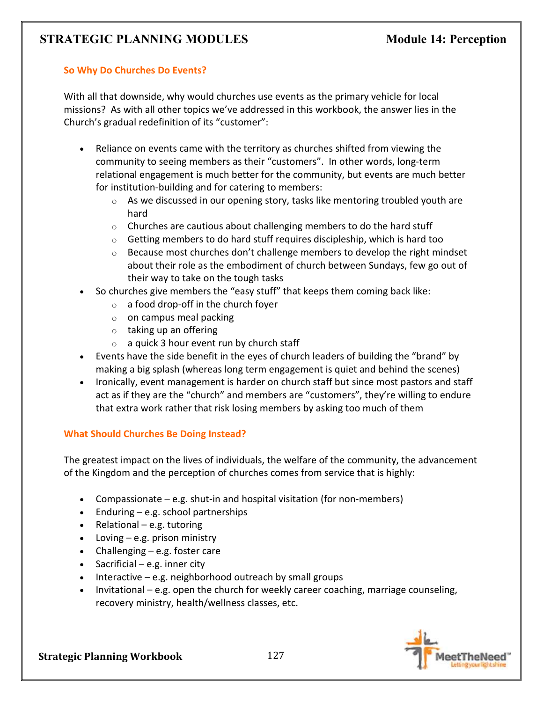### **So Why Do Churches Do Events?**

With all that downside, why would churches use events as the primary vehicle for local missions? As with all other topics we've addressed in this workbook, the answer lies in the Church's gradual redefinition of its "customer":

- Reliance on events came with the territory as churches shifted from viewing the community to seeing members as their "customers". In other words, long-term relational engagement is much better for the community, but events are much better for institution-building and for catering to members:
	- $\circ$  As we discussed in our opening story, tasks like mentoring troubled youth are hard
	- $\circ$  Churches are cautious about challenging members to do the hard stuff
	- $\circ$  Getting members to do hard stuff requires discipleship, which is hard too
	- $\circ$  Because most churches don't challenge members to develop the right mindset about their role as the embodiment of church between Sundays, few go out of their way to take on the tough tasks
- So churches give members the "easy stuff" that keeps them coming back like:
	- o a food drop-off in the church foyer
	- $\circ$  on campus meal packing
	- o taking up an offering
	- $\circ$  a quick 3 hour event run by church staff
- Events have the side benefit in the eyes of church leaders of building the "brand" by making a big splash (whereas long term engagement is quiet and behind the scenes)
- Ironically, event management is harder on church staff but since most pastors and staff act as if they are the "church" and members are "customers", they're willing to endure that extra work rather that risk losing members by asking too much of them

### **What Should Churches Be Doing Instead?**

The greatest impact on the lives of individuals, the welfare of the community, the advancement of the Kingdom and the perception of churches comes from service that is highly:

- Compassionate e.g. shut-in and hospital visitation (for non-members)
- Enduring e.g. school partnerships
- Relational e.g. tutoring
- Loving e.g. prison ministry
- Challenging e.g. foster care
- Sacrificial e.g. inner city
- Interactive e.g. neighborhood outreach by small groups
- Invitational e.g. open the church for weekly career coaching, marriage counseling, recovery ministry, health/wellness classes, etc.

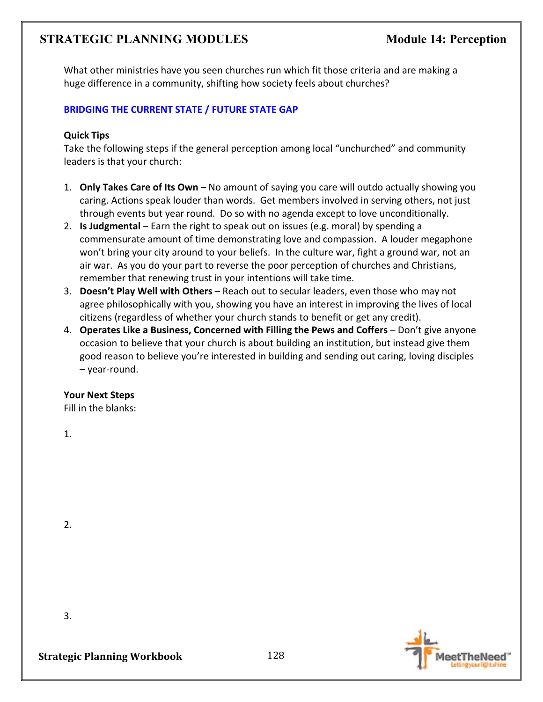What other ministries have you seen churches run which fit those criteria and are making a huge difference in a community, shifting how society feels about churches?

### **BRIDGING THE CURRENT STATE / FUTURE STATE GAP**

### **Quick Tips**

Take the following steps if the general perception among local "unchurched" and community leaders is that your church:

- 1. **Only Takes Care of Its Own**  No amount of saying you care will outdo actually showing you caring. Actions speak louder than words. Get members involved in serving others, not just through events but year round. Do so with no agenda except to love unconditionally.
- 2. **Is Judgmental** Earn the right to speak out on issues (e.g. moral) by spending a commensurate amount of time demonstrating love and compassion. A louder megaphone won't bring your city around to your beliefs. In the culture war, fight a ground war, not an air war. As you do your part to reverse the poor perception of churches and Christians, remember that renewing trust in your intentions will take time.
- 3. **Doesn't Play Well with Others** Reach out to secular leaders, even those who may not agree philosophically with you, showing you have an interest in improving the lives of local citizens (regardless of whether your church stands to benefit or get any credit).
- 4. **Operates Like a Business, Concerned with Filling the Pews and Coffers** Don't give anyone occasion to believe that your church is about building an institution, but instead give them good reason to believe you're interested in building and sending out caring, loving disciples – year-round.

### **Your Next Steps**

Fill in the blanks:

1.

2.



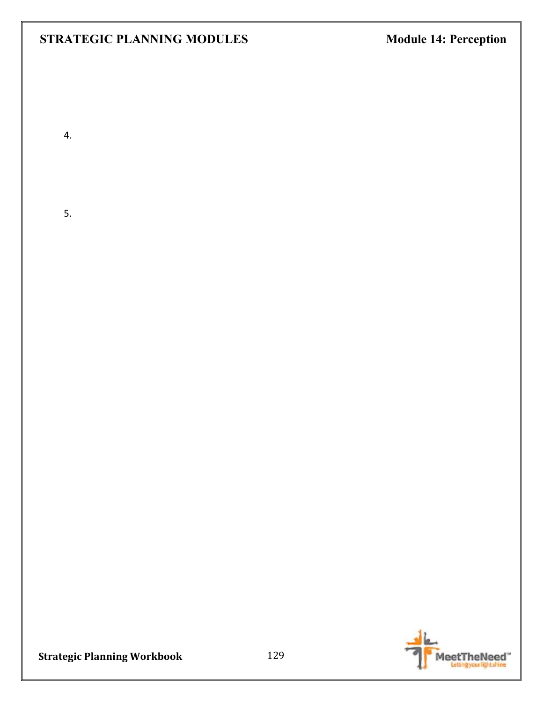4.

5.

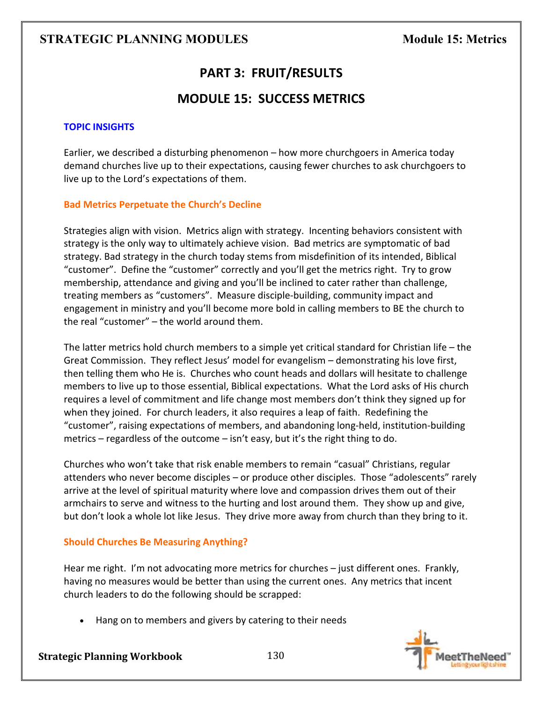# **PART 3: FRUIT/RESULTS**

# **MODULE 15: SUCCESS METRICS**

### **TOPIC INSIGHTS**

Earlier, we described a disturbing phenomenon – how more churchgoers in America today demand churches live up to their expectations, causing fewer churches to ask churchgoers to live up to the Lord's expectations of them.

### **Bad Metrics Perpetuate the Church's Decline**

Strategies align with vision. Metrics align with strategy. Incenting behaviors consistent with strategy is the only way to ultimately achieve vision. Bad metrics are symptomatic of bad strategy. Bad strategy in the church today stems from misdefinition of its intended, Biblical "customer". Define the "customer" correctly and you'll get the metrics right. Try to grow membership, attendance and giving and you'll be inclined to cater rather than challenge, treating members as "customers". Measure disciple-building, community impact and engagement in ministry and you'll become more bold in calling members to BE the church to the real "customer" – the world around them.

The latter metrics hold church members to a simple yet critical standard for Christian life – the Great Commission. They reflect Jesus' model for evangelism – demonstrating his love first, then telling them who He is. Churches who count heads and dollars will hesitate to challenge members to live up to those essential, Biblical expectations. What the Lord asks of His church requires a level of commitment and life change most members don't think they signed up for when they joined. For church leaders, it also requires a leap of faith. Redefining the "customer", raising expectations of members, and abandoning long-held, institution-building metrics – regardless of the outcome – isn't easy, but it's the right thing to do.

Churches who won't take that risk enable members to remain "casual" Christians, regular attenders who never become disciples – or produce other disciples. Those "adolescents" rarely arrive at the level of spiritual maturity where love and compassion drives them out of their armchairs to serve and witness to the hurting and lost around them. They show up and give, but don't look a whole lot like Jesus. They drive more away from church than they bring to it.

### **Should Churches Be Measuring Anything?**

Hear me right. I'm not advocating more metrics for churches – just different ones. Frankly, having no measures would be better than using the current ones. Any metrics that incent church leaders to do the following should be scrapped:

• Hang on to members and givers by catering to their needs

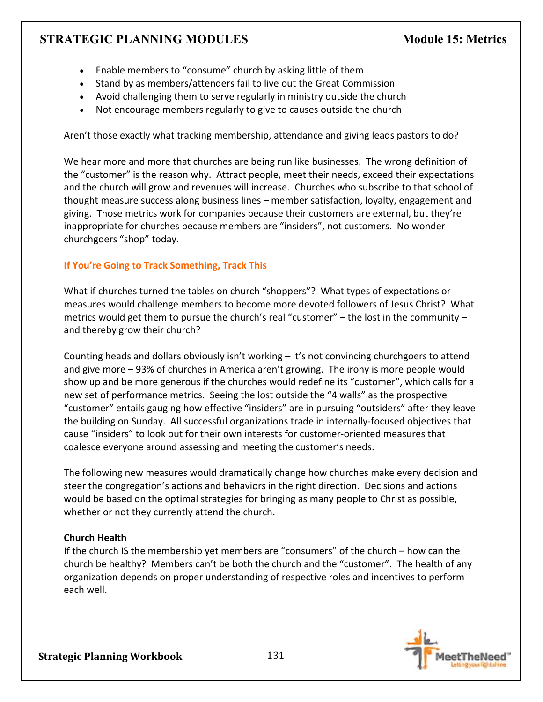- Enable members to "consume" church by asking little of them
- Stand by as members/attenders fail to live out the Great Commission
- Avoid challenging them to serve regularly in ministry outside the church
- Not encourage members regularly to give to causes outside the church

Aren't those exactly what tracking membership, attendance and giving leads pastors to do?

We hear more and more that churches are being run like businesses. The wrong definition of the "customer" is the reason why. Attract people, meet their needs, exceed their expectations and the church will grow and revenues will increase. Churches who subscribe to that school of thought measure success along business lines – member satisfaction, loyalty, engagement and giving. Those metrics work for companies because their customers are external, but they're inappropriate for churches because members are "insiders", not customers. No wonder churchgoers "shop" today.

# **If You're Going to Track Something, Track This**

What if churches turned the tables on church "shoppers"? What types of expectations or measures would challenge members to become more devoted followers of Jesus Christ? What metrics would get them to pursue the church's real "customer" – the lost in the community – and thereby grow their church?

Counting heads and dollars obviously isn't working – it's not convincing churchgoers to attend and give more – 93% of churches in America aren't growing. The irony is more people would show up and be more generous if the churches would redefine its "customer", which calls for a new set of performance metrics. Seeing the lost outside the "4 walls" as the prospective "customer" entails gauging how effective "insiders" are in pursuing "outsiders" after they leave the building on Sunday. All successful organizations trade in internally-focused objectives that cause "insiders" to look out for their own interests for customer-oriented measures that coalesce everyone around assessing and meeting the customer's needs.

The following new measures would dramatically change how churches make every decision and steer the congregation's actions and behaviors in the right direction. Decisions and actions would be based on the optimal strategies for bringing as many people to Christ as possible, whether or not they currently attend the church.

# **Church Health**

If the church IS the membership yet members are "consumers" of the church – how can the church be healthy? Members can't be both the church and the "customer". The health of any organization depends on proper understanding of respective roles and incentives to perform each well.

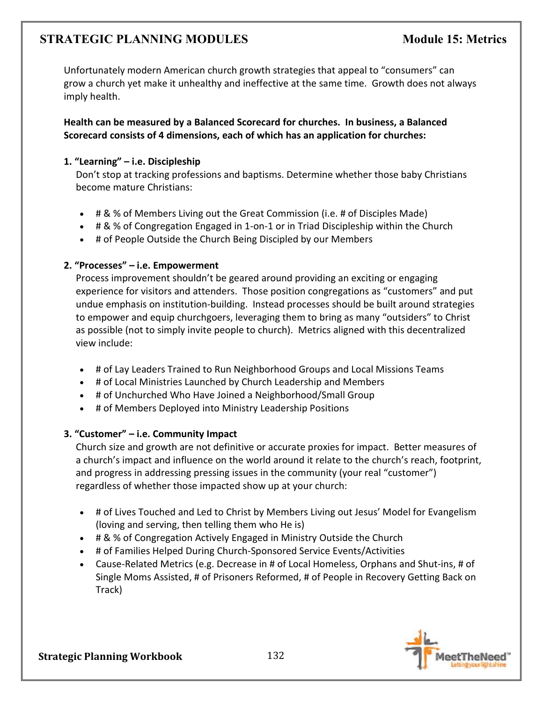Unfortunately modern American church growth strategies that appeal to "consumers" can grow a church yet make it unhealthy and ineffective at the same time. Growth does not always imply health.

**Health can be measured by a Balanced Scorecard for churches. In business, a Balanced Scorecard consists of 4 dimensions, each of which has an application for churches:**

### **1. "Learning" – i.e. Discipleship**

Don't stop at tracking professions and baptisms. Determine whether those baby Christians become mature Christians:

- # & % of Members Living out the Great Commission (i.e. # of Disciples Made)
- # & % of Congregation Engaged in 1-on-1 or in Triad Discipleship within the Church
- # of People Outside the Church Being Discipled by our Members

### **2. "Processes" – i.e. Empowerment**

Process improvement shouldn't be geared around providing an exciting or engaging experience for visitors and attenders. Those position congregations as "customers" and put undue emphasis on institution-building. Instead processes should be built around strategies to empower and equip churchgoers, leveraging them to bring as many "outsiders" to Christ as possible (not to simply invite people to church). Metrics aligned with this decentralized view include:

- # of Lay Leaders Trained to Run Neighborhood Groups and Local Missions Teams
- # of Local Ministries Launched by Church Leadership and Members
- # of Unchurched Who Have Joined a Neighborhood/Small Group
- # of Members Deployed into Ministry Leadership Positions

### **3. "Customer" – i.e. Community Impact**

Church size and growth are not definitive or accurate proxies for impact. Better measures of a church's impact and influence on the world around it relate to the church's reach, footprint, and progress in addressing pressing issues in the community (your real "customer") regardless of whether those impacted show up at your church:

- # of Lives Touched and Led to Christ by Members Living out Jesus' Model for Evangelism (loving and serving, then telling them who He is)
- # & % of Congregation Actively Engaged in Ministry Outside the Church
- # of Families Helped During Church-Sponsored Service Events/Activities
- Cause-Related Metrics (e.g. Decrease in # of Local Homeless, Orphans and Shut-ins, # of Single Moms Assisted, # of Prisoners Reformed, # of People in Recovery Getting Back on Track)

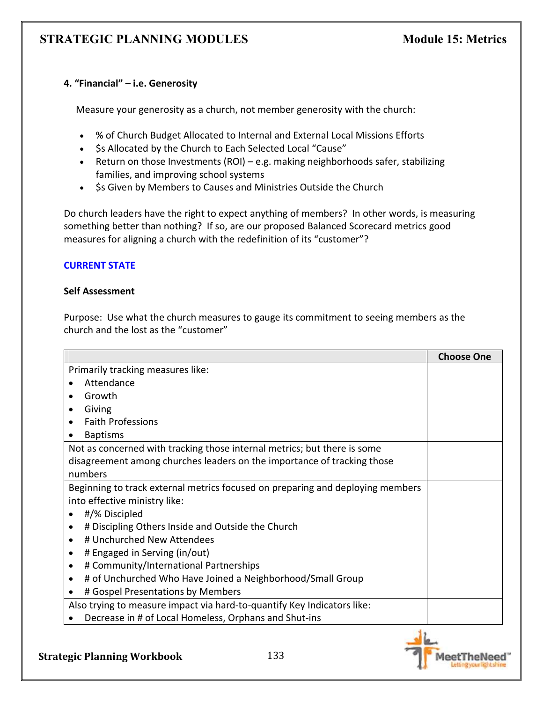### **4. "Financial" – i.e. Generosity**

Measure your generosity as a church, not member generosity with the church:

- % of Church Budget Allocated to Internal and External Local Missions Efforts
- \$s Allocated by the Church to Each Selected Local "Cause"
- Return on those Investments (ROI) e.g. making neighborhoods safer, stabilizing families, and improving school systems
- \$s Given by Members to Causes and Ministries Outside the Church

Do church leaders have the right to expect anything of members? In other words, is measuring something better than nothing? If so, are our proposed Balanced Scorecard metrics good measures for aligning a church with the redefinition of its "customer"?

### **CURRENT STATE**

### **Self Assessment**

Purpose: Use what the church measures to gauge its commitment to seeing members as the church and the lost as the "customer"

|                                                                                | <b>Choose One</b> |
|--------------------------------------------------------------------------------|-------------------|
| Primarily tracking measures like:                                              |                   |
| Attendance                                                                     |                   |
| Growth                                                                         |                   |
| Giving                                                                         |                   |
| <b>Faith Professions</b>                                                       |                   |
| <b>Baptisms</b>                                                                |                   |
| Not as concerned with tracking those internal metrics; but there is some       |                   |
| disagreement among churches leaders on the importance of tracking those        |                   |
| numbers                                                                        |                   |
| Beginning to track external metrics focused on preparing and deploying members |                   |
| into effective ministry like:                                                  |                   |
| #/% Discipled<br>$\bullet$                                                     |                   |
| # Discipling Others Inside and Outside the Church<br>$\bullet$                 |                   |
| # Unchurched New Attendees<br>$\bullet$                                        |                   |
| # Engaged in Serving (in/out)<br>$\bullet$                                     |                   |
| # Community/International Partnerships<br>$\bullet$                            |                   |
| # of Unchurched Who Have Joined a Neighborhood/Small Group                     |                   |
| # Gospel Presentations by Members                                              |                   |
| Also trying to measure impact via hard-to-quantify Key Indicators like:        |                   |
| Decrease in # of Local Homeless, Orphans and Shut-ins                          |                   |

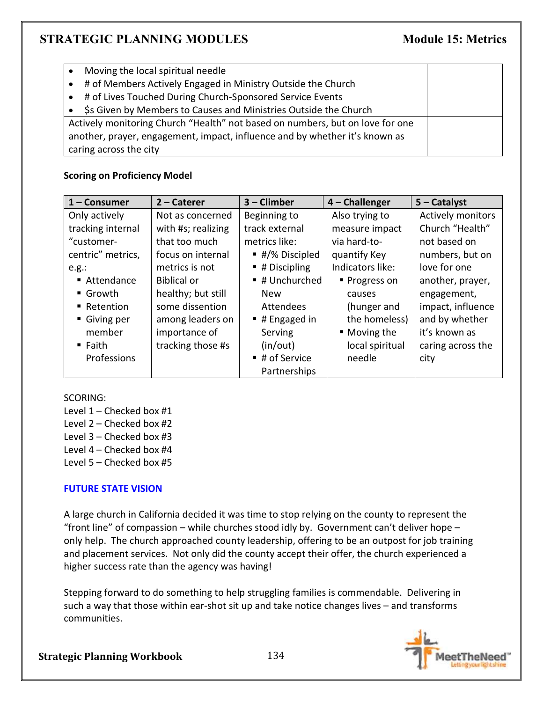|                                                                             | Moving the local spiritual needle                                             |  |
|-----------------------------------------------------------------------------|-------------------------------------------------------------------------------|--|
| $\bullet$                                                                   | # of Members Actively Engaged in Ministry Outside the Church                  |  |
| $\bullet$                                                                   | # of Lives Touched During Church-Sponsored Service Events                     |  |
|                                                                             | \$s Given by Members to Causes and Ministries Outside the Church              |  |
|                                                                             | Actively monitoring Church "Health" not based on numbers, but on love for one |  |
| another, prayer, engagement, impact, influence and by whether it's known as |                                                                               |  |
| caring across the city                                                      |                                                                               |  |

# **Scoring on Proficiency Model**

| $1 -$ Consumer        | $2 -$ Caterer      | $3$ – Climber               | $4$ – Challenger | $5 -$ Catalyst    |
|-----------------------|--------------------|-----------------------------|------------------|-------------------|
| Only actively         | Not as concerned   | Beginning to                | Also trying to   | Actively monitors |
| tracking internal     | with #s; realizing | track external              | measure impact   | Church "Health"   |
| "customer-            | that too much      | metrics like:               | via hard-to-     | not based on      |
| centric" metrics,     | focus on internal  | ■ #/% Discipled             | quantify Key     | numbers, but on   |
| e.g.:                 | metrics is not     | $\blacksquare$ # Discipling | Indicators like: | love for one      |
| ■ Attendance          | <b>Biblical or</b> | ■ # Unchurched              | ■ Progress on    | another, prayer,  |
| $\blacksquare$ Growth | healthy; but still | <b>New</b>                  | causes           | engagement,       |
| ■ Retention           | some dissention    | Attendees                   | (hunger and      | impact, influence |
| Giving per            | among leaders on   | $\blacksquare$ # Engaged in | the homeless)    | and by whether    |
| member                | importance of      | Serving                     | ■ Moving the     | it's known as     |
| $\blacksquare$ Faith  | tracking those #s  | (in/out)                    | local spiritual  | caring across the |
| Professions           |                    | ■ # of Service              | needle           | city              |
|                       |                    | Partnerships                |                  |                   |

SCORING:

- Level 1 Checked box #1
- Level 2 Checked box #2
- Level 3 Checked box #3
- Level 4 Checked box #4
- Level 5 Checked box #5

# **FUTURE STATE VISION**

A large church in California decided it was time to stop relying on the county to represent the "front line" of compassion – while churches stood idly by. Government can't deliver hope – only help. The church approached county leadership, offering to be an outpost for job training and placement services. Not only did the county accept their offer, the church experienced a higher success rate than the agency was having!

Stepping forward to do something to help struggling families is commendable. Delivering in such a way that those within ear-shot sit up and take notice changes lives – and transforms communities.

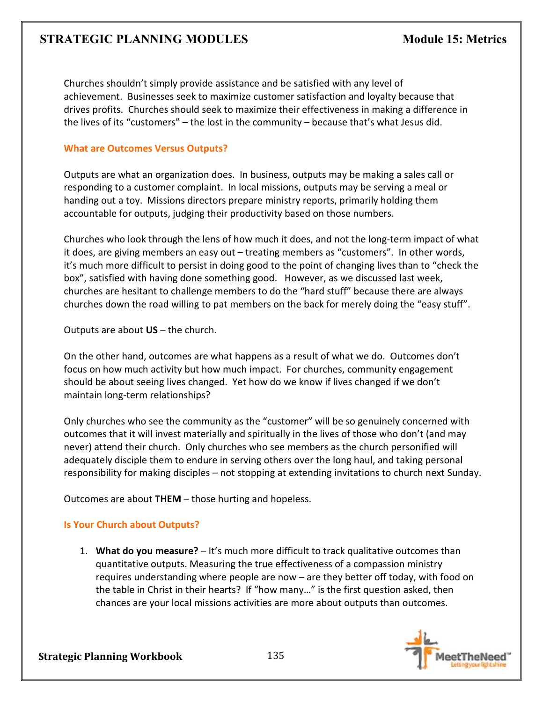Churches shouldn't simply provide assistance and be satisfied with any level of achievement. Businesses seek to maximize customer satisfaction and loyalty because that drives profits. Churches should seek to maximize their effectiveness in making a difference in the lives of its "customers" – the lost in the community – because that's what Jesus did.

### **What are Outcomes Versus Outputs?**

Outputs are what an organization does. In business, outputs may be making a sales call or responding to a customer complaint. In local missions, outputs may be serving a meal or handing out a toy. Missions directors prepare ministry reports, primarily holding them accountable for outputs, judging their productivity based on those numbers.

Churches who look through the lens of how much it does, and not the long-term impact of what it does, are giving members an easy out – treating members as "customers". In other words, it's much more difficult to persist in doing good to the point of changing lives than to "check the box", satisfied with having done something good. However, as we discussed last week, churches are hesitant to challenge members to do the "hard stuff" because there are always churches down the road willing to pat members on the back for merely doing the "easy stuff".

Outputs are about **US** – the church.

On the other hand, outcomes are what happens as a result of what we do. Outcomes don't focus on how much activity but how much impact. For churches, community engagement should be about seeing lives changed. Yet how do we know if lives changed if we don't maintain long-term relationships?

Only churches who see the community as the "customer" will be so genuinely concerned with outcomes that it will invest materially and spiritually in the lives of those who don't (and may never) attend their church. Only churches who see members as the church personified will adequately disciple them to endure in serving others over the long haul, and taking personal responsibility for making disciples – not stopping at extending invitations to church next Sunday.

Outcomes are about **THEM** – those hurting and hopeless.

### **Is Your Church about Outputs?**

1. **What do you measure?** – It's much more difficult to track qualitative outcomes than quantitative outputs. Measuring the true effectiveness of a compassion ministry requires understanding where people are now – are they better off today, with food on the table in Christ in their hearts? If "how many…" is the first question asked, then chances are your local missions activities are more about outputs than outcomes.

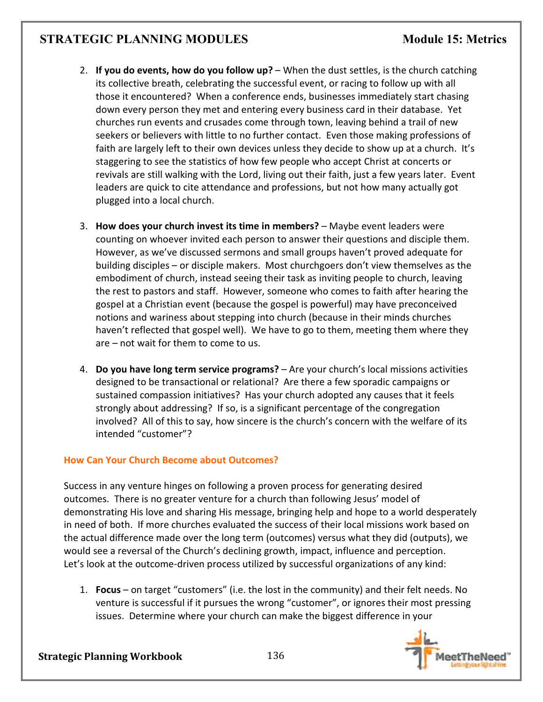- 2. **If you do events, how do you follow up?** When the dust settles, is the church catching its collective breath, celebrating the successful event, or racing to follow up with all those it encountered? When a conference ends, businesses immediately start chasing down every person they met and entering every business card in their database. Yet churches run events and crusades come through town, leaving behind a trail of new seekers or believers with little to no further contact. Even those making professions of faith are largely left to their own devices unless they decide to show up at a church. It's staggering to see the statistics of how few people who accept Christ at concerts or revivals are still walking with the Lord, living out their faith, just a few years later. Event leaders are quick to cite attendance and professions, but not how many actually got plugged into a local church.
- 3. **How does your church invest its time in members?** Maybe event leaders were counting on whoever invited each person to answer their questions and disciple them. However, as we've discussed sermons and small groups haven't proved adequate for building disciples – or disciple makers. Most churchgoers don't view themselves as the embodiment of church, instead seeing their task as inviting people to church, leaving the rest to pastors and staff. However, someone who comes to faith after hearing the gospel at a Christian event (because the gospel is powerful) may have preconceived notions and wariness about stepping into church (because in their minds churches haven't reflected that gospel well). We have to go to them, meeting them where they are – not wait for them to come to us.
- 4. **Do you have long term service programs?** Are your church's local missions activities designed to be transactional or relational? Are there a few sporadic campaigns or sustained compassion initiatives? Has your church adopted any causes that it feels strongly about addressing? If so, is a significant percentage of the congregation involved? All of this to say, how sincere is the church's concern with the welfare of its intended "customer"?

# **How Can Your Church Become about Outcomes?**

Success in any venture hinges on following a proven process for generating desired outcomes. There is no greater venture for a church than following Jesus' model of demonstrating His love and sharing His message, bringing help and hope to a world desperately in need of both. If more churches evaluated the success of their local missions work based on the actual difference made over the long term (outcomes) versus what they did (outputs), we would see a reversal of the Church's declining growth, impact, influence and perception. Let's look at the outcome-driven process utilized by successful organizations of any kind:

1. **Focus** – on target "customers" (i.e. the lost in the community) and their felt needs. No venture is successful if it pursues the wrong "customer", or ignores their most pressing issues. Determine where your church can make the biggest difference in your

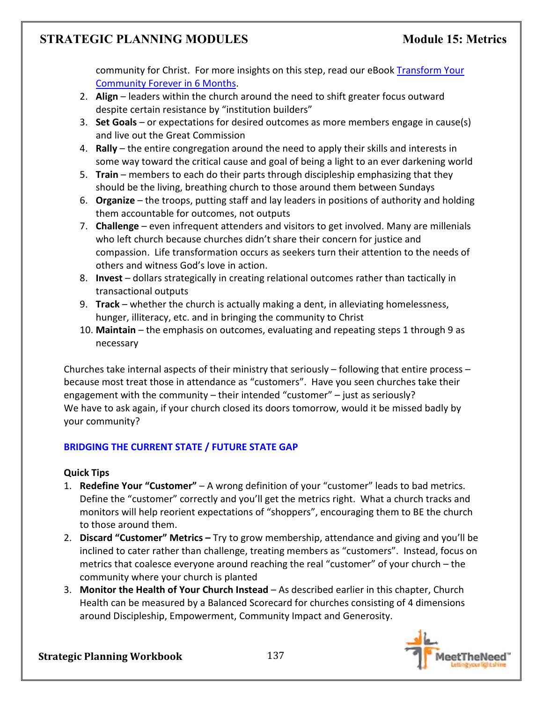community for Christ. For more insights on this step, read our eBook Transform Your Community Forever in 6 Months.

- 2. **Align** leaders within the church around the need to shift greater focus outward despite certain resistance by "institution builders"
- 3. **Set Goals** or expectations for desired outcomes as more members engage in cause(s) and live out the Great Commission
- 4. **Rally** the entire congregation around the need to apply their skills and interests in some way toward the critical cause and goal of being a light to an ever darkening world
- 5. **Train** members to each do their parts through discipleship emphasizing that they should be the living, breathing church to those around them between Sundays
- 6. **Organize** the troops, putting staff and lay leaders in positions of authority and holding them accountable for outcomes, not outputs
- 7. **Challenge** even infrequent attenders and visitors to get involved. Many are millenials who left church because churches didn't share their concern for justice and compassion. Life transformation occurs as seekers turn their attention to the needs of others and witness God's love in action.
- 8. **Invest** dollars strategically in creating relational outcomes rather than tactically in transactional outputs
- 9. **Track** whether the church is actually making a dent, in alleviating homelessness, hunger, illiteracy, etc. and in bringing the community to Christ
- 10. **Maintain** the emphasis on outcomes, evaluating and repeating steps 1 through 9 as necessary

Churches take internal aspects of their ministry that seriously – following that entire process – because most treat those in attendance as "customers". Have you seen churches take their engagement with the community – their intended "customer" – just as seriously? We have to ask again, if your church closed its doors tomorrow, would it be missed badly by your community?

# **BRIDGING THE CURRENT STATE / FUTURE STATE GAP**

### **Quick Tips**

- 1. **Redefine Your "Customer"** A wrong definition of your "customer" leads to bad metrics. Define the "customer" correctly and you'll get the metrics right. What a church tracks and monitors will help reorient expectations of "shoppers", encouraging them to BE the church to those around them.
- 2. **Discard "Customer" Metrics** Try to grow membership, attendance and giving and you'll be inclined to cater rather than challenge, treating members as "customers". Instead, focus on metrics that coalesce everyone around reaching the real "customer" of your church – the community where your church is planted
- 3. **Monitor the Health of Your Church Instead** As described earlier in this chapter, Church Health can be measured by a Balanced Scorecard for churches consisting of 4 dimensions around Discipleship, Empowerment, Community Impact and Generosity.

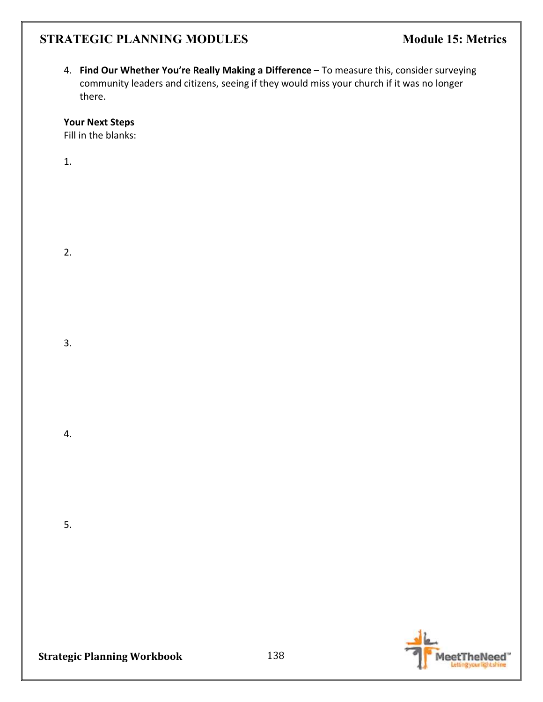4. **Find Our Whether You're Really Making a Difference** – To measure this, consider surveying community leaders and citizens, seeing if they would miss your church if it was no longer there.

**Your Next Steps** 

Fill in the blanks:

1.

2.

3.

4.

5.



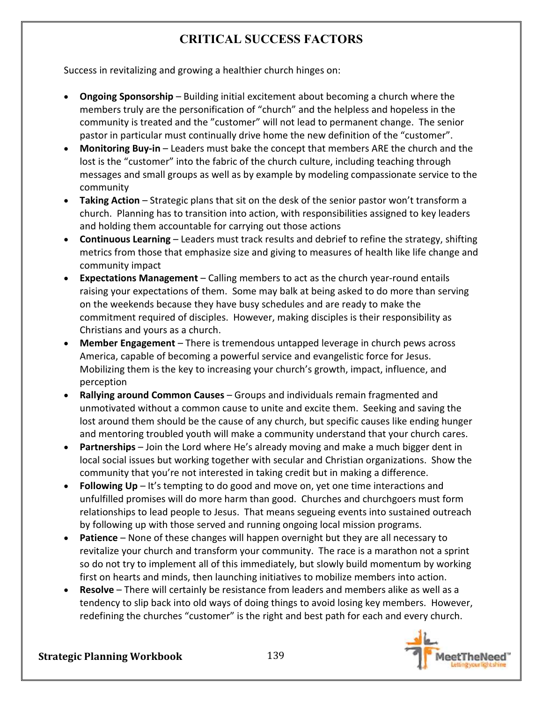# **CRITICAL SUCCESS FACTORS**

Success in revitalizing and growing a healthier church hinges on:

- **Ongoing Sponsorship** Building initial excitement about becoming a church where the members truly are the personification of "church" and the helpless and hopeless in the community is treated and the "customer" will not lead to permanent change. The senior pastor in particular must continually drive home the new definition of the "customer".
- **Monitoring Buy-in** Leaders must bake the concept that members ARE the church and the lost is the "customer" into the fabric of the church culture, including teaching through messages and small groups as well as by example by modeling compassionate service to the community
- **Taking Action** Strategic plans that sit on the desk of the senior pastor won't transform a church. Planning has to transition into action, with responsibilities assigned to key leaders and holding them accountable for carrying out those actions
- **Continuous Learning** Leaders must track results and debrief to refine the strategy, shifting metrics from those that emphasize size and giving to measures of health like life change and community impact
- **Expectations Management** Calling members to act as the church year-round entails raising your expectations of them. Some may balk at being asked to do more than serving on the weekends because they have busy schedules and are ready to make the commitment required of disciples. However, making disciples is their responsibility as Christians and yours as a church.
- **Member Engagement** There is tremendous untapped leverage in church pews across America, capable of becoming a powerful service and evangelistic force for Jesus. Mobilizing them is the key to increasing your church's growth, impact, influence, and perception
- **Rallying around Common Causes** Groups and individuals remain fragmented and unmotivated without a common cause to unite and excite them. Seeking and saving the lost around them should be the cause of any church, but specific causes like ending hunger and mentoring troubled youth will make a community understand that your church cares.
- **Partnerships** Join the Lord where He's already moving and make a much bigger dent in local social issues but working together with secular and Christian organizations. Show the community that you're not interested in taking credit but in making a difference.
- **Following Up** It's tempting to do good and move on, yet one time interactions and unfulfilled promises will do more harm than good. Churches and churchgoers must form relationships to lead people to Jesus. That means segueing events into sustained outreach by following up with those served and running ongoing local mission programs.
- **Patience** None of these changes will happen overnight but they are all necessary to revitalize your church and transform your community. The race is a marathon not a sprint so do not try to implement all of this immediately, but slowly build momentum by working first on hearts and minds, then launching initiatives to mobilize members into action.
- **Resolve** There will certainly be resistance from leaders and members alike as well as a tendency to slip back into old ways of doing things to avoid losing key members. However, redefining the churches "customer" is the right and best path for each and every church.

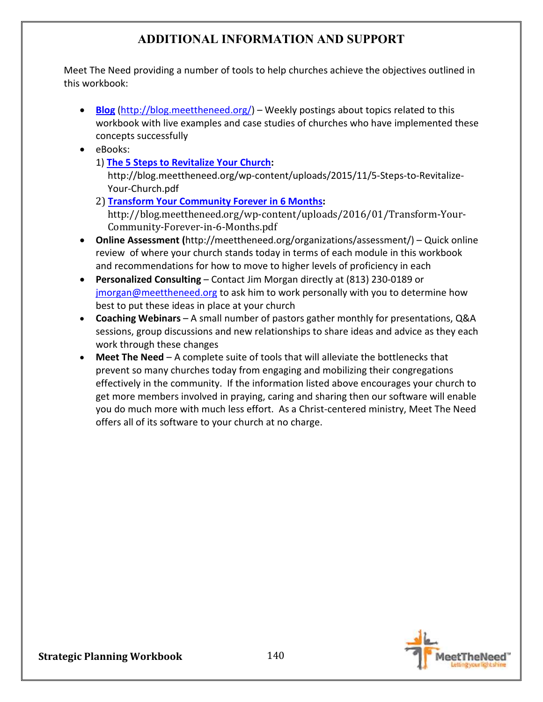# **ADDITIONAL INFORMATION AND SUPPORT**

Meet The Need providing a number of tools to help churches achieve the objectives outlined in this workbook:

- **Blog** (http://blog.meettheneed.org/) Weekly postings about topics related to this workbook with live examples and case studies of churches who have implemented these concepts successfully
- eBooks:
	- 1) **The 5 Steps to Revitalize Your Church:**

http://blog.meettheneed.org/wp-content/uploads/2015/11/5-Steps-to-Revitalize-Your-Church.pdf

- 2) **Transform Your Community Forever in 6 Months:** http://blog.meettheneed.org/wp-content/uploads/2016/01/Transform-Your-Community-Forever-in-6-Months.pdf
- **Online Assessment (**http://meettheneed.org/organizations/assessment/) Quick online review of where your church stands today in terms of each module in this workbook and recommendations for how to move to higher levels of proficiency in each
- **Personalized Consulting** Contact Jim Morgan directly at (813) 230-0189 or jmorgan@meettheneed.org to ask him to work personally with you to determine how best to put these ideas in place at your church
- **Coaching Webinars** A small number of pastors gather monthly for presentations, Q&A sessions, group discussions and new relationships to share ideas and advice as they each work through these changes
- **Meet The Need** A complete suite of tools that will alleviate the bottlenecks that prevent so many churches today from engaging and mobilizing their congregations effectively in the community. If the information listed above encourages your church to get more members involved in praying, caring and sharing then our software will enable you do much more with much less effort. As a Christ-centered ministry, Meet The Need offers all of its software to your church at no charge.

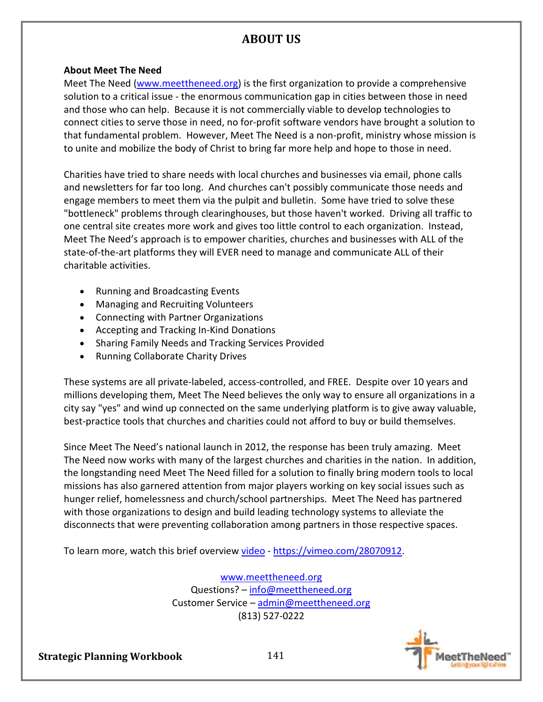# **ABOUT US**

### **About Meet The Need**

Meet The Need (www.meettheneed.org) is the first organization to provide a comprehensive solution to a critical issue - the enormous communication gap in cities between those in need and those who can help. Because it is not commercially viable to develop technologies to connect cities to serve those in need, no for-profit software vendors have brought a solution to that fundamental problem. However, Meet The Need is a non-profit, ministry whose mission is to unite and mobilize the body of Christ to bring far more help and hope to those in need.

Charities have tried to share needs with local churches and businesses via email, phone calls and newsletters for far too long. And churches can't possibly communicate those needs and engage members to meet them via the pulpit and bulletin. Some have tried to solve these "bottleneck" problems through clearinghouses, but those haven't worked. Driving all traffic to one central site creates more work and gives too little control to each organization. Instead, Meet The Need's approach is to empower charities, churches and businesses with ALL of the state-of-the-art platforms they will EVER need to manage and communicate ALL of their charitable activities.

- Running and Broadcasting Events
- Managing and Recruiting Volunteers
- Connecting with Partner Organizations
- Accepting and Tracking In-Kind Donations
- Sharing Family Needs and Tracking Services Provided
- Running Collaborate Charity Drives

These systems are all private-labeled, access-controlled, and FREE. Despite over 10 years and millions developing them, Meet The Need believes the only way to ensure all organizations in a city say "yes" and wind up connected on the same underlying platform is to give away valuable, best-practice tools that churches and charities could not afford to buy or build themselves.

Since Meet The Need's national launch in 2012, the response has been truly amazing. Meet The Need now works with many of the largest churches and charities in the nation. In addition, the longstanding need Meet The Need filled for a solution to finally bring modern tools to local missions has also garnered attention from major players working on key social issues such as hunger relief, homelessness and church/school partnerships. Meet The Need has partnered with those organizations to design and build leading technology systems to alleviate the disconnects that were preventing collaboration among partners in those respective spaces.

To learn more, watch this brief overview video - https://vimeo.com/28070912.

www.meettheneed.org Questions? – info@meettheneed.org Customer Service – admin@meettheneed.org (813) 527-0222